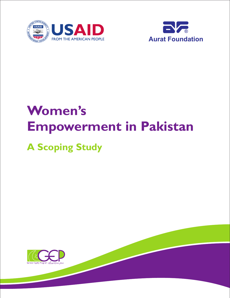



## **Women's Empowerment in Pakistan A Scoping Study**

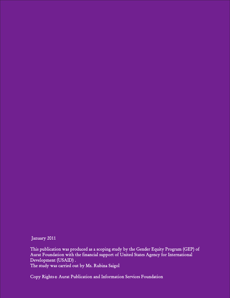January 2011

This publication was produced as a scoping study by the Gender Equity Program (GEP) of Aurat Foundation with the financial support of United States Agency for International Development (USAID) . The study was carried out by Ms. Rubina Saigol

Copy Rights & Aurat Publication and Information Services Foundation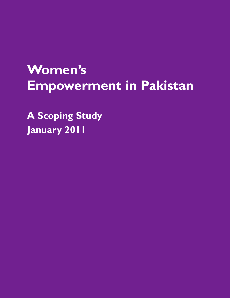## **Women's Empowerment in Pakistan**

**A Scoping Study January 2011**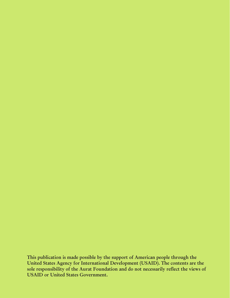**This publication is made possible by the support of American people through the United States Agency for International Development (USAID). The contents are the sole responsibility of the Aurat Foundation and do not necessarily reflect the views of USAID or United States Government.**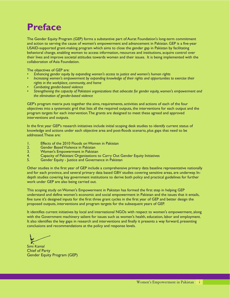### **Preface**

The Gender Equity Program (GEP) forms a substantive part of Aurat Foundation's long-term commitment and action to serving the cause of women's empowerment and advancement in Pakistan. GEP is a five-year USAID-supported grant-making program which aims to close the gender gap in Pakistan by facilitating behavioral change, enabling women to access information, resources and institutions, acquire control over their lives and improve societal attitudes towards women and their issues. It is being implemented with the collaboration of Asia Foundation.

The objectives of GEP are:

- *• Enhancing gender equity by expanding women's access to justice and women's human rights*
- *• Increasing women's empowerment by expanding knowledge of their rights and opportunities to exercise their rights in the workplace, community, and home*
- *• Combating gender-based violence*
- *• Strengthening the capacity of Pakistani organizations that advocate for gender equity, women's empowerment and the elimination of gender-based violence*

GEP's program matrix puts together the aims, requirements, activities and actions of each of the four objectives into a systematic grid that lists all the required outputs, the interventions for each output and the program targets for each intervention.The grants are designed to meet these agreed and approved interventions and outputs.

In the first year GEP's research initiatives include initial scoping desk studies to identify current status of knowledge and actions under each objective area and post-floods scenario, plus gaps that need to be addressed.These are:

- 1. Effects of the 2010 Floods on Women in Pakistan<br>2. Gender Based Violence in Pakistan
- 2. Gender Based Violence in Pakistan<br>3. Women's Empowerment in Pakista
- 3. Women's Empowerment in Pakistan<br>4. Capacity of Pakistani Organizations t
- 4. Capacity of Pakistani Organizations to Carry Out Gender Equity Initiatives
- 5. Gender Equity Justice and Governance in Pakistan

Other studies in the first year of GEP include a comprehensive primary data baseline representative nationally and for each province, and several primary data based GBV studies covering sensitive areas, are underway. Indepth studies covering key government institutions to derive both policy and practical guidelines for further work under GEP are also being carried out.

This scoping study on Women's Empowerment in Pakistan has formed the first step in helping GEP understand and define women's economic and social empowerment in Pakistan and the issues that it entails, fine tune it's designed inputs for the first three grant cycles in the first year of GEP and better design the proposed outputs, interventions and program targets for the subsequent years of GEP.

It identifies current initiatives by local and international NGOs with respect to women's empowerment, along with the Government machinery salient for issues such as women's health, education, labor and employment. It also identifies the key gaps in research and interventions and finally it presents a way forward, presenting conclusions and recommendations at the policy and response levels.

Simi Kamal Chief of Party Gender Equity Program (GEP)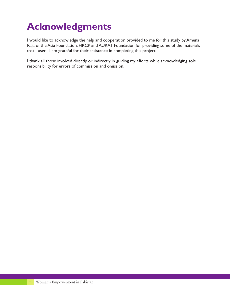## **Acknowledgments**

I would like to acknowledge the help and cooperation provided to me for this study by Amena Raja of the Asia Foundation, HRCP and AURAT Foundation for providing some of the materials that I used. I am grateful for their assistance in completing this project.

I thank all those involved directly or indirectly in guiding my efforts while acknowledging sole responsibility for errors of commission and omission.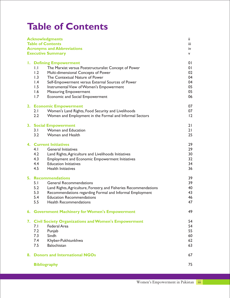## **Table of Contents**

| <b>Acknowledgments</b>                                                                                                                                                                                                                                                                                                                                                                                         | Ϊİ                                                       |
|----------------------------------------------------------------------------------------------------------------------------------------------------------------------------------------------------------------------------------------------------------------------------------------------------------------------------------------------------------------------------------------------------------------|----------------------------------------------------------|
| <b>Table of Contents</b><br><b>Acronyms and Abbreviations</b>                                                                                                                                                                                                                                                                                                                                                  | iii.<br>iv                                               |
| <b>Executive Summary</b>                                                                                                                                                                                                                                                                                                                                                                                       | v.                                                       |
|                                                                                                                                                                                                                                                                                                                                                                                                                |                                                          |
| <b>I. Defining Empowerment</b><br>$\overline{1}$ .<br>The Marxist versus Poststructuralist Concept of Power<br>1.2<br>Multi-dimensional Concepts of Power<br>1.3<br>The Contextual Nature of Power<br>$\mathsf{I}$ .4<br>Self-Empowerment versus External Sources of Power<br>1.5<br>Instrumental View of Women's Empowerment<br>1.6<br><b>Measuring Empowerment</b><br>1.7<br>Economic and Social Empowerment | 01<br>0 <sup>1</sup><br>02<br>04<br>04<br>05<br>05<br>06 |
| 2. Economic Empowerment<br>2.1<br>Women's Land Rights, Food Security and Livelihoods<br>2.2<br>Women and Employment in the Formal and Informal Sectors                                                                                                                                                                                                                                                         | 07<br>07<br>$\overline{12}$                              |
| 3. Social Empowerment<br>Women and Education<br>3.1<br>3.2<br>Women and Health                                                                                                                                                                                                                                                                                                                                 | 21<br>21<br>25                                           |
| <b>4. Current Initiatives</b><br>4.1<br><b>General Initiatives</b><br>4.2<br>Land Rights, Agriculture and Livelihoods Initiatives<br>4.3<br><b>Employment and Economic Empowerment Initiatives</b><br>4.4<br><b>Education Initiatives</b><br>4.5<br><b>Health Initiatives</b>                                                                                                                                  | 29<br>29<br>30<br>32<br>34<br>36                         |
| <b>5. Recommendations</b><br>5.1<br><b>General Recommendations</b><br>5.2<br>Land Rights, Agriculture, Forestry, and Fisheries Recommendations<br>5.3<br>Recommendations regarding Formal and Informal Employment<br>5.4<br><b>Education Recommendations</b><br>5.5<br><b>Health Recommendations</b>                                                                                                           | 39<br>39<br>40<br>43<br>46<br>47                         |
| 49<br>6. Government Machinery for Women's Empowerment                                                                                                                                                                                                                                                                                                                                                          |                                                          |
| 7. Civil Society Organizations and Women's Empowerment<br>Federal Area<br>7.1<br>7.2<br>Punjab<br>7.3<br>Sindh<br>7.4<br>Khyber-Pukhtunkhwa<br>7.5<br>Balochistan                                                                                                                                                                                                                                              | 54<br>54<br>55<br>60<br>62<br>63                         |
| 8. Donors and International NGOs                                                                                                                                                                                                                                                                                                                                                                               | 67                                                       |
| <b>Bibliography</b>                                                                                                                                                                                                                                                                                                                                                                                            | 75                                                       |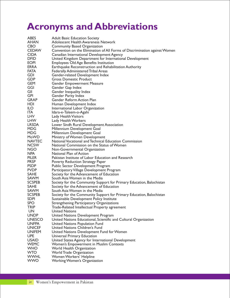## **Acronyms and Abbreviations**

| <b>ABES</b>   | <b>Adult Basic Education Society</b>                                       |
|---------------|----------------------------------------------------------------------------|
| AHAN          | Adolescent Health Awareness Network                                        |
| <b>CBO</b>    | <b>Community Based Organization</b>                                        |
| <b>CEDAW</b>  | Convention on the Elimination of All Forms of Discrimination against Women |
| <b>CIDA</b>   | Canadian International Development Agency                                  |
| <b>DFID</b>   | United Kingdom Department for International Development                    |
| <b>EOPI</b>   | <b>Employees Old Age Benefits Institution</b>                              |
| <b>ERRA</b>   | Earthquake Reconstruction and Rehabilitation Authority                     |
| <b>FATA</b>   | Federally Administered Tribal Areas                                        |
| GDI           | Gender-related Development Index                                           |
| <b>GDP</b>    | <b>Gross Domestic Product</b>                                              |
| <b>GEM</b>    | <b>Gender Empowerment Measure</b>                                          |
| GGI           | Gender Gap Index                                                           |
| GII           | Gender Inequality Index                                                    |
| GPI           | <b>Gender Parity Index</b>                                                 |
| <b>GRAP</b>   | Gender Reform Action Plan                                                  |
| <b>HDI</b>    | Human Development Index                                                    |
| ILO.          | International Labor Organization                                           |
| <b>ITA</b>    | Idara-e-Taleem-o-Agahi                                                     |
| LHV           | Lady Health Visitors                                                       |
| <b>LHW</b>    | Lady Health Workers                                                        |
| <b>LRSDA</b>  | Lower Sindh Rural Development Association                                  |
| MDG           | Millennium Development Goal                                                |
| MDG           | Millennium Development Goal                                                |
| MoWD          | Ministry of Women Development                                              |
| <b>NAVTEC</b> | National Vocational and Technical Education Commission                     |
| <b>NCSW</b>   | National Commission on the Status of Women                                 |
| NGO           | Non-Governmental Organization                                              |
| NPA           | National Plan of Action                                                    |
| <b>PILER</b>  | Pakistan Institute of Labor Education and Research                         |
| <b>PRSP</b>   | Poverty Reduction Strategy Paper                                           |
| <b>PSDP</b>   | Public Sector Development Program                                          |
| <b>PVDP</b>   | Participatory Village Development Program                                  |
| <b>SAHE</b>   | Society for the Advancement of Education                                   |
| SAWM          | South Asia Women in the Media                                              |
| <b>SCSPEB</b> | Society for the Community Support for Primary Education, Balochistan       |
| <b>SAHE</b>   | Society for the Advancement of Education                                   |
| SAWM          | South Asia Women in the Media                                              |
| <b>SCSPEB</b> | Society for the Community Support for Primary Education, Balochistan       |
| <b>SDPI</b>   | Sustainable Development Policy Institute                                   |
| <b>SPO</b>    | Strengthening Participatory Organizations                                  |
| <b>TRIP</b>   | Trade-Related Intellectual Property agreement                              |
| <b>UN</b>     | <b>United Nations</b>                                                      |
| <b>UNDP</b>   | United Nations Development Program                                         |
| <b>UNESCO</b> | United Nations Educational, Scientific and Cultural Organization           |
| <b>UNFPA</b>  | United Nations Population Fund                                             |
| <b>UNICEF</b> | United Nations Children's Fund                                             |
| <b>UNIFEM</b> | United Nations Development Fund for Women                                  |
| <b>UPE</b>    | Universal Primary Education                                                |
| <b>USAID</b>  | United States Agency for International Development                         |
| <b>WEMC</b>   | Women's Empowerment in Muslim Contexts                                     |
| <b>WHO</b>    | World Health Organization                                                  |
| <b>WTO</b>    | <b>World Trade Organization</b>                                            |
| <b>WWHL</b>   | Women Workers' Helpline                                                    |
| <b>WWO</b>    | Working Women's Organization                                               |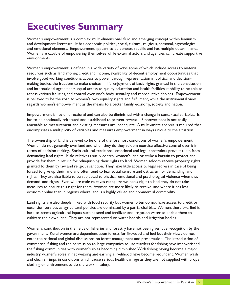## **Executives Summary**

Women's empowerment is a complex, multi-dimensional, fluid and emerging concept within feminism and development literature. It has economic, political, social, cultural, religious, personal, psychological and emotional elements. Empowerment appears to be context-specific and has multiple determinants. Women are capable of empowering themselves while external actors and agencies can create supportive environments.

Women's empowerment is defined in a wide variety of ways some of which include access to material resources such as land, money, credit and income, availability of decent employment opportunities that involve good working conditions, access to power through representation in political and decisionmaking bodies, the freedom to make choices in life, enjoyment of basic rights granted in the constitution and international agreements, equal access to quality education and health facilities, mobility to be able to access various facilities, and control over one's body, sexuality and reproductive choices. Empowerment is believed to be the road to women's own equality, rights and fulfillment, while the instrumental view regards women's empowerment as the means to a better family, economy, society and nation.

Empowerment is not unidirectional and can also be diminished with a change in contextual variables. It has to be continually reiterated and established to prevent reversal. Empowerment is not easily amenable to measurement and existing measures are inadequate. A multivariate analysis is required that encompasses a multiplicity of variables and measures empowerment in ways unique to the situation.

The ownership of land is believed to be one of the foremost conditions of women's empowerment. Women do not generally own land and when they do they seldom exercise effective control over it in terms of decision-making. Socio-cultural, traditional, emotional and legal constraints prevent them from demanding land rights. Male relatives usually control women's land or strike a bargain to protect and provide for them in return for relinquishing their rights to land. Women seldom receive property rights granted to them by law and religious sanction. They have little access to legal redress in case of being forced to give up their land and often tend to fear social censure and ostracism for demanding land rights. They are also liable to be subjected to physical, emotional and psychological violence when they demand land rights. Even where male relatives recognize women's right to land, they do not take measures to ensure this right for them. Women are more likely to receive land where it has less economic value than in regions where land is a highly valued and commercial commodity.

Land rights are also deeply linked with food security but women often do not have access to credit or extension services as agricultural policies are dominated by a patriarchal bias. Women, therefore, find it hard to access agricultural inputs such as seed and fertilizer and irrigation water to enable them to cultivate their own land. They are not represented on water boards and irrigation bodies.

Women's contribution in the fields of fisheries and forestry have not been given due recognition by the government. Rural women are dependent upon forests for firewood and fuel but their views do not enter the national and global discussions on forest management and preservation. The introduction of commercial fishing and the permission to large companies to use trawlers for fishing have impoverished the fishing communities with women's roles becoming diminished.With fishing having become a major industry, women's roles in net weaving and earning a livelihood have become redundant. Women wash and clean shrimps in conditions which cause serious health damage as they are not supplied with proper clothing or environment to do the work in safety.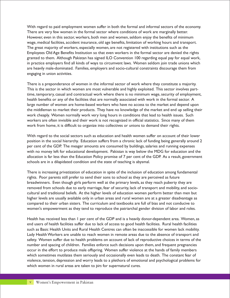With regard to paid employment women suffer in both the formal and informal sectors of the economy. There are very few women in the formal sector where conditions of work are marginally better. However, even in this sector, workers, both men and women, seldom enjoy the benefits of minimum wage, medical facilities, accident insurance, old age benefits, limitation of working hours and transport. The great majority of workers, especially women, are not registered with institutions such as the Employees Old Age Benefits Institution so that even workers in the formal sector are denied the rights granted to them. Although Pakistan has signed ILO Convention 100 regarding equal pay for equal work, in practice employers find all kinds of ways to circumvent laws. Women seldom join trade unions which are heavily male-dominated. Families, employers and socio-cultural constraints discourage them from engaging in union activities.

There is a preponderance of women in the informal sector of work where they constitute a majority. This is the sector in which women are most vulnerable and highly exploited. This sector involves parttime, temporary, casual and contractual work where there is no minimum wage, security of employment, health benefits or any of the facilities that are normally associated with work in the formal sector. A large number of women are home-based workers who have no access to the market and depend upon the middleman to market their products. They have no knowledge of the market and end up selling their work cheaply. Women normally work very long hours in conditions that lead to health issues. Such workers are often invisible and their work is not recognized in official statistics. Since many of them work from home, it is difficult to organize into collectives or unions to demand their rights.

With regard to the social sectors such as education and health women suffer on account of their lower position in the social hierarchy. Education suffers from a chronic lack of funding being generally around 2 per cent of the GDP. The meager amounts are consumed by buildings, salaries and running expenses with no money left for educational development. Pakistan is way below the MDG for education and the allocation is far less than the Education Policy promise of 7 per cent of the GDP. As a result, government schools are in a dilapidated condition and the state of teaching is abysmal.

There is increasing privatization of education in spite of the inclusion of education among fundamental rights. Poor parents still prefer to send their sons to school as they are perceived as future breadwinners. Even though girls perform well at the primary levels, as they reach puberty they are removed from schools due to early marriage, fear of security, lack of transport and mobility, and sociocultural and traditional beliefs. At the higher levels of education women perform better than men but higher levels are usually available only in urban areas and rural women are at a greater disadvantage as compared to their urban sisters. The curriculum and textbooks are full of bias and not conducive to women's empowerment as they tend to reproduce the patriarchal gender division of labor and roles.

Health has received less than 1 per cent of the GDP and is a heavily donor-dependent area. Women, as end users of health facilities suffer due to lack of access to good health facilities. Rural health facilities such as Basic Health Units and Rural Health Centres can often be inaccessible for women lack mobility. Lady Health Workers are unable to reach women in remote areas due to the absence of transport and safety. Women suffer due to health problems on account of lack of reproductive choices in terms of the number and spacing of children. Families enforce such decisions upon them, and frequent pregnancies occur in the effort to produce male offspring. Women suffer violence at the hands of family members which sometimes mutilates them seriously and occasionally even leads to death. The constant fear of violence, tension, depression and worry leads to a plethora of emotional and psychological problems for which women in rural areas are taken to *pirs* for supernatural cures.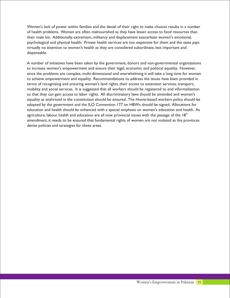Women's lack of power within families and the denial of their right to make choices results in a number of health problems. Women are often malnourished as they have lesser access to food resources than their male kin. Additionally, extremism, militancy and displacement exacerbate women's emotional, psychological and physical health. Private health services are too expensive for them and the state pays virtually no attention to women's health as they are considered subordinate, less important and dispensable.

A number of initiatives have been taken by the government, donors and non-governmental organizations to increase women's empowerment and ensure their legal, economic and political equality. However, since the problems are complex, multi-dimensional and overwhelming it will take a long time for women to achieve empowerment and equality. Recommendations to address the issues have been provided in terms of recognizing and ensuring women's land rights, their access to extension services, transport, mobility and social services. It is suggested that all workers should be registered to end informalization so that they can gain access to labor rights. All discriminatory laws should be amended and women's equality as enshrined in the constitution should be ensured. The Home-based workers policy should be adopted by the government and the ILO Convention 177 on HBWs should be signed. Allocations for education and health should be enhanced with a special emphasis on women's education and health. As agriculture, labour, health and education are all now provincial issues with the passage of the  $18<sup>th</sup>$ amendment, it needs to be ensured that fundamental rights of women are not violated as the provinces devise policies and strategies for these areas.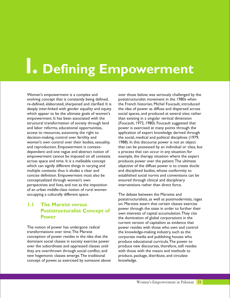# **1. Defining Empowerment**

Women's empowerment is a complex and over those below, was seriously challenged by the evolving concept that is constantly being defined, poststructuralist movement in the 1980s when re-defined, elaborated, sharpened and clarified. It is the French historian, Michel Foucault, introduced deeply inter-linked with gender equality and equity the idea of power as diffuse and dispersed across which appear to be the ultimate goals of women's social spaces, and produced at several sites rather empowerment. It has been associated with the than existing in a singular vertical dimension structural transformation of society through land (Foucault, 1972, 1980). Foucault suggested that and labor reforms, educational opportunities, power is exercised at many points through the access to resources, autonomy, the right to application of expert knowledge derived through decision-making, control over fertility and the social, medical and political disciplines (1979, women's own control over their bodies, sexuality, 1988). In this discourse power is not an object and reproduction. Empowerment is context- that can be possessed by an individual or class, but dependent: and one vague and abstract notion of a process that can occur in any situation; for empowerment cannot be imposed on all contexts example, the therapy situation where the expert across space and time. It is a malleable concept produces power over the patient. The ultimate which can signify different things in varying and objective of the diffuse power is to create docile<br>multiple contexts: thus it eludes a clear and and disciplined bodies, whose conformity to concise definition. Empowerment must also be established social norms and conventions can be conceptualized through women's own ensured through clinical and disciplinary perspectives and lives, and not as the imposition interventions rather than direct force. of an urban middle-class notion of rural women occupying a culturally different space. The debate between the Marxists and

#### **1.1 The Marxist versus Poststructuralist Concept of Power**

The notion of power has undergone radical power resides with those who own and control<br>transformations over time The Marxist the knowledge-making industry such as the conception of power resides in the idea that the corporate media and publishing houses who dominant social classes in society exercise power produce educational curricula. The power to<br>over the subordinate and oppressed classes until produce new discourses, therefore, still resides over the subordinate and oppressed classes until they are overthrown through social conflict, and with those with the means and methods to new hegemonic classes emerge.The traditional produce, package, distribute, and circulate concept of power, as exercised by someone above knowledge.

and disciplined bodies, whose conformity to

poststructuralists, as well as postmodernists, rages on. Marxists assert that certain classes exercise power through the state in order to further their own interests of capital accumulation.They cite the domination of global corporations in the current version of capitalism as evidence that the knowledge-making industry, such as the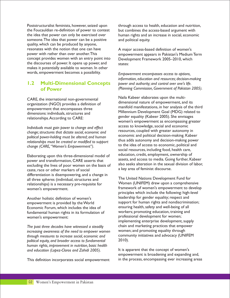the Foucauldian re-definition of power to contest but combines the access-based argument with the idea that power can only be exercised over human rights and an increase in social, economic someone. The idea that power can be a positive and political equity. quality, which can be produced by anyone, resonates with the notion that one can have <br>
power with rather than over another. This <br>
A major access-based definition of women's<br>
A major access-based definition of women's<br>
Medium the discourses of power. It opens up power, and  $_{\text{states}}$ : makes it potentially available to women. In other words, empowerment becomes a possibility. *Empowerment encompasses access to options,*

#### **1.2 Multi-Dimensional Concepts of Power**

organization (NGO) provides a definition of<br>empowerment that encompasses three

resources, coupled with greater autonomy in *change; structures that dictate social, economic and*  economic and political decision-making. Kabeer *political power-holding must be altered; and human*  relationships must be created or modified to support to the idea of access to economic, political and *change (CARE,"Women's Empowerment")*.

excluding the lives of poor women on the basis of also seeks alteration in the sexual discourse. caste, race or other markers of social differentiation is disempowering, and a change in all three spheres (individual, structures and The United Nations Development Fund for<br>relationships) is a necessary pre-requisite for Women (UNIFEM) drew upon a comprehensive relationships) is a necessary pre-requisite for women's empowerment.

Economic Forum, which includes the idea of ensuring health, safety and well-being of all<br>fundamental human rights in its formulation of workers; promoting education, training and fundamental human rights in its formulation of women's empowerment: woment professional development for women;

The past three decades have witnessed a steadily **chain and marketing practices that empo**<br>increasing awareness of the need to embower women **women; and promoting equality through** increasing awareness of the need to empower women vomen; and promoting equality through<br>*through measures to increase social economic and* community initiatives and advocacy (UNIFEM through measures to increase social, economic and communical equity and broader access to fundamental 2010). *political equity* 2010). *, and broader access to fundamental human rights, improvement in nutrition, basic health and education (Lopez-Claros and Zahidi 2005).* It is apparent that the concept of women's

Poststructuralist feminists, however, seized upon through access to health, education and nutrition,

power with rather than over another. This empowerment appears in Pakistan's Medium Term<br>concept provides women with an entry point into Development Framework 2005–2010, which Development Framework 2005–2010, which

> *information, education and resources; decision-making power and authority; and control over one's life. (Planning Commission, Government of Pakistan 2005).*

CARE, the international non-governmental<br>
according to the multi-dimensional nature of empowerment, and its<br>
dimensional nature of empowerment, and its manifold manifestations, in her analysis of the third Millennium Development Goal (MDG) related to dimensions: individuals, structures and gender equality (Kabeer 2005). She envisages relationships.According to CARE: women's empowerment as encompassing greater access to knowledge, social and economic *Individuals must gain power to change and effect*  social resources, including food, health care, Elaborating upon this three-dimensional model of education, credit, employment, ownership of assets, and access to media. Going further, Kabeer<br>power and transformation, CARE asserts that also seeks alteration in the sexual division of labor,

principles which include the following: high-level Another holistic definition of women's leadership for gender equality; respect and empowerment is provided by the World support for human rights and nondiscrimination; implementing enterprise development, supply<br>chain and marketing practices that empower

empowerment is broadening and expanding and, This definition incorporates social empowerment in the process, encompassing ever increasing areas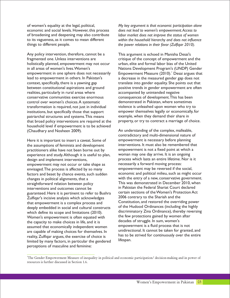economic and social levels. However, this process *does not lead to women's empowerment.Access to*  of broadening and deepening may also contribute *labor market does not improve the status of women*  things to different people. *the power relations in their favor (Zulfiqar 2010).*

Any policy intervention, therefore, cannot be a This argument is echoed in Manisha Desai's fragmented one. Unless interventions are critique of the concept of empowerment and the holistically planned, empowerment may not occur urban, elite and formal labor bias of the United in all areas of women's lives. Women's Nations Development Program's (UNDP) Gender empowerment in one sphere does not necessarily Empowerment Measure (2010). Desai argues that lead to empowerment in others. In Pakistan's a decrease in the measured gender gap does not context, specifically, there is a yawning gap translate into gender equality. She points out that between constitutional aspirations and ground positive trends in gender empowerment are often realities, particularly in rural areas where **accompanied by unintended negative** conservative communities exercise enormous consequences of development.This has been control over women's choices. A systematic transformation is required, not just in individual violence is unleashed upon women who try to<br>institutions, but specifically those that support empower themselves legally or economically, for institutions, but specifically those that support empower themselves legally or economical<br>
patriarchal structures and systems. This means example, when they demand their share in patriarchal structures and systems. This means example, when they demand their share in<br>that broad policy interventions are required at the property, or try to contract a marriage of choice. that broad policy interventions are required at the household level if empowerment is to be achieved (Chaudhary and Nosheen 2009). An understanding of the complex, malleable,

the assumptions of feminists and development interventions. It must also be remembered that<br>interventioners alike have not been borne out by empowerment is not a fixed point at which a practitioners alike have not been borne out by empowerment is not a fixed point at which experience and study. Although it is useful to plan. Woman may one day arrive. It is an ongoing experience and study. Although it is useful to plan, design and implement interventions,<br>
empowerment may not occur or take shape as <br>
processarily a forward moving process: empowerment may not occur or take shape as necessarily a forward moving process:<br>envisaged The process is affected by so many empowerment may be reversed if the social, envisaged.The process is affected by so many empowerment may be reversed if the social,<br>factors and beset by chance events, such sudden economic and political milieu, such as might occur factors and beset by chance events, such sudden changes in political alignments, that a<br>straightforward relation between policy  $\overline{ }$  This was demonstrated in December 2010, when straightforward relation between policy Fig. 2010, when straightforward relation between policy Fig. 2010, when straightforward relation between policy Fig. 2010, when straightforward in Pakistan the Federal Shariat Court in Pakistan the Federal Shariat Court declared<br>
guaranteed Here it is pertinent to refer to Bushra integrations of the Women's Protection Act guaranteed. Here it is pertinent to refer to Bushra certain sections of the Women's Protection Act guaranteed.<br>Tulfigar's incisive analysis which acknowledges and 2006 contrary to the Shariah and the Zulfiqar's incisive analysis which acknowledges 2006 contrary to the Shariah and the<br>that empowerment is a complex process and Constitution, and restored the overriding power that empowerment is a complex process and deeply embedded in social and cultural constructs of the Hudood Ordinances (including the highly which define its scope and limitations (2010). discriminatory Zina Ordinance), thereby reversing<br>Women's empowerment is often equated with the few protections gained by women after Women's empowerment is often equated with the few protections gained by women<br>the capacity to make choices in life and it is decades of struggle. In sum, women's the capacity to make choices in life, and it is decades of struggle. In sum, women's<br>assumed that economically independent women empowerment is a fluid process that is not assumed that economically independent women<br>are capable of making choices for themselves  $\ln$  and unidirectional. It cannot be taken for granted, and are capable of making choices for themselves. In and unidirectional. It cannot be taken for granted, and are capable of choice is a set of choice is a set of the mass to be strived for continuously over the entire reality, Zulfiqar argues, the exercise of choice is has to b<br>limited by many factors in particular the gendered lifespan. limited by many factors, in particular the gendered perceptions of masculine and feminine:

of women's equality at the legal, political, *My key argument is that economic participation alone*  to its vagueness, as it comes to mean different *within the household hierarchy and does not influence* 

contradictory and multi-dimensional nature of Here it is important to insert a caveat. Some of empowerment is necessary before planning<br>the assumptions of feminists and development interventions. It must also be remembered that

<sup>1</sup>The Gender Empowerment Measure of inequality in political and economic participation/ decision-making and in power of resources is further discussed in Section 1.6.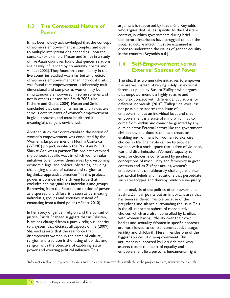#### **1.3 The Contextual Nature of Power**

It has been widely acknowledged that the concept<br>of women's empowerment is complex and open to multiple interpretations depending upon the in the country (Reynolds n.d.). context. For example, Mason and Smith in a study of five Asian countries found that gender relations are heavily influenced by community norms and values (2003).They found that community in the five countries studied was a far better predictor of women's empowerment than individual traits. It The idea that women take initiatives to empower<br>was found that empowerment is inherently multi-<br>themselves instead of relying solely on external dimensional and complex as women may be forces is upheld by Bushra Zulfiqar who argues simultaneously empowered in some spheres and that empowerment is a highly relative and not in others (Mason and Smith 2003, also complex concept with different articulation not in others (Mason and Smith 2003, also complex concept with different articulations for<br>Kishore and Gupta 2004). Mason and Smith different individuals (2010). Zulfigar believes it is concluded that community norms and values are not possible to address the issue of serious determinants of women's empowerment serious determinants of women's empowerment empowerment at an individual level, and that<br>in given contexts, and must be altered if empowerment is a state of mind which has to in given contexts, and must be altered if empowerment is a state of mind which has to<br>meaningful change is envisioned.

Another study that contextualized the notion of civil society and donors can help create an women's empowerment was conducted by the enabling environment for women to exercise<br>Women's Empowerment in Muslim Contexts environment in the Their role can be to provide Women's Empowerment in Muslim Contexts choices in life. Their role can be to provide<br>(WEMC) project, in which the Pakistani NGO women with a social space that is free of vi Shirkat Gah was a partner. This project examined fear and discrimination. Women's capacity to the context-specific ways in which women take the context-specific ways in which women take exercise choices is constrained by gendered<br>initiatives to empower themselves by overcoming conceptions of masculinity and femininity in economic, legal and political obstacles, including contexts and, as Zulfiqar argues, women's challenge and religion to empowerment can ultimately challenge and legitimize oppressive practices. $2$  ln this project, excludes and marginalizes individuals and groups. Borrowing from the Foucauldian notion of power  $\qquad$  In her analysis of the politics of empowerment, as dispersed and diffuse, it is seen as permeating  $\qquad$   $\qquad$   $\qquad$   $\qquad$   $\qquad$   $\qquad$   $\qquad$   $\qquad$   $\qquad$   $\qquad$   $\qquad$   $\q$ as dispersed and diffuse, it is seen as permeating Bushra Zulfiqar points out an important area that<br>individuals, groups and societies, instead of the state that has been rendered invisible because of the individuals, groups and societies, instead of has been rendered invisible because of the example in the issue of the intervals and silence surrounding the issue of the intervals and silence surrounding the issue of the int

In her study of gender, religion and the pursuit of choices, which are often controlled by families, justice, Farida Shaheed suggests that in Pakistan, with women having little say over their own<br>Islam has changed from a purely religious identity bodies and sexuality Women in specific cont Islam has changed from a purely religious identity bodies and sexuality.Women in specific contexts to a system that dictates all aspects of life (2009). are not allowed to control contraceptive usage,<br>Shaheed asserts that the real force that the set of the fortility and childbirth. Horein resides and of the Shaheed asserts that the real force that fertility and childbirth. Herein resides one of the disempowers women in the name of culture, disempowers women in the name of culture,<br>religion and tradition is the fusing of politics and<br>argument is supported by Lori Adelman w religion with the objective of capturing state<br>
power and exerting political influence. This<br>
empowerment lie a person's fundament

argument is supported by Nathalène Reynolds who argues that issues "specific to the Pakistani context, in which governments during brief democratic interludes have struggled to keep the order to understand the issues of gender equality

#### **1.4 Self-Empowerment versus External Sources of Power**

themselves instead of relying solely on external different individuals (2010). Zulfiqar believes it is come from within and cannot be granted by any outside actor. External actors like the government, (WEMC) project, in which the Pakistani NGO women with a social space that is free of violence, Shirkat Gah was a partner. This project examined  $\frac{1}{2}$  fear and discrimination. Women's capacity to conceptions of masculinity and femininity in given empowerment can ultimately challenge and alter legitimize oppressive practices. In this project, exerciarchal beliefs and institutions that perpetuate<br>power is considered the driving force that exercise such stereotypes and thereby reinforce inequality such stereotypes and thereby reinforce inequality.

> prejudices and silence surrounding the issue. This is the all-important sphere of reproductive argument is supported by Lori Adelman who empowerment lie a person's fundamental right

2 Information about the project, its aims and theoretical framework is available at the project website, www.wemc.com.hk.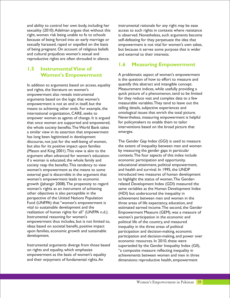and ability to control her own body, including her instrumental rationale for any right may be ease because of being forced into an early marriage or self-defeating for they perpetuate the idea that of being pregnant. On account of religious beliefs but because it serves some purpose that is wider and cultural prejudices women's sexual and and and external to their interests. reproductive rights are often shrouded in silence.

#### **1.5 Instrumental View of Women's Empowerment**

and rights, the literature on women's **Accord Measurement indices**, while usefully providing a arguments based on the logic that women's for they reduce vast and complex data to a few<br>empowerment is not an end in itself but the measurable variables. They tend to leave out the empowerment is not an end in itself, but the measurable variables. They tend to leave out the but the but the but the but the but the but the but the but the but the but the but the but the but the but the but the but the means to achieving other ends. For example, the international organization, CARE, seeks to empower women as agents of change. It is argued <br>
Nevertheless, measuring empowerment is helpful<br>
that once women are supported and empowered. If the policymakers to enable them to tailor that once women are supported and empowered, for policymakers to enable them to tailor<br>the whole society benefits The World Bank takes interventions based on the broad picture that the whole society benefits. The World Bank takes interventions based on the broad picture intervention as similar view in this assertion that empowerment a similar view in its assertion that empowerment has long been legitimized in development discourse, not just for the well-being of women, The Gender Gap Index (GGI) is used to measure but also for its positive impact upon families the extent of inequality between men and women (Mason and King 2001). This view is akin to the by measuring the gender gaps in particular<br>argument often advanced for women's education: contexts. The four aspects of this index include argument often advanced for women's education: contexts. The four aspects of this index intersection and opportunity, if a woman is educated, the whole family and society reap the benefits. This tendency to view educational attainment, political empowerment,<br>women's empowerment as the means to some and health and survival. In 1995, the UNDP women's empowerment as the means to some external goal is discernible in the argument that introduced two measures of human development women's empowerment leads to economic to highlight the status of women. The Gendergrowth (Jahangir 2008). The propensity to regard related Development Index (GDI) measured the women's rights as an instrument of achieving same variables as the Human Development Index other objectives is also perceptible in the (HDI) but underscored the inequality in perspective of the United Nations Population achievement between men and women in the Fund (UNFPA) that "women's empowerment is three areas of life expectancy, education, and realization of human rights for all" (UNFPA n.d.). Empowerment Measure (GEM), was a measure of Instrumental reasoning for women's  $\sim$  women's participation in the economic and empowerment thus includes, but is not limited to, political life of the country, and measured ideas based on societal benefit, positive impact inequality in the three areas of political ideas based on societal benefit, positive impact inequality in the three areas of political<br>upon families, economic growth and sustainable participation and decision-making, econ upon families, economic growth and sustainable participation and decision-making, economic

Instrumental arguments diverge from those based superseded by the Gender Inequality Index (GII),<br>on rights and equality, which emphasize "a composite measure reflecting inequality in empowerment as the basis of women's equality achievements between women and men in three<br>and their enjoyment of fundamental rights. An dimensions: reproductive health, empowerment

sexuality (2010). Adelman argues that without this access to such rights in contexts where resistance right, women risk being unable to fo to schools is observed. Nonetheless, such arguments become sexually harassed, raped or expelled on the basis empowerment is not vital for women's own sakes,

#### **1.6 Measuring Empowerment**

A problematic aspect of women's empowerment is the question of how to effort to measure and In addition to arguments based on access, equality quantify this abstract and intangible concept. empowerment also reveals instrumental quick picture of a phenomenon, tend to be limited<br>arguments based on the logic that women's for they reduce vast and complex data to a few ontological issues that enrich the total picture.

vital to sustainable development and the estimated earned income. The second, the Gender<br>realization of human rights for all" (UNFPA n.d.). Empowerment Measure (GEM), was a measure of women's participation in the economic and participation and decision-making, and power over economic resources. In 2010, these were "a composite measure reflecting inequality in dimensions: reproductive health, empowerment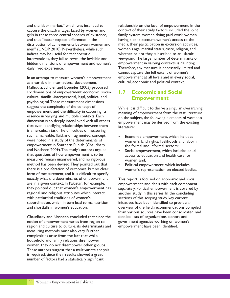and the labor market," which was intended to relationship on the level of empowerment. In the capture the disadvantages faced by women and context of their study, factors included the joint girls in these three central spheres of existence, family system, women doing paid work, women and thus "better expose differences in the having a bank account, women's access to the distribution of achievements between women and media, their participation in excursion activities, men" (UNDP 2010). Nevertheless, while such women's age, marital status, caste, religion, and indices may be useful for technocratic whether or not they subscribed to an Islamic interventions, they fail to reveal the invisible and viewpoint. The large number of determinants of hidden dimensions of empowerment and women's empowerment in varying contexts is daunting. hidden dimensions of empowerment and women's daily lived experience. Therefore, any measure is necessarily limited and

In an attempt to measure women's empowerment empowerment at all levels and in every social,<br>In as a variable in international development.<br>Cultural, economic and political context. as a variable in international development, Malhotra, Schuler and Boender (2003) proposed six dimensions of empowerment: economic, sociocultural, familial-interpersonal, legal, political and psychological.These measurement dimensions suggest the complexity of the concept of While it is difficult to derive a singular overarching<br>empowerment, and the difficulty in capturing its meaning of empowerment from the vast literature empowerment, and the difficulty in capturing its meaning of empowerment from the vast literature<br>essence in varying and multiple contexts. Each explore the following elements of women's essence in varying and multiple contexts. Each on the subject, the following elements of women's<br>dimension is so deeply inter-linked with all others ompowerment may be derived from the existing that even identifying relationships between them  $\frac{m}{\text{literature}}$ is a herculean task.The difficulties of measuring such a malleable, fluid, and fragmented, concept<br>were noted in a study of the determinants of<br>women's land rights, livelihoods and labor empowerment in Southern Punjab (Chaudhary<br>and Nosheen 2009). The study's authors argued<br>enconterparameters which included a section of the sectors; that questions of how empowerment is to be access to education and health care for measured remain unanswered, and no rigorous women; and, method has been devised. They pointed out that  $\cdot$  Political empowerment, which includes there is a proliferation of outcomes, but no clear form of measurement, and it is difficult to specify exactly what the determinants of empowerment This report is focused on economic and social are in a given context. In Pakistan, for example, empowerment, and deals with each component they pointed out that women's empowerment has separately. Political empowerment is covered by regional and religious attributes which interact another study in this series. In the concluding with patriarchal traditions of women's sections of this scoping study, key current subordination, which in turn lead to malnutrition initiatives have been identified to provide an and shortfalls in women's education. The source overview of the field, recommendations compiled

Chaudhary and Nosheen concluded that since the detailed lists of organizations, donors and notion of empowerment varies from region to government agencies working on women's region and culture to culture, its determinants and empowerment have been identified. measuring methods must also vary. Further complexities arise from the fact that while household and family relations disempower women, they do not disempower other groups. These authors suggest that a multivariate analysis is required, since their results showed a great number of factors had a statistically significant

cannot capture the full extent of women's

#### **1.7 Economic and Social Empowerment**

empowerment may be derived from the existing

- women's land rights, livelihoods and labor in
- Social empowerment, which includes equal
- women's representation on elected bodies.

from various sources have been consolidated, and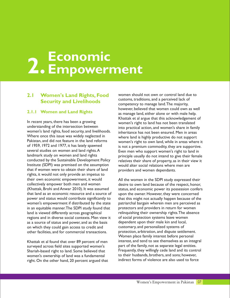### **2. Economic Empowerment**

#### **2.1 Women's Land Rights, Food Security and Livelihoods**

#### **2.1.1 Women and Land Rights**

In recent years, there has been a growing<br>understanding of the intersection between<br>into practical action, and women's share in fam understanding of the intersection between into practical action, and women's share in family<br>women's land rights, food security, and livelihoods. inheritance has not been ensured. Men in areas women's land rights, food security, and livelihoods. inheritance has not been ensured. Men in areas<br>Where once this issue was widely neglected in where land is bighty productive do not support Where once this issue was widely neglected in where land is highly productive do not support<br>Pakistan, and did not feature in the land reforms women's right to own land while in areas where Pakistan, and did not feature in the land reforms women's right to own land, while in areas where it of 1959, 1972 and 1977, it has lately spawned is not a premium commodity, they are supportive.<br>Several studies on women and land rights.A Even men who support women's right to land in several studies on women and land rights.A Even men who support women's right to land in<br>Iandmark study on women and land rights entity are principle usually do not intend to give their fema landmark study on women and land rights extinally principle usually do not intend to give their female<br>conducted by the Sustainable Development Policy exploring relatives their share of property as in their view it Institute (SDPI) was premised on the assumption would alter social relations where men are that if women were to obtain their share of land providers and women dependants. rights, it would not only provide an impetus to their own economic empowerment, it would<br>
All the women in the SDPI study expressed their<br>
collectively empower both men and women desire to own land because of the respect, honor, collectively empower both men and women desire to own land because of the respect, honor,<br>(Khattak, Brohi and Anwar 2010). It was assumed status, and economic power its possession confers (Khattak, Brohi and Anwar 2010). It was assumed status, and economic power its possession confers that land as an economic resource and a source of upon the owner. However, they were concerned power and status would contribute significantly to that this might not actually happen because of the women's empowerment if distributed by the state patriarchal bargain wherein men are perceived as in an equitable manner. The SDPI study found that protectors and providers in return for women land is viewed differently across geographical relinquishing their ownership rights. The absence regions and in diverse social contexts. Men view it of social protection systems leave women as a source of status and power, and as the basis dependent upon their male kin and local, on which they could gain access to credit and customary, and personalized systems of other facilities, and for commercial transactions. protection, arbitration, and dispute settlement. other facilities, and for commercial transactions.

surveyed across field sites supported women's women's ownership of land was a fundamental to their husbands, brothers, and sons; however,<br>right. On the other hand 20 percent argued that indirect forms of violence are also used to force right. On the other hand, 20 percent argued that

women should not own or control land due to customs, traditions, and a perceived lack of competency to manage land.The majority, however, believed that women could own as well as manage land, either alone or with male help. Khattak et al argue that this acknowledgement of relatives their share of property, as in their view it

upon the owner. However, they were concerned Women place family interest before personal Khattak et al found that over 89 percent of men interest, and tend to see themselves as an integral<br>surveyed across field sites supported women's part of the family, not as separate legal entities. Shariah-based right to land. Some believed that Frequently, they willingly cede land and its control<br>women's ownership of land was a fundamental to their husbands, brothers, and sons; however,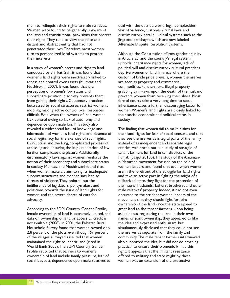Women were found to be generally unaware of fear of violence, customary tribal laws, and the laws and constitutional provisions that protect discriminatory parallel judicial systems such as the their rights. They tend to view the state as a jirga and panchayat, which are now labeled their rights. They tend to view the state as a distant and abstract entity that had not Alternate Dispute Resolution Systems. penetrated their lives.Therefore most women turn to personalized local systems to protect Although the Constitution affirms gender equality their interests. in Article 25, and the country's legal system

In a study of women's access and right to land political will and discriminatory cultural practices conducted by Shirkat Gah, it was found that deprive women of land. In areas where the<br>women's land rights were inextricably linked to custom of bride price prevails, women then access and control over assets (Mumtaz and are seen as property and commercial Noshirwani 2007). It was found that the commodities. Furthermore, illegal property from gaining their rights. Customary practices, formal courts take a very long time to settle difficult. Even when the owners of land, women their social, economic and political status in lack control owing to lack of autonomy and society. dependence upon male kin.This study also revealed a widespread lack of knowledge and The finding that women fail to make claims for Corruption and the long, complicated process of instead of as independent and separate legal<br>accessing and ensuring the implementation of law entities, was borne out in a study of struggle of accessing and ensuring the implementation of law further complicate the picture. Additionally, tenant farmers for land in ten districts of the discriminatory laws against women reinforce the Punjab (Saigol 2010b). This study of the Anjumannotion of their secondary and subordinate status e-Mazareen movement focused on the role of when women make a claim to rights, inadequate are in the forefront of the struggle for land rights support structures and mechanisms lead to and take an active part in fighting the might of a threats of violence.They pointed out the militarized state, they fight for the protection of politicians towards the issue of land rights for male relatives' property. Indeed, it had not even women, and the severe dearth of data for occurred to the strident women leaders of the advocacy. movement that they should fight for joint

According to the SDPI Country Gender Profile, female ownership of land is extremely limited, and asked about registering the land in their own data on ownership of land or access to credit is names or joint ownership, they appeared to like not available (2008). In 2001, the Pakistan Rural the idea and expressed enthusiasm, but Household Survey found that women owned only simultaneously disclosed that they could not see 2.8 percent of the plots, even though 67 percent themselves as separate from the family and of the villages surveyed asserted that women community.The male tenant farmers interviewed maintained the right to inherit land (cited in also supported the idea, but did not do anything World Bank 2005).The SDPI Country Gender practical to ensure their womenfolk had this Profile reported that barriers to women's right. It appears that the militant resistance ownership of land include family pressure, fear of offered to military and state might by these social boycott; dependence upon male relatives to women was an extension of the protective

them to relinquish their rights to male relatives. deal with the outside world, legal complexities,

upholds inheritance rights for women, lack of custom of bride price prevails, women themselves perception of women's low status and grabbing by in-laws upon the death of the husband subordinate position in society prevents them prevents women from receiving their share. Most buttressed by social structures, restrict women's inheritance cases, a further discouraging factor for mobility, making active control over resources women.Women's land rights are closely linked to

information of women's land rights and absence of their land rights for fear of social censure, and that social legitimacy for the exercise of such rights.<br>
they see themselves as integral parts of the family they see themselves as integral parts of the family in society. Mumtaz and Noshirwani found that women leaders, and found that even when women indifference of legislators, policymakers and their sons', husbands', fathers', brothers', and other ownership of the land once the state agreed to<br>grant land to the tenant farmers. Upon being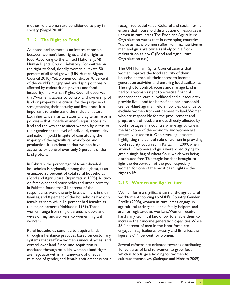#### **2.1.2 The Right to Food**

As noted earlier, there is an interrelationship men, and girls are twice as likely to die from between women's land rights and the right to malnutrition as boys" (Food and Agriculture between women's land rights and the right to malnutrition as boy<br>"food According to the United Nations (UN) Organization n.d.). food. According to the United Nations (UN) Human Rights Council Advisory Committee on the right to food, globally women cultivate 50 The UN Human Rights Council asserts that<br>
percent of all food grown (UN Human Rights Women improve the food security of their percent of all food grown (UN Human Rights women improve the food security of their<br>Council 2010). Yet. women constitute 70 percent households through their access to income-Council 2010). Yet, women constitute 70 percent of the world's hungry, and are disproportionally affected by malnutrition, poverty and food The right to control, access and manage land<br>insecurity. The Human Rights Council observes tied to a woman's right to exercise financial insecurity.The Human Rights Council observes tied to a woman's right to exercise financial<br>that "women's access to control and ownership of independence, earn a livelihood and subsequently that "women's access to control and ownership of independence, earn a livelihood and subsequently land or property are crucial for the purpose of provide livelihood for herself and her household.<br>In the purpose of the purpose of the provide livelihood for herself and her household.<br>Gender-blind agrarian reform policies important to understand the multiple factors – exclude women from entitlement to land. Wor<br>law, inheritance, marital status and agrarian reform who are responsible for the procurement and law, inheritance, marital status and agrarian reform who are responsible for the procurement and policies – that impede women's equal access to preparation of food, are most directly affected by<br>land and the way these affect women by virtue of food shortages in a country where agriculture is land and the way these affect women by virtue of food shortages in a country where agriculture<br>their gender at the level of individual, community the backbone of the economy and women are their gender at the level of individual, community the backbone of the economy and women are<br>and nation" (ibid.) In spite of constituting the integrally linked to it. One revealing incident and nation" (ibid.) In spite of constituting the production, it is estimated that women have food security occurred in Karachi in 2009, when access to or control over only 5 percent of the around 15 women and girls were killed trying to land globally. grab a single bag of wheat flour which was being

In Pakistan, the percentage of female-headed  $\frac{1}{2}$  light the desperation of the poor, especially<br>In puseholds is regionally among the highest, at an women, for one of the most basic rights – the households is regionally among the highest, at an women, for<br>estimated 25 percent of total rural households – tright to life. estimated 25 percent of total rural households (Food and Agriculture Organization 1995).A study on female-headed households and urban poverty in Pakistan found that 31 percent of the families, and 8 percent of the households had only workforce.According to SDPI's Country Gender female earners while 14 percent had females as Profile (2008), women in rural areas engage in the major earners (Mohiuddin 1989). These agricultural activity as unpaid family helpers, and women range from single parents, widows and are not registered as workers. Women receive wives of migrant workers, to women migrant hardly any technical knowhow to enable them to workers. **increase their income generation capacities.** While

Rural households continue to acquire lands engaged in agriculture, forestry and fisheries, the through inheritance practices based on customary figure is 69.9 percent for women. systems that reaffirm women's unequal access and control over land. Since land acquisition is Several reforms are oriented towards distributing mediated through male kin, women's land rights 10–20 acres of land to women to grow food, are negotiate within a framework of unequal which is too large a holding for women to<br>relations of gender, and female entitlement is not a cultivate themselves (Sadeque and Hisham 2009). relations of gender, and female entitlement is not a

mother role women are conditioned to play in recognized social value. Cultural and social norms society (Saigol 2010b). ensure that household distribution of resources is uneven in rural areas.The Food and Agriculture Organization warns that in developing countries "twice as many women suffer from malnutrition as

generation activities and ensuring food availability.<br>The right to control, access and manage land is strengthening their security and livelihood. It is Gender-blind agrarian reform policies continue to<br>important to understand the multiple factors – exclude women from entitlement to land. Women, majority of the agricultural workforce and highlighting the central role of women in providing distributed free.This tragic incident brought to

#### **2.1.3 Women and Agriculture**

Women form a significant part of the agricultural 38.4 percent of men in the labor force are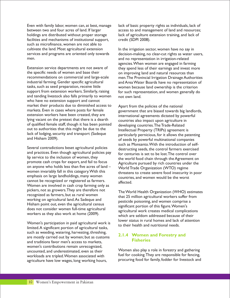between two and four acres of land. If larger access to and management of land and resources; holdings are distributed without proper storage lack of agriculture extension training, and lack of facilities and mechanisms of institutional support, credit (SDPI 2008). such as microfinance, women are not able to cultivate the land. Most agricultural extension In the irrigation sector, women have no say in men. and no representation in irrigation-related

Extension service departments are not aware of they spend less of their earnings and invest more<br>the specific needs of women and base their<br>on improving land and natural resources than the specific needs of women and base their on improving land and natural resources than<br>recommendations on commercial and large-scale men. The Provincial Irrigation Drainage Author recommendations on commercial and large-scale men. The Provincial Irrigation Drainage Authorities<br>industrial farming. Gender specific agricultural and Area Water Boards have no representation of industrial farming. Gender specific agricultural and Area Water Boards have no representation of tasks, such as seed preparation, receive little women because land ownership is the criterion<br>typport from extension workers. Similarly, raising for such representation, and women generally do and tending livestock also falls primarily to women not own land. who have no extension support and cannot market their products due to diminished access to Apart from the policies of the national<br>markets. Even in cases where posts for female markets. Even in cases where posts for female exportanent that are biased towards big landlords,<br>extension workers have been created, they are extensional agreements dictated by nowerful lying vacant on the pretext that there is a dearth countries also impact upon agriculture in of qualified female staff, though it has been pointed developing countries. The Trade-Related<br>out to authorities that this might be due to the latellectual Property (TRIPs) agreement out to authorities that this might be due to the Intellectual Property (TRIPs) agreement is<br>Iack of lodging, security and transport (Sadeque Interfectual Properticious for it allows the pat lack of lodging, security and transport (Sadeque particularly pernicious, for it allows the patenting and Hisham 2009).

Several contradictions beset agricultural policies destructing seeds, the control farmers exercised and practices. Even though agricultural policies pay for centuries is set to be lost. The control over<br>lip service to the inclusion of women, they the world food chain through the Agreement of IIP service to the inclusion of women, they the world food chain through the Agreement on<br>promote cash crops for export, and fail to focus on anyone who holds less than five acres of land –  $Word$  Trade Organization (WTO) regime<br>women invariably fall in this category. With this cannot be recognized or registered as farmers. Women are involved in cash crop farming only as pickers, not as growers. They are therefore not<br>recognized as farmers, but as rural women<br>that 25 million expiral turnless with from recognized as farmers, but as rural women<br>working on agricultural land. As Sadeque and<br>https://www.cide poisoning, and women comprise a Hisham point out, even the agricultural census<br>does not consider women full-time agricultural<br>workers as they also work at home (2009).

Women's participation in paid agricultural work is<br>limited.A significant portion of agricultural tasks, to their health and nutritional needs. such as weeding, watering, harvesting, threshing, are mostly carried out by women; but as customs and traditions favor men's access to markets, women's contributions remain unrecognized, uncounted, and underestimated, even as their<br>workloads are tripled Women associated with fuel for cooking. They are responsible for fencing, workloads are tripled. Women associated with tuel for cooking. They are responsible for fencing,<br>agriculture have low wages long working hours procuring food for family, fodder for livestock and agriculture have low wages, long working hours,

Even with family labor, women can, at best, manage lack of basic property rights as individuals, lack of

services and programs are oriented only towards decision-making, no clear-cut rights as water users, agencies.When women are engaged in farming for such representation, and women generally do

international agreements dictated by powerful of seeds by powerful multinational companies such as Monsanto.With the introduction of self-Agriculture pursued by rich countries under the women invariably fall in this category. With this threatens to create severe food insecurity in poor emphasis on large landholdings, many women countries, and women would be the worst

which are seldom addressed because of their

#### **2.1.4 Women and Forestry and Fisheries**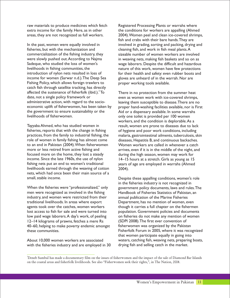fisheries, but with the mechanization and cleaning fish, and work in fish meal plants.A commercialization of the fishing industry, they sizeable number of women workers are involved were slowly pushed out. According to Najma in weaving nets, making fish baskets and so on as Sadeque, who studied the loss of women's wage laborers. Despite the difficult and hazardous livelihoods in fishing communities, the nature of this work, women have few protections introduction of nylon nets resulted in loss of for their health and safety: even rubber boots and income for women (Sarwar n.d.).The Deep Sea gloves are unheard of in the warrah. Nor are Fishing Policy, which allows foreign trawlers to proper working tools available. catch fish through satellite tracking, has directly affected the sustenance of fisherfolk (ibid.).<sup>3</sup> To affected the sustenance of fisherfolk (ibid.). To There in no protection from the summer heat date, not a single policy framework or even as women work with ice-covered shrimps date, not a single policy framework or even as women work with ice-covered shrimps,<br>administrative action, with regard to the socio-erading them susceptible to disease. There are no the government to ensure sustainability or the Aid or a dispensary available. In some warrahs<br>
livelihoods of fisherwomen.<br>
only one toilet is provided per 100 women

Tayyaba Ahmed, who has studied women in result, women are prone to diseases due to lack fisheries, reports that with the change in fishing of hygiene and poor work conditions, including role of women in family fishing has almost come diseases, Hepatitis B, and continuous backaches.<br>
to an end in Pakistan (2004). When fisherwomen Women workers are called in whenever a catch to an end in Pakistan (2004). When fisherwomen Women workers are called in whenever a catch<br>more or less retired from active fishing and arrives, even if it is in the middle of the night, and focused more on the home, they lost a steady during the high season, women may work for income. Since the late 1960s, the use of nylon 14–15 hours at a stretch. Girls as young as 15 fishing nets put an end to women's traditional years of age are employed in warrahs (Ahmed livelihoods earned through the weaving of cotton 2004). nets, which had once been their main source of a small, stable income. Despite these appalling conditions, women's role

When the fisheries were "professionalized," only government policy documents, laws and rules. The men were recognized as involved in the fishing Handbook of Fisheries Statistics of Pakistan, an industry, and women were restricted from their annual publication of the Marine Fisheries<br>traditional livelihoods. In areas where export Department, has no mention of women, et agents took over the catches, women workers though it carries a full chapter on the fishermen lost access to fish for sale and were turned into population. Government policies and documents low paid wage laborers. A day's work, of peeling on fisheries do not make any mention of women 12–14 kilograms of prawns, fetches a mere Rs (SDPI 2008).The first ever convention of 40–60, helping to make poverty endemic amongst fisherwomen was organized by the Pakistan

with the fisheries industry and are employed in 30

raw materials to produce medicines which fetch Registered Processing Plants or warrahs where extra income for the family. Here, as in other the conditions for workers are appalling (Ahmed areas, they are not recognized as full workers. 2004).Women peel and clean ice-covered shrimps, fish and crabs with their bare hands.They are In the past, women were equally involved in involved in grading, sorting and packing, drying and

leaving them susceptible to disease. There are no economic uplift of fisherwomen, has been taken by proper hand-washing facilities available, nor is First the government to ensure sustainability or the Aid or a dispensary available. In some warrahs only one toilet is provided per 100 women. workers, and the condition is deplorable.As a practices, from the family to industrial fishing, the malaria, gastrointestinal ailments, tuberculosis, skin arrives, even if it is in the middle of the night, and

in the fisheries industry is not recognized in Handbook of Fisheries Statistics of Pakistan, an Department, has no mention of women, even these communities. Fisherfolk Forum in 2005, where it was recognized that women participate equally in going into About 10,000 women workers are associated waters, catching fish, weaving nets, preparing boats,<br>with the fisheries industry and are employed in 30 drying fish and selling catch in the market.

<sup>3</sup>Deneb Sumbul has made a documentary film on the issues of fisherwomen and the impact of the sale of Diamond Bar Islands on the coastal areas and fisherfolk livelihoods. See also "Fisherwomen seek their rights,", in The Nation, 2008.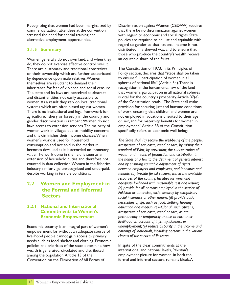commercialization, attendees at the convention that there be no discrimination against women stressed the need for special training and with regard to economic and social rights. State alternative employment opportunities. policies are required to be just and equitable with

#### **2.1.5 Summary**

Women generally do not own land, and when they an equitable share of the fruits. do, they do not exercise effective control over it. There are customary and traditional constraints The Constitution of 1973, in its Principles of<br>
on their ownership which are further exacerbated Policy section, declares that "steps shall be taken on their ownership which are further exacerbated Policy section, declares that "steps shall be that by dependence upon male relatives. Women by dependence upon male relatives. Women<br>themselves are reluctant to demand their inheritance for fear of violence and social censure. recognition in the fundamental law of the land The state and its laws are perceived as abstract that women's participation in all national spheres and distant entities, not easily accessible to is vital for the country's prosperity.Article 37(e)<br>women As a result they rely on local traditional of the Constitution reads: "The State shall make women. As a result they rely on local traditional systems which are often biased against women. provision for securing just and humane conditions<br>There is no institutional and legal framework for of work, ensuring that children and women are There is no institutional and legal framework for agriculture, fishery or forestry in the country and not employed in vocations unsuited to their age gender discrimination is rampant.Women do not or sex, and for maternity benefits for women in have access to extension services. The majority of employment." Article 38 of the Constitution women work in villages due to mobility concerns specifically refers to economic well-being: and this diminishes their income chances.When women's work is used for household *The State shall (a) secure the well-being of the people,* consumption and not sold in the market it *irrespective of sex, caste, creed or race, by raising their*  becomes devalued as it is accorded no monetary standard of living, by preventing the concentration of value. The work done in the field is seen as an *wealth and means of broduction and distribution in* value.The work done in the field is seen as an *wealth and means of production and distribution in*  counted in data collection.Women in the fisheries *and by ensuring equitable adjustment of rights*  industry similarly go unrecognized and underpaid, *between employers and employees, and landlords and*  despite working in terrible conditions. *tenants; (b) provide for all citizens, within the available* 

#### **2.2 Women and Employment in the Formal and Informal Sectors**

#### **2.2.1 National and International Commitments to Women's Economic Empowerment**

empowerment for without an adequate source of earnings of individuals, including p<br>livelihood people cannot gain access to primary classes of the service of Pakistan. *classes of the service of Pakistan.* livelihood people cannot gain access to primary needs such as food, shelter and clothing. Economic policies and priorities of the state determine how In spite of the clear commitments at the<br>wealth is generated, circulated and distributed international and national levels, Pakistan's wealth is generated, circulated and distributed among the population. Article 13 of the employment picture for women, in both the convention on the Flimination of All Forms of formal and informal sectors, remains bleak. A Convention on the Elimination of All Forms of

Recognizing that women had been marginalized by Discrimination against Women (CEDAW) requires regard to gender so that national income is not distributed in a skewed way, and to ensure that those who produce the country's wealth receive

spheres of national life" (Article 34). There is

the hands of a few to the detriment of general interest *resources of the country, facilities for work and adequate livelihood with reasonable rest and leisure; (c) provide for all persons employed in the service of Pakistan or otherwise, social security by compulsory social insurance or other means; (d) provide basic necessities of life, such as food, clothing. housing, education and medical relief, for all such citizens, irrespective of sex, caste, creed or race, as are permanently or temporarily unable to earn their livelihood on account of infirmity, sickness or*  Economic security is an integral part of women's unemployment; (e) reduce disparity in the income and empowerment for without an adequate source of earnings of individuals, including persons in the various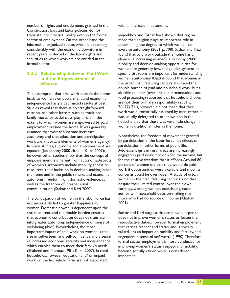number of rights and entitlements granted in the with an increase in autonomy. Constitution, laws and labor policies, do not translate into practical reality even in the formal Jeejeebhoy and Sathar have shown that region sector of employment. On the other hand the more than religion plays an important role in informal, unorganized sector, which is expanding determining the degree to which women can recent years, is devoid of the labor rights and found that paid work outside the home has a securities to which workers are entitled in the chance of increasing women's autonomy (2000). formal sector. The matrix of the Mobility and decision-making opportunities for

#### **2.2.2 Relationship between Paid Work and the Empowerment of Women**

leads to women's empowerment and economic food processing) reported that household chores independence has yielded mixed results at best. Studies reveal that there is no straightforward  $76-77$ ). This, however, did not mean that their relation, and other factors, such as traditional work was automatically assumed by men; rather it<br>family mores or social class, play a role in the was usually delegated to other women in the family mores or social class, play a role in the family delegated to other women in the<br>family mores or social class, play a role in the family more in the family delegated to other women in the ext extent to which women are empowered by paid household so that there was very little employment outside the home it was generally women's traditional roles in the home. employment outside the home. It was generally women's traditional roles in the home. assumed that woman's income increases autonomy, and that education and participation in Monetheless, the freedom of movement granted<br>work are important elements of women's agency. by participation in the labor force has effects on work are important elements of women's agency. by participation in the labor force has effects on . by participation in other forms of public life. In some studies, autonomy and empowerment are participation in other forms of public life.<br>In some studies, autonomy and empowerment are participation in some reasure increasingly equated (Jeejeebhoy 2000 cited in Khan 2007); Adolescent girls in rural areas are increasingly however other studies show that the concept of engaged in paid work, not only for the income, but<br>ennowerment is different from autonomy Aspects for the relative freedom that it affords. Around 80 empowerment is different from autonomy. Aspects for the relative freedom that it affords. Around<br>of women's autonomy include mobility access to percent of women say that they would do paid of women's autonomy include mobility, access to percent of women say that they would do paid<br>resources, their inclusion in decision-making inside work if opportunities were available, and mobility resources, their inclusion in decision-making inside work if opportunities were available, and mobilit the home and in the public sphere, and economic concerns could be overridden. A study of urban the home and in the public sphere, and economic concerns could be overridden.A study of urban<br>autonomy: freedom from domestic violence. as women in the manufacturing sector found that autonomy; freedom from domestic violence, as well as the freedom of interpersonal despite their limited control over their own communication (Sathar and Kazi 2000). earnings, working women exercised greater

not necessarily led to greater happiness for 2001). women. Domestic power is dependent upon the social context, and the double burden ensures Sathar and Kazi suggest that employment per se<br>that economic contribution does not translate does not improve women's status or lessen their into greater autonomy, independence or sense of reproductive duties; however, formal employment well-being (ibid.). Nevertheless, the most<br>important impact of paid work on women is the valued, has an impact on mobility and fertility, rise in self-esteem and self-confidence and a sense engenders a sense of self-worth (1990).Therefore of increased economic security and independence formal sector employment is more conducive for<br>which enables them to meet their family's needs improving women's status, respect and mobility, (Shaheed and Mumtaz 1981; Khan 2007). In rural households, however, education and/ or unpaid important. work on the household farm are not associated

considerably with the economic downturn in exercise autonomy (2001, p. 708). Sathar and Kazi women are generally low, and gender systems in specific situations are important for understanding women's autonomy. Khattak found that women in the urban manufacturing sectors also faced the double burden of paid and household work, but a The assumption that paid work outside the home sizeable number (over half in pharmaceuticals and are not their primary responsibility (2001, p.

authority in household decision-making than The participation of women in the labor force has those who had no source of income (Khattak

> does not improve women's status or lessen their valued, has an impact on mobility and fertility, and improving women's status, respect and mobility,<br>because socially valued work is considered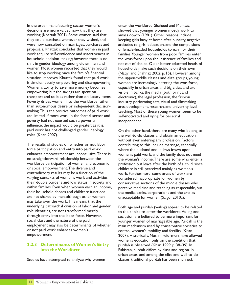In the urban manufacturing sector women's enter the workforce. Shaheed and Mumtaz decisions are more valued now that they are showed that younger women mostly work to working (Khattak 2001). Some women said that amass dowry (1981). Other reasons include they could purchase whatever they wished, and keeping girls busy at home after puberty, negative were now consulted on marriages, purchases and attitudes to girls' education, and the compulsions proposals. Khattak concludes that women in paid of female-headed households to earn for their work acquire self-confidence and assertiveness in families.Younger women from poor families enter household decision-making; however there is no the workforce upon the insistence of families and shift in gender ideology among either men and not out of choice. Older, better-educated heads of women. Most women reported that they would<br>like to stop working once the family's financial (Nagyi and Shahnaz 2002, p. 15). However, ame like to stop working once the family's financial (Naqvi and Shahnaz 2002, p. 15). However, among<br>situation improves. Khattak found that paid work the upper-middle classes and elite groups, young is simultaneously empowering and disempowering. women are increasingly entering the workforce, Women's ability to save more money becomes especially in urban areas and big cities, and are empowering, but the savings are spent on visible in banks, the media (both print and transport and utilities rather than on luxury items. electronic), the legal profession, the fashion Poverty drives women into the workforce rather industry, performing arts, visual and filmmaking than autonomous desire or independent decision- arts, development, research, and university level making. Thus the positive outcomes of paid work teaching. Most of these young women seem to be are limited. If more work in the formal sector, and self-motivated and vying for personal poverty had not exerted such a powerful independence. influence, the impact would be greater; as it is, paid work has not challenged gender ideology On the other hand, there are many who belong to<br>roles (Khan 2007). The well-to-do classes and obtain an education

The results of studies on whether or not labor contributing to this include marriage, especially<br>force participation and entry into paid work where the husband and in-laws frown upon enhances empowerment are inconclusive.There is women's paid work, and the family does not need no straightforward relationship between the the woman's income.There are some who enter a workforce participation of women and economic profession but leave after the birth of a child, since<br>or social empowerment. The diverse and example in the childcare is still perceived mainly as women's or social empowerment. The diverse and end of the childcare is still perceived mainly as women's contradictory results may be a function of the very work. Furthermore, some areas of work are varying contexts of women's work and activities, considered inappropriate for women by their double burdens and low status in society and conservative sections of the middle class their double burdens and low status in society and conservative sections of the middle classes who<br>within families. Even when women earn an income, superceive medicine and teaching as respectable by within families. Even when women earn an income, perceive medicine and teaching as respectable, but<br>their household chores and childcare functions the media banks corporations and the arts as are not shared by men, although other women unacceptable for women (Saigol 2010a). may take over the work.This means that the underlying patriarchal division of labor, and gender Both age and purdah (veiling) appear to be related role identities, are not transformed merely role identities, are not transformed merely<br>to the choice to enter the workforce. Veiling and<br>through entry into the labor force. However,<br>seclusion are believed to be more important for through entry into the labor force. However, seclusion are believed to be more important for<br>social class and the nature of the paid social class and the nature of the paid<br>employment may also be determinants of whether and mechanism used by conservative societies to employment may also be determinants of whether main mechanism used by conservative societies to<br>ontrol women's mobility and fertility (Khan or not paid work enhances women's control women's mobility and fertility (Khan<br>2007) Historically Muslim reformers have all

#### **2.2.3 Determinants of Women's Entry into the Workforce**

Studies have attempted to analyze why women classes, traditional purdah has been shunned,

the upper-middle classes and elite groups, young

the well-to-do classes and obtain an education without ever entering any profession. Factors where the husband and in-laws frown upon work. Furthermore, some areas of work are the media, banks, corporations and the arts as

2007). Historically, Muslim reformers have allowed women's education only on the condition that purdah is observed (Khan 1999, p. 38–39). In Pakistan, purdah differs by class and region. In urban areas, and among the elite and well-to-do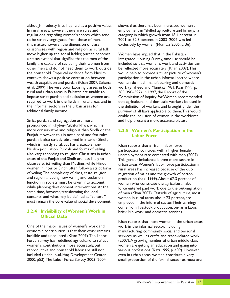although modesty is still upheld as a positive value. shows that there has been increased women's In rural areas, however, there are rules and employment in "skilled agriculture and fishery," a regulations regarding women's spaces which tend category in which growth from 48.4 percent in to be strictly segregated from those of men. In 2001 to 52.8 percent in 2003–2004 was led<br>this matter, however, the dimension of class exclusively by women (Mumtaz 2005, p. 36). crisscrosses with region and religion: as rural folk move higher up the social ladder, purdah becomes Women have argued that in the Pakistan a status symbol that signifies that the men of the Integrated Housing Survey, time use should be family are capable of secluding their women from included so that women's work and activities can other men and do not need them to work outside be reflected more accurately (Khan 2007).This the household. Empirical evidence from Muslim would help to provide a truer picture of women's contexts shows a positive correlation between participation in the urban informal sector where wealth acquisition and purdah (Khan 2007, Sultana women do much manufacturing and domestic et al. 2009).The very poor laboring classes in both work (Shaheed and Mumtaz 1981, Kazi 1999, p. rural and urban areas in Pakistan are unable to 385, 390–392). In 1997, the Report of the impose strict purdah and seclusion as women are Commission of Inquiry for Women recommended required to work in the fields in rural areas, and in that agricultural and domestic workers be used in the informal sectors in the urban areas for the definition of workers and brought under the additional family income. purview of all laws applicable to them.This would

Strict purdah and segregation are more **and help present a more accurate picture**. pronounced in Khyber-Pukhtunkhwa, which is more conservative and religious than Sindh or the Punjab. However, this is not a hard and fast rule: purdah is also strictly observed in interior Sindh, which is mostly rural, but has a sizeable non-<br>Muslim population. Purdah and forms of veiling participation coincides with a higher fe Muslim population. Purdah and forms of veiling participation coincides with a higher female<br>Also vary according to religion: Christians in urban promonovment rate compared with men (20 also vary according to religion: Christians in urban unemployment rate compared with men (2007).<br>areas of the Punjab and Sindh are less likely to This gender imbalance is even more severe in areas of the Punjab and Sindh are less likely to This gender imbalance is even more severe in<br>observe strict veiling than Muslims, while Hindu Turban areas Women's labor force participation observe strict veiling than Muslims, while Hindu either areas. Women's labor force participation in<br>women in interior Sindh often follow a strict form either areas has increased because of the outwomen in interior Sindh often follow a strict form rural areas has increased because of the out-<br>of veiling. The complexity of class, caste, religion represention of males and the growth of cotton of veiling. The complexity of class, caste, religion migration of males and the growth of cotton and region affecting how veiling and seclusion production (Kazi 1999) About 67.3 percent c and region affecting how veiling and seclusion production (Kazi 1999). About 67.3 percent of anticolity in the series of function in society must be taken into account function in society must be taken into account<br>women who constitute the agricultural labor<br>while planning development interventions. At the service entered paid work due to the out-migre while planning development interventions.At the force entered paid work due to the out-migration<br>same time, however, transforming the local of men (Khan 2007). Outside of agriculture, most contexts, and what may be defined as "culture," women in rural areas, about 73 percent, are<br>must remain the core value of social development. amployed in the informal sector Their earnis

#### **2.2.4 Invisibility of Women's Work in Official Data**

One of the major issues of women's work and work in the informal sector, including economic contribution is that their work remains manufacturing, community, social and personal<br>invisible and uncounted (Khan 2007). The Labor services, as well as crafts and trade-related wo Force Survey has redefined agriculture to reflect (2007). A growing number of urban middle class women's contributions more accurately, but women are getting an education and going into reproductive and household labor are still not various professions (Kazi 1999, p. 409). However, included (Mahbub-ul-Haq Development Center even in urban areas, women constitute a very

exclusively by women (Mumtaz 2005, p. 36).

enable the inclusion of women in the workforce

#### **2.2.5 Women's Participation in the Labor Force**

of men (Khan 2007). Outside of agriculture, most employed in the informal sector. Their earnings come from livestock production, on-farm labor, brick kiln work, and domestic services.

Khan reports that most women in the urban areas services, as well as crafts and trade-related work 2000, p53).The Labor Force Survey 2003–2004 small proportion of the formal sector, as most are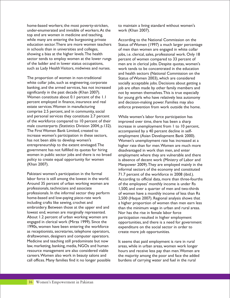home-based workers; the most poverty-stricken, to maintain a living standard without women's under-enumerated and invisible of workers.At the work (Khan 2007). top end are women in medicine and teaching, while many are entering the burgeoning private According to the National Commission on the education sector. There are more women teachers Status of Women (1997) a much larger percent in schools than in universities and colleges, of men than women are engaged in white collar showing a bias at the higher levels. The health jobs, i.e. clerical, sales, professional work. Only 18 sector tends to employ women at the lower rungs percent of women compared to 33 percent of of the ladder and in lower status occupations, men are in clerical jobs. Despite quotas, women's such as Lady Health Visitors, midwives and nurses. work tends to be concentrated in the education

The proportion of women in non-traditional Status of Women 2003), which are considered white collar jobs, such as engineering, corporate socially acceptable jobs. Decisions about getting a banking, and the armed services, has not increased job are often made by other family members and significantly in the past decade (Khan 2007). The not by women themselves. This is true especially Women constitute about 0.1 percent of the 1.1 for young girls who have relatively less autonomy percent employed in finance, insurance and real and decision-making power. Families may also estate services. Women in manufacturing enforce prevention from work outside the home. comprise 2.5 percent, and in community, social and personal services they constitute 2.7 percent While women's labor force participation has of the workforce compared to 10 percent of their improved over time, there has been a sharp male counterparts (Statistics Division 2004, p.132). increase in unemployment from 1 to 10 percent, The First Women Bank Limited, created to accompanied by a 40 percent decline in selfincrease women's participation in these sectors, employment (Asian Development Bank 2000). has not been able to develop women's Women's unemployment rate has increased at a entrepreneurship to the extent envisaged. The higher rate than for men. Women are much more government has not fulfilled its quotas for hiring disadvantaged in work than men, and enter women in public sector jobs and there is no broad employment where they are vulnerable and there<br>policy to create equal opportunity for women is absence of decent work (Ministry of Labor and policy to create equal opportunity for women is absence of decent work (Ministry of Labor and<br>Khan 2007). (Khan 2007).

Pakistani women's participation in the formal 71.7 percent of the workforce in 2008 (ibid.).<br>
labor force is still among the lowest in the world. According to official data, more than three-fore Around 35 percent of urban working women are of the employees' monthly income is under Rs<br>professionals, technicians and associate 1,500, and over a quarter of men and two-thire professionals, technicians and associate 1,500, and over a quarter of men and two-thirds<br>professionals. In the informal sector they perform of women have a monthly income of less than Rs home-based and low-paying piece-rate work 2,500 (Haque 2007). Regional analysis shows that including crafts like sewing, crochet and a higher proportion of women than men earn less embroidery. Between those at the upper end and than the minimum wage in urban and rural areas. lowest end, women are marginally represented. Nor has the rise in female labor force About 1.2 percent of urban working women are participation resulted in higher employment<br>engaged in clerical work (Mirza 1999). Since the opportunities, and there is a need for govern 1990s, women have been entering the workforce expenditure on the social sector in order to as receptionists, secretaries, telephone operators, create more job opportunities. draftswomen, designers and computer operators. Medicine and teaching still predominate but now It seems that paid employment is rare in rural<br>law, marketing, banking, media, NGOs and human areas, while in urban areas, women work longer law, marketing, banking, media, NGOs and human resource management are also considered viable hours and receive less pay than men.Women are careers.Women also work in beauty salons and the majority among the poor and face the added call offices. Many families find it no longer possible burdens of carrying water and fuel in the rural

Status of Women (1997) a much larger percentage and health sectors (National Commission on the

Manpower 2009). They are employed mainly in the informal sectors of the economy and constituted labor force is still among the lowest in the world. According to official data, more than three-fourths<br>Around 35 percent of urban working women are of the employees' monthly income is under Rs of women have a monthly income of less than Rs a higher proportion of women than men earn less opportunities, and there is a need for government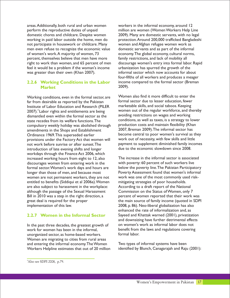areas.Additionally, both rural and urban women workers in the informal economy, around 12 perform the reproductive duties of unpaid million are women (Women Workers Help Line domestic chores and childcare. Despite women 2009). Many are domestic servants, with no legal<br>working in paid labor outside the home, men do protection. Around 200,000 trafficked Bangladesh not participate in housework or childcare. Many women and Afghan refugee women work as men even refuse to recognize the economic value domestic servants and as part of the informal<br>of women's work. A majority of women, 73 economy. The global economy, cultural norms, percent, themselves believe that men have more family restrictions, and lack of mobility all right to work than women, and 65 percent of men discourage women's entry into formal labor. Rapid feel it would be a problem if the woman's income urbanization has spurred the growth of the was greater than their own (Khan 2007). informal sector which now accounts for about

#### **2.2.6 Working Conditions in the Labor Market**

far from desirable as reported by the Pakistan formal sector due to lesser education, fewer<br>Institute of Labor Education and Research (PILER marketable skills, and social taboos. Keeping Institute of Labor Education and Research (PILER marketable skills, and social taboos. Keeping<br>2007) <sup>4</sup> Labor rights and entitlements are being women out of the regular workforce, and thereby 2007).<sup>4</sup>Labor rights and entitlements are being women out of the regular workforce, and the<br>dismantled even within the formal sector as the avoiding restrictions on wages and working dismantled even within the formal sector as the state recedes from its welfare functions. The compulsory weekly holiday was abolished through production costs and maintain flexibility (Kha<br>2007, Breman 2009). The informal sector has amendments in the Shops and Establishment<br>Ordinance 1969. This superseded earlier provisions under the Factory Act that women will introduction of late evening shifts and longer workdays through the Finance Act 2006, which increased working hours from eight to 12, also The increase in the informal sector is associated<br>discourages women from entering work in the with poverty: 60 percent of such workers live discourages women from entering work in the formal sector. Women's work days and hours are below the poverty line. The Pakistan Participatory<br>longer than those of men, and because most Poverty Assessment found that women's informal women are not permanent workers, they are not entitled to benefits (Siddiqui et al 2006a). Women mitigating strategies of poor households.<br>
are also subject to harassment in the workplace: According to a draft report of the National are also subject to harassment in the workplace: According to a draft report of the National<br>although the passage of the Sexual Harassment Commission on the Status of Women, only 7 although the passage of the Sexual Harassment Bill in 2010 was a step in the right direction, a percent of women reported that their work was great deal is required for the proper the main source of family income (quoted in SDPI)

#### **2.2.7 Women in the Informal Sector**

In the past three decades, the greatest growth of on women's work as informal labor does not work for women has been in the informal. unorganized sector, as home-based workers. Women are migrating to cities from rural areas and entering the informal economy. The Women Two types of informal systems have been<br>Workers Helpline estimates that out of 20 million identified by Blunch, Canagarajah and Raju (2001): Workers Helpline estimates that out of 20 million

protection. Around 200,000 trafficked Bangladeshi economy. The global economy, cultural norms, four-fifths of all workers and produces a meager income compared to the formal sector (Breman 2009).

Working conditions, even in the formal sector, are  $\frac{1}{2}$  Women also find it more difficult to enter the formal sector due to lesser education, fewer conditions, as well as taxes, is a strategy to lower production costs and maintain flexibility (Khan become central to poor women's survival as they<br>work out of necessity, with few skills and little not work before sunrise or after sunset. The payment to supplement diminished family incomes<br>
introduction of late evening shifts and longer due to the economic slowdown since 2008.

Poverty Assessment found that women's informal<br>work was one of the most commonly used riskimplementation of this law. 2008, p. 86). Neo-liberal globalization has also enhanced the rate of informalization and, as Sayeed and Khattak warned (2001), privatization and downsizing have further detrimental effects benefit from the laws and regulations covering<br>formal labor.

<sup>4</sup>Also see SDPI 2008, p.79.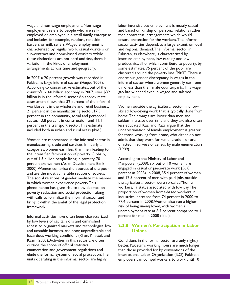employment refers to people who are self- and based on kinship or personal relations rather employed or employed in a small family enterprise than contractual arrangements which would and includes, for example, vendors, roadside ensure protection for the workers.The informal characterized by regular work, casual workers on and regional demand.The informal sector in sub-contract and home-based workers.While Pakistan, as elsewhere, is characterized by these distinctions are not hard and fast, there is insecure employment, low earning and low variation in the kinds of employment<br>
arrangements across time and geography.<br>
some estimates, 75 percent of the poor are arrangements across time and geography.

In 2007, a 20 percent growth was recorded in enormous gender discrepancy in wages in the According to conservative estimates, out of the third less than their male counterparts. This wage country's \$160 billion economy in 2007, over \$32 gap has widened even in waged and salaried billion is in the informal sector. An approximate employment. assessment shows that 32 percent of the informal workforce is in the wholesale and retail business, Women outside the agricultural sector find lowpercent in the community, social and personnel percent in the transport sector.This estimate less educated. Kazi and Raza argue that the included both in urban and rural areas (ibid.). The underestimation of female employment is greater

manufacturing, trade and services. In nearly all omitted in surveys of census by male enumerators categories, women earn less than men, leading to (1989). the intensified feminization of poverty. Globally, out of 1.3 billion people living in poverty, 70 According to the Ministry of Labor and<br>percent are women (Asian Development Bank Manpower (2009), six out of 10 women are percent are women (Asian Development Bank Manpower (2009), six out of 10 women are<br>2000). Women comprise the poorest of the poor, engaged in casual or piece-rate work (56.8) 2000). Women comprise the poorest of the poor, and are the most vulnerable section of society.<br>The social relations of gender mediate the manner and 17.5 percent of men with paid jobs outside The social relations of gender mediate the manner and 17.5 percent of men with paid jobs outsident in which women experience poverty. This in which women experience poverty. This the agricultural sector were so-called "home<br>phenomenon has given rise to new debates on workers," a status associated with low pay. The phenomenon has given rise to new debates on workers," a status associated with low pay. The poverty reduction and social protection along proportion of women home-based workers in poverty reduction and social protection, along with calls to formalize the informal sector and industries increased from 74 percent in 2000 to<br>bring it within the ambit of the legal protection 77.4 percent in 2008. Women also run a higher bring it within the ambit of the legal protection risk of being unemployed, with women's framework.

Informal activities have often been characterized percent for men in 2008 (ibid.). by low levels of capital, skills and diminished access to organized markets and technologies, low and unstable incomes, and poor, unpredictable and hazardous working conditions (Khan, Khattak and Kazmi 2005). Activities in this sector are often Conditions in the formal sector are only slightly<br>
outside the scope of official statistical better. Pakistan's working hours are much longer enumeration and government regulations and than those provided for by conventions of the elude the formal system of social protection. The linternational Labor Organization (ILO). Pakista units operating in the informal sector are highly employers can compel workers to work until 10

wage and non-wage employment. Non-wage labor-intensive but employment is mostly casual barbers or milk sellers. Waged employment is sector activities depend, to a large extent, on local clustered around the poverty line (PRSP).There is Pakistan's large informal sector (Haque 2007). informal sector where women generally earn one-

21 percent in the manufacturing sector, 17.5 skilled, low-paying work that is typically done from<br>percent in the community, social and personnel home. Their wages are lower than men and sector, 13.8 percent in construction, and 11.1 seldom increase over time and they are also often for those working from home, who either do not Women are represented in the informal sector in admit that they work for remuneration, or are

unemployment rate at 8.7 percent compared to 4

#### **2.2.8 Women's Participation in Labor Unions**

better. Pakistan's working hours are much longer International Labor Organization (ILO). Pakistani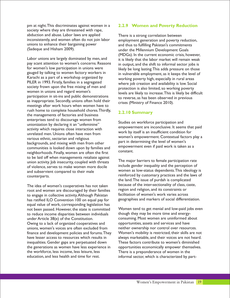pm at night.This discriminates against women in a society where they are threatened with rape, abduction and abuse. Labor laws are applied<br>inconsistently, and women often do not join labor employment generation and poverty re inconsistently, and women often do not join labor employment generation and poverty reduction,<br>unions to enhance their bargaining power and thus to fulfilling Pakistan's commitments unions to enhance their bargaining power and thus to fulfilling Pakistan's commitments<br>(Sadeque and Hisham 2009).

Labor unions are largely dominated by men, and<br>
pay scant attention to women's concerns. Reasons<br>
in output and the shift to informal sector jobs is pay scant attention to women's concerns. Reasons in output, and the shift to informal sector jobs is<br>for women's low participation in unions were likely be long lasting This adds pressure on those for women's low participation in unions were likely be long lasting. This adds pressure on those<br>gauged by talking to women factory workers in explored in vulnerable employment as it keeps the level of gauged by talking to women factory workers in in vulnerable employment, as it keeps the level of Karachi as a part of a workshop organized by Karachi as a part of a workshop organized by working poverty high, especially in rural areas<br>PILER in 1993. Firstly, families in a segregated where ich creation and availability is low Soci PILER in 1993. Firstly, families in a segregated where job creation and availability is low. Social society frown upon the free mixing of men and society frown upon the free mixing of men and<br>women in unions and regard women's<br>lovels are likely to increase. This is likely be difparticipation in sit-ins and public demonstrations to reverse, as has been observed in previous as inappropriate. Secondly, unions often hold their crises (Ministry of Finance 2010). meetings after work hours when women have to rush home to complete household chores.Thirdly, the managements of factories and business enterprises tend to discourage women from<br>
unionization by declaring it an "unfeminine"<br>
empowerment are inconclusive. It seems that paid activity which requires close interaction with unrelated men. Unions often have men from women's empowerment. Contextual factors play a<br>various ethnic, sectarian and religious<br>hadisments that the determining the level of women's part in determining the level of women's<br>communities is looked down upon by families and a empowerment even if paid work is taken as a communities is looked down upon by families and empower neighborhoods. Finally, women are often the first to be laid off when managements retaliate against union activity. Job insecurity, coupled with threats The major barriers to female participation rate dinclude the matrice generality, coupled with the case of violence, serves to make women more docile include gender inequality and the perception of and subservient compared to their male<br>women as low-status dependents. This ideology is reinforced by customary practices and the laws of counterparts.

root and women are discouraged by their families region and religion, and its constraints or<br>to engage in collective activity Although Pakistan facilitation of women's work varies across to engage in collective activity.Although Pakistan facilitation of women's work varies across to engage in collective activity.<br>Thas ratified II O Convention 100 on equal pay for geographies and markers of social differen has ratified ILO Convention 100 on equal pay for equal value of work, corresponding legislation has not been passed. However, the state is committed Women tend to get menial and low-paid jobs even<br>to reduce income disparities between individuals though they may be more time and energyto reduce income disparities between individuals under Article 38(e) of the Constitution.<br>
Owing to a lack of organized cooperatives and 
opportunities, assets and services and have Owing to a lack of organized cooperatives and opportunities, assets and services and have<br>unions, women's voices are often excluded from neither ownership nor control over resources. unions, women's voices are often excluded from finance and development policies and forums.They Women's mobility is restricted, their skills are not have lesser access to resources which results in always marketable, and their voices are not heard. inequalities. Gender gaps are perpetuated down These factors contribute to women's diminished the generations as women have less experience in opportunities economically empower themselves. the workforce, less income, less leisure, less There is a preponderance of women in the education, and less health and time for rest.

#### **2.2.9 Women and Poverty Reduction**

under the Millennium Development Goals (MDGs). In the current economic crisis, however, levels are likely to increase. This is likely be difficult

#### **2.2.10 Summary**

work by itself is an insufficient condition for

the land.The issue of purdah is complicated The idea of women's cooperatives has not taken because of the inter-sectionality of class, caste, root and women are discouraged by their families region and religion, and its constraints or

informal sector, which is characterized by part-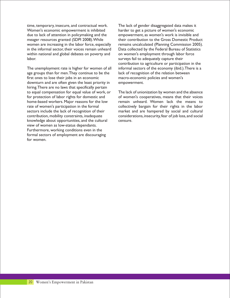time, temporary, insecure, and contractual work. The lack of gender disaggregated data makes it Women's economic empowerment is inhibited harder to get a picture of women's economic due to lack of attention in policymaking and the empowerment, as women's work is invisible and in the informal sector, their voices remain unheard Data collected by the Federal Bureau of Statistics within national and global debates on poverty and on women's employment through labor force labor. surveys fail to adequately capture their

age groups than for men. They continue to be the lack of recognition of the relation between first ones to lose their jobs in an economic macro-economic policies and women's downturn and are often given the least priority in empowerment. hiring.There are no laws that specifically pertain knowledge about opportunities, and the cultural censure. view of women as low-status dependants. Furthermore, working conditions even in the formal sectors of employment are discouraging for women.

meager resources granted (SDPI 2008). While their contribution to the Gross Domestic Product<br>women are increasing in the labor force, especially remains uncalculated (Planning Commission 2005). remains uncalculated (Planning Commission 2005). contribution to agriculture or participation in the The unemployment rate is higher for women of all informal sectors of the economy (ibid.). There is a

to equal compensation for equal value of work, or The lack of unionization by women and the absence for protection of labor rights for domestic and of women's cooperatives, means that their voices home-based workers. Major reasons for the low remain unheard. Women lack the means to rate of women's participation in the formal collectively bargain for their rights in the labor sectors include the lack of recognition of their market and are hampered by social and cultural contribution, mobility constraints, inadequate considerations, insecurity,fear of job loss, and social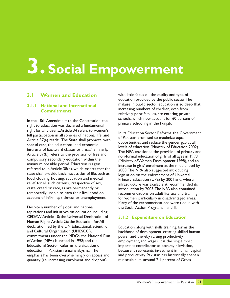# **3. Social Empowerment**

#### **3.1 Women and Education**

#### **3.1.1 National and International Commitments**

right to education was declared a fundamental right for all citizens. Article 34 refers to women's<br>full participation in all spheres of national life, and<br>Article 37(a) reads: "The State shall promote, with<br>opportunities and reduce the gender gap at all<br>opportunities special care, the educational and economic<br>interests of backward classes or areas." Similarly,<br>The NPA envisioned the provision of primary and Article 37(b) refers to the provision of free and<br>non-formal education of girls of all ages in 1998<br>Ministry of Women Development 1998) and an compulsory secondary education within the equal equal (Ministry of Women Development 1998), and an enimimum possible period. Education is again referred to in Article 38(d), which asserts that the 2000. The NPA also suggested introducing<br>state shall provide basic necessities of life, such as legislation on the enforcement of Universal state shall provide basic necessities of life, such as legislation on the enforcement of Universal<br>food, clothing, housing, education and medical primary Education (LIPF) by 2001 and where food, clothing, housing, education and medical Primary Education (UPE) by 2001 and, where relief, for all such citizens, irrespective of sex,<br>caste, creed or race, as are permanently or introduction by 2003. The NPA also contained caste, creed or race, as are permanently or introduction by 2003. The NPA also contained<br>temporarily unable to earn their livelihood on encommendations on adult literacy and training temporarily unable to earn their livelihood on recommendations on adult literacy and training<br>the recount of infirmity, sickness or unemployment. For women, particularly in disadvantaged areas.

Despite a number of global and national the Social Action Programs I and II. aspirations and initiatives on education including CEDAW Article 10; the Universal Declaration of Human Rights Article 26; the Education for All declaration led by the UN Educational, Scientific<br>
and Cultural Organization (UNESCO);<br>
backbone of development, creating skilled hun commitments under the MDGs; the National Plan power and thereby raising productivity,<br>of Action (NPA) launched in 1998: and the employment, and wages. It is the single i Educational Sector Reforms, the situation of important contributor to poverty alleviation,<br>
education in Pakistan remains abysmal. The because it represents investment in human ca emphasis has been overwhelmingly on access and and productivity. Pakistan has historically spent a quantity (i.e. increasing enrolment and dropout) miniscule sum, around 2.1 percent of Gross

with little focus on the quality and type of education provided by the public sector.The malaise in public sector education is so deep that increasing numbers of children, even from relatively poor families, are entering private In the 18th Amendment to the Constitution, the schools, which now account for 60 percent of primary schooling in the Punjab.

> increase in girls' enrolment at the middle level by for women, particularly in disadvantaged areas. Many of the recommendations were tied in with

#### **3.1.2 Expenditure on Education**

backbone of development, creating skilled human employment, and wages. It is the single most because it represents investment in human capital.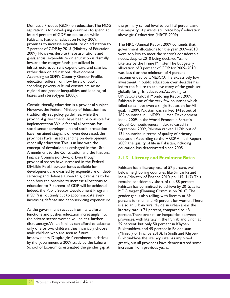aspiration is for developing countries to spend at the majority of parents still place boys' education least 4 percent of GDP on education, while above girls' education (HRCP 2009). Pakistan's National Education Policy, 2009, promises to increase expenditure on education to The HRCP Annual Report 2009 contends that<br>7 percent of GDP by 2015 (Ministry of Education government allocations for the year 2009–2010 7 percent of GDP by 2015 (Ministry of Education government allocations for the year 2009–2010 goals, actual expenditure on education is dismally needs, despite 2010 being declared Year of low, and the meager funds get utilized in Fulteracy by the Prime Minister. The budgetary<br>infrastructure, current expenditure, and salaries, Fullocation of 3 percent of GDP for 2009–2010 infrastructure, current expenditure, and salaries, allocation of 3 percent of GDP for 2009–2010<br>
rather than on educational development.<br>
was less than the minimum of 4 percent rather than on educational development. was less than the minimum of 4 percent<br>According to SDPI's Country Gender Profile, execommended by UNESCO. The excessiv According to SDPI's Country Gender Profile, recommended by UNESCO.The excessively low<br>education suffers from low levels of public entity investment in public education over decades has education suffers from low levels of public investment in public education over decades has<br>spending, poverty, cultural constraints, acute in the failure to achieve many of the goals set regional and gender inequalities, and ideological globally for girls' education. According to<br>biases and stereotypes (2008). [INESCO's Global Monitoring Report 20

Constitutionally, education is a provincial subject. failed to achieve even a single Education for All<br>However, the Federal Ministry of Education has spoal. In 2009, Pakistan was ranked 141st out of However, the Federal Ministry of Education has goal. In 2009, Pakistan was ranked 141st out of provincial governments have been responsible for Index 2009. In the World Economic Forum's<br>
implementation. While federal allocations for Global Competitiveness Index released in implementation. While federal allocations for Global Competitiveness Index released in<br>social sector development and social protection September 2009. Pakistan ranked 117th or have remained stagnant or even decreased, the 134 countries in terms of quality of primary provinces have raised spending on development, education.According to the HRCP Annual Report especially education. This is in line with the 2009, the quality of life in Pakistan, including concept of devolution as envisaged in the 18th education, has deteriorated since 2005. Amendment to the Constitution and the National Finance Commission Award. Even though provincial shares have increased in the Federal Divisible Pool, however, funds available for Pakistan has a literacy rate of 57 percent, well development are dwarfed by expenditure on debt-<br>servicing and defense. Given this, it remains to be lot india (Ministry of Finance 2010, pp. 145–147). The servicing and defense. Given this, it remains to be India (Ministry of Finance 2010, pp. 145–147). This seen how the promise to increase allocations to remains considerably short of the 88 percent seen how the promise to increase allocations to remains considerably short of the 88 percent<br>education to 7 percent of GDP will be achieved. Pakistan has committed to achieve by 2015 as education to 7 percent of GDP will be achieved. Pakistan has committed to achieve by 2015, as its<br>Indeed, the Public Sector Development Program MDG target (Planning Commission 2010). The (PSDP) is routinely cut to accommodate ever-<br>increasing defense and debt-servicing expenditure. percent for men and 45 percent for women

As the government recedes from its welfare literacy rate is 74 percent, compared to 48<br>functions and pushes education increasingly into percent. There are similar inequalities betwe functions and pushes education increasingly into percent. There are similar inequalities between<br>the private sector, women will be at a further provinces, with literacy in the Puniab and Sindh disadvantage. When families can afford to educate 59 percent; but only 50 percent in Khyber-<br>
only one or two children, they invariably choose Pukhtunkhwa and 45 percent in Balochistar only one or two children, they invariably choose Pukhtunkhwa and 45 percent in Balochistan<br>male children who are seen as future (Ministry of Finance 2010). In Sindh and Khyl breadwinners. Despite girls' enrolment initiatives Pukhtunkhwa the literacy rate has improved<br>by the government, a 2009 study by the Lahore greatly, but all provinces have demonstrated s School of Economics estimated the gender gap at increases from previous years.

Domestic Product (GDP), on education. The MDG the primary school level to be 11.3 percent, and

were too low to meet the sector's considerable led to the failure to achieve many of the goals set UNESCO's Global Monitoring Report 2009, Pakistan is one of the very few countries which 182 countries in UNDP's Human Development September 2009, Pakistan ranked 117th out of 2009, the quality of life in Pakistan, including

#### **3.1.3 Literacy and Enrolment Rates**

MDG target (Planning Commission 2010).The percent for men and 45 percent for women. There is also an urban-rural divide: in urban areas the provinces, with literacy in the Punjab and Sindh at (Ministry of Finance 2010). In Sindh and Khybergreatly, but all provinces have demonstrated some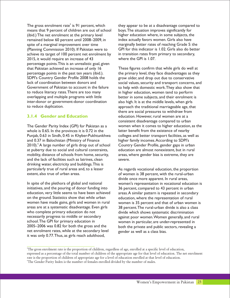means that 9 percent of children are out of school boys. The situation improves significantly for (ibid.) The net enrolment at the primary level higher education where, in some subjects, the remained below 60 percent until 2008-2009, in index actually favors women. Girls also have spite of a marginal improvement over time marginally better rates of reaching Grade 5: the (Planning Commission 2010). If Pakistan were to GPI for this indicator is 1.02. Girls also do better achieve its target of 100 percent net enrolment by in transition rates from primary to secondary, 2015, it would require an increase of 43 where the GPI is 1.07. percentage points.This is an unrealistic goal, given that Pakistan achieved an increase of only 16 These figures confirm that while girls do well at percentage points in the past ten years (ibid.). the primary level, they face disadvantages as they SDPI's Country Gender Profile 2008 holds the grow older, and drop out due to conservative lack of coordination between donors and social values, security and transport concerns, and Government of Pakistan to account in the failure to help with domestic work. They also show that to reduce literacy rates.There are too many in higher education, women tend to perform overlapping and multiple programs with little better in some subjects, and their enrolment is inter-donor or government-donor coordination also high. It is at the middle levels, when girls to reduce duplication. approach the traditional marriageable age, that

#### **3.1.4 Gender and Education**

Punjab, 0.63 in Sindh, 0.45 in Khyber-Pukhtunkhwa colleges and better transport facilities, as well as and 0.37 in Balochistan (Ministry of Finance higher family incomes.According to SDPI's 2010). <sup>6</sup> A large number of girls drop out of school Country Gender Profile, gender gaps in urban at puberty due to social and cultural constraints, education are almost nonexistent, but in rural mobility, distance of schools from home, security, areas, where gender bias is extreme, they are and the lack of facilities such as latrines, clean severe. drinking water, electricity and buildings.This is particularly true of rural areas and, to a lesser As regards vocational education, the proportion extent, also true of urban areas. The state of women is 38 percent, with the rural-urban

In spite of the plethora of global and national women's representation in vocational education is<br>initiatives, and the pouring of donor funding into 36 percent, compared to 43 percent in urban education, very little seems to have been achieved areas.A similar pattern is repeated in secondary on the ground. Statistics show that while urban education, where the representation of rural women have made gains, girls and women in rural women is 35 percent and that of urban women is areas are at a systematic disadvantage. Even girls 38 percent. The rural-urban divide is also a class areas are at a systematic disadvantage. Even girls 38 percent. The rural-urban divide is also a class<br>who complete primary education do not divide which shows systematic discrimination necessarily progress to middle or secondary against poor women. Women generally, and rural<br>school. The GPI for primary education in women in particular are under-represented in school.The GPI for primary education in state the women in particular, are under-represented in<br>1905–2006 was 0.82 for both the gross and the state hoth the private and public sectors, revealing a net enrolment rates, while at the secondary level gender as well as a class bias. it was only 0.77.Thus, as girls reach adulthood,

The gross enrolment rate $^{\rm s}$  is 91 percent, which they appear to be at a disadvantage compared to higher education where, in some subjects, the

there are social pressures to withdraw from education. However, rural women are at a consistent disadvantage compared to urban The Gender Parity Index (GPI) for Pakistan as a women when it comes to higher education, as the whole is 0.65. In the provinces it is 0.72 in the stater benefit from the existence of nearby latter benefit from the existence of nearby

> divide once more apparent. In rural areas, 36 percent, compared to 43 percent in urban divide which shows systematic discrimination both the private and public sectors, revealing a

<sup>5</sup>The gross enrolment rate is the proportion of children, regardless of age, enrolled at a specific level of education, expressed as a percentage of the total number of children of the appropriate age for that level of education. The net enrolment rate is the proportion of children of appropriate age for a level of education enrolled at that level of education.

<sup>6</sup>The Gender Parity Index is the number of females enrolled divided by the number of males.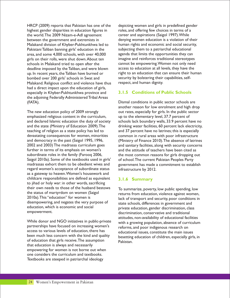HRCP (2009) reports that Pakistan has one of the depicting women and girls in predefined gender highest gender disparities in education figures in roles, and offering few choices in terms of a the world.The 2009 Nizam-e-Adl agreement career and aspirations (Saigol 1997).While between the government and extremists in denying women education is a violation of their Malakand division of Khyber-Pukhtunkhwa led to human rights and economic and social security, Pakistani Taliban banning girls' education in the subjecting them to a patriarchal educational area, and some 4,000 schools, with over 40,000 agenda that limits the opportunities they can girls on their rolls, were shut down.About ten imagine and reinforces traditional stereotypes schools in Malakand tried to open after the cannot be empowering. Women not only need<br>deadline imposed by the Taliban, and were blown access to education at all levels, they have the deadline imposed by the Taliban, and were blown access to education at all levels, they have the<br>up In recent vears, the Taliban have burned or right to an education that can ensure their human up. In recent years, the Taliban have burned or right to an education that can ensure their human bombed over<br>humann security by bolstering their capabilities, self-<br>bombed over 200 girls' schools in Swat and bombed over 200 girls' schools in Swat and security by bolstering their<br>Malakand, Religious conflict and violence have thus respect, and human dignity. Malakand. Religious conflict and violence have thus had a direct impact upon the education of girls, especially in Khyber-Pukhtunkhwa province and the adjoining Federally Administered Tribal Areas (FATA). Dismal conditions in public sector schools are

The new education policy of 2009 strongly out rates, especially for girls. In the public sector emphasized religious content in the curriculum, up to the elementary level, 37.7 percent of and declared Islamic education the duty of society schools lack boundary walls, 33.9 percent have no and the state (Ministry of Education 2009).The drinking water facilities, 60 percent lack electricity, teaching of religion as a state policy has led to and 37 percent have no latrines; this is especially devastating consequences for women, minorities common in rural areas with poor infrastructure and democracy in the past (Saigol 1995, 1996, (Ministry of Finance 2010).The absence of latrines 2002 and 2003) The madrassa curriculum goes and sanitary facilities, along with security concerns further in terms of its emphasis on women's and the attitude of teachers have been cited as subordinate roles in the family (Farooq 2006, the most common reasons for girls dropping out Saigol 2010a). Some of the textbooks used in girls' of school. The current Pakistan Peoples Party<br>madrassas exhort them to be obedient wives and sovernment has made a commitment to estab regard women's acceptance of subordinate status infrastructure by 2012. as a gateway to heaven.Women's housework and childcare responsibilities are defined as equivalent to jihad or holy war: in other words, sacrificing their own needs to those of the husband bestows To summarize, poverty, low public spending, low<br>the status of martyrdom on women (Saigol returns from education violence against women the status of martyrdom on women (Saigol returns from education, violence against women,<br>2010a). This "education" for women is returns that of transport and security poor conditions in disempowering, and negates the very purpose of state schools, differences in government and education, which is economic and social education, which is economic and social private education, gender discrimination, class<br>empowerment. discrimination conservative and traditional

While donor and NGO initiatives in public-private with a growing population, absence of curriculum partnerships have focused on increasing women's reforms, and poor indigenous research on access to various levels of education, there has access to various levels of education, there has educational issues, constitute the main issues<br>been much less concern with the kind and quality encorring education of children especially sink of education that girls receive. The assumption Pakistan. that education is always and necessarily empowering for women is not borne out when one considers the curriculum and textbooks. Textbooks are steeped in patriarchal ideology

#### **3.1.5 Conditions of Public Schools**

another reason for low enrolment and high drop government has made a commitment to establish

#### **3.1.6 Summary**

lack of transport and security, poor conditions in discrimination, conservative and traditional attitudes, non-availability of educational facilities besetting education of children, especially girls, in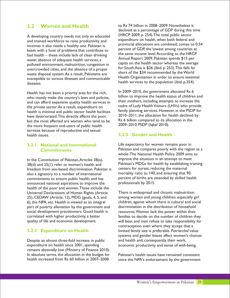#### **3.2 Women and Health**

incomes it also needs a healthy one. Pakistan is percent of GDP, the lowest among countries at<br>beset with a host of problems that contribute to<br>the same income level. According to the HRCP bad health – these include lack of clean drinking the same income level. According to the HRCI<br>Bad health services a communication of adoptive health services a communication of a contract above the HRCI water, absence of adequate health services, a communication and Report 2009, Pakistan spends \$15 per polluted environment, malnutrition, congestion in capita on the health sector whereas the average<br>exercovided cities and the absence of a proper for South Asia is \$26 (ibid. p. 253). This falls far overcrowded cities, and the absence of a proper<br>waste dipposal system As a result Pakistanis are short of the \$34 recommended by the World waste disposal system. As a result, Pakistanis are short of the \$34 recommended by the World<br>Health Organization in order to ensure essential susceptible to various illnesses and communicable health services to the population (ibid. p.254). diseases.

who mostly make the country's laws and policies,<br>and can afford expensive quality health services in their mothers, including attempts to increase the and can afford expensive quality health services in cadre of Lady Health Visitors (LHVs) who provide<br>health is minimal and public sector health facilities family planning services. However, in the PSDP for health is minimal and public sector health facilities tamily planning services. However, in the PSDP for health declined by<br>have deteriorated This directly affects the poor 2010–2011, the allocation for health declined by have deteriorated. This directly affects the poor, 2010–2011, the allocation for health declined<br>but the most affected are women who tend to be Rs 6 billion compared to its allocation in the but the most affected are women who tend to be RS 6 billion compared to its allo<br>the more frequent end-users of public health 2009–2010 PSDP (Igbal 2010). the more frequent end-users of public health services because of reproductive and sexual health issues.

#### **3.2.1 National and International Commitments**

 $38(d)$  and  $25(1)$  refer to women's health and Pakistan's MDGs for health by establishing training<br>freedom from sex-based discrimination Pakistan is centers for nurses, reducing the maternal freedom from sex-based discrimination. Pakistan is centers for nurses, reducing the maternal<br>also a signatory to a number of international mortality ratio to 140, and ensuring that 90 also a signatory to a number of international commitments to ensure public health, and has  $\frac{1}{2}$  percent of births are attended by skilled health announced national aspirations to improve the  $\frac{1}{2}$  professionals by 2015. announced national aspirations to improve the health of the poor and women.These include the Universal Declarations of Human Rights (Article There is widespread and chronic malnutrition 25), CEDAW (Article, 12), MDG (goals, 4, 5, and among women and young children, especially girl 6), the NPA, etc. Health is viewed as an integral children, against whom there is cultural and social part of poverty alleviation by the government and discrimination in the distribution of household social development practitioners. Good health is resources. Women lack the power within their correlated with higher productivity, a better families to decide on the number of children they

#### **3.2.2 Expenditure on Health**

Despite an almost three-fold increase in public and health and, consequently, their work, expenditure on health since 2001, spending expending economic productivity and sense of well-being. remains abysmally low (Ministry of Finance 2010). In absolute terms, the allocation in the budget for Pakistan's health issues have remained consistent<br>health increased from Rs 60 billion in 2007–2008 since the NPA's endorsement by the government

to Rs 74 billion in 2008–2009. Nonetheless it declined as a percentage of GDP during this time A developing country needs not only an educated (HRCP 2009, p. 254). The total public sector expenditure on health, when both federal and and trained workforce to raise productivity and expenditure on health, when both federal and<br>incomes it also needs a boalthy one Pakistan is provincial allocations are combined, comes to 0.54

Health has not been a priority area for the rich,<br>who mostly make the country's laws and policies billion to improve the health status of children and

#### **3.2.3 Gender and Health**

Life expectancy for women remains poor in Pakistan and compares poorly with the region as a whole.The National Health Policy 2009 aims to In the Constitution of Pakistan, Articles  $38(a)$ , improve the situation in an attempt to meet

quality of life and economic development. will bear, and men refuse to take responsibility for contraception even where they accept that a limited family size is preferable. Patriarchal value systems and gender biases affect women's choices

since the NPA's endorsement by the government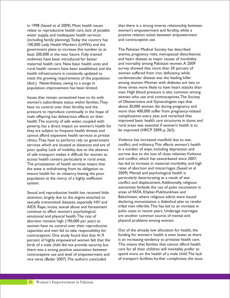relate to reproductive health care, lack of potable women's empowerment and fertility, while a water supply, and inadequate health services positive relation exists between empowerment (including family planning).Today the country has and contraceptive use. 100,000 Lady Health Workers (LHWs) and the government plans to increase this number to at The Pakistan Medical Society has described least 200,000 in the near future. Fully trained anemia, pregnancy risks, menopausal disturbances<br>
midwives have been introduced for better and heart disease as maior causes of morbidity maternal health care. New basic health units and and mortality among Pakistani women. A 2009<br>
rural health centers have been established, and the survey showed that more than 50 percent of rural health centers have been established, and the survey showed that more than 50 percent of health infrastructure is constantly updated to women suffered from iron deficiency, while health infrastructure is constantly updated to meet the growing requirements of the population cardiovascular disease was the leading killer (ibid.). Nevertheless, owing to a surge in among women. Women with diabetes are two or population, improvement has been limited. three times more likely to have heart attacks than

women's subordinate status within families. They have no control over their fertility and the about 30,000 women die during pregnancy and<br>pressure to reproduce continually in the hope of more than 400,000 suffer from pregnancy-related pressure to reproduce continually in the hope of more than 400,000 suffer from pregnancy-re<br>male offspring has deleterious effects on their complications every year, and remarked that male offspring has deleterious effects on their poverty, has a direct impact on women's health for rural areas was essential if woment<br>they are subiect to frequent health threats and be improved (HRCP 2009, p. 263). they are subject to frequent health threats and cannot afford expensive health services at private clinics. They have to perforce rely on government<br>services which are located at distances and are of conflict, and militancy. This affects women's health services which are located at distances and are of conflict, and militancy. This affects women's health poor quality. Lack of mobility due to the absence in a number of ways, including depression and poor quality. Lack of mobility due to the absence in a number of ways, including depression and<br>of safe transport makes it difficult for women to sorrow due to the loss of close relatives. Violence of safe transport makes it difficult for women to sorrow due to the loss of close relatives. Violence of safe<br>access health centers particularly in rural areas. and conflict, which has exacerbated since 2007, access health centers particularly in rural areas. The privatization of health services means that has led to increase in maternal morbidity and high<br>the state is withdrawing from its obligation to rates of abortion and miscarriages (Saeed et al the state is withdrawing from its obligation to rates of abortion and miscarriages (Saeed ensure health for its citizenry leaving the poor 2009). Mental and psychological health is ensure health for its citizenry, leaving the poor 2009). Mental and psychological health is<br>population at the mercy of a highly inefficient particularly deteriorating as a result of war, population at the mercy of a highly inefficient system. conflict and displacement.Additionally, religious

Sexual and reproductive health has received little areas of FATA, Khyber-Pukhtunkhwa and attention, largely due to the stigma attached to Balochistan, where religious edicts were issued<br>sexually transmitted diseases, especially HIV and declaring immunization a diabolical plan to render sexually transmitted diseases, especially HIV and declaring immunization a diabolical plan to rende<br>AIDS. Rape, incest, sexual abuse and harassment tribal men infertile. This has led to an increase in AIDS. Rape, incest, sexual abuse and harassment continue to affect women's psychological,<br>
emotional and physical health The rate of are another common source of mental and<br>
emotional and physical health The rate of are another common source of mental and emotional and physical health. The rate of are another common source of m<br>abortion remains high (190.000 per year) as a physical problems among women. abortion remains high (190,000 per year) as women have no control over their reproductive capacities and men fail to take responsibility for Out of the already low allocation for health, the<br>contraception. One study found that that 41.9 funding for women's health is even lower, as there contraception. One study found that that 41.9 funding for women's health is even lower, as there<br>percent of highly empowered women felt that the is an increasing tendency to privatize health care. percent of highly empowered women felt that the is an increasing tendency to privatize health care.<br>birth of a male child did not provide security, but This means that families that cannot afford health birth of a male child did not provide security, but This means that families that cannot afford health contraceptive use and level of empowerment and vice versa (Badar 2007).The authors concluded of transport facilities further complicates the issue

in 1998 (Saeed et al 2009). Most health issues that there is a strong inverse relationship between

and heart disease as major causes of morbidity men. High blood pressure is also common among Issues that remain unresolved have to do with women who use oral contraceptives. The Society<br>Issues that women's subordinate status within families. They of Obstetricians and Gynecologists says that health. The scarcity of safe water, coupled with improved basic health care structures in slums and , poverty has a direct impact on women's health for rural areas was essential if women's health is to

extremists forbade the use of polio vaccination in

there was a strong positive association between care for all their children will inevitably prefer to<br>contraceptive use and level of empowerment and spend more on the health of a male child. The lack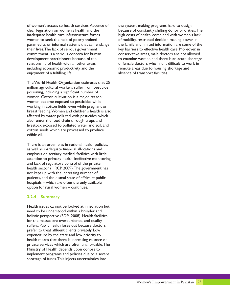of women's access to health services.Absence of the system, making programs hard to design inadequate health care infrastructure forces high costs of health, combined with women's lack women to seek the help of poorly trained<br>
paramedics or informal systems that can endanger the family and limited information are some of t their lives. The lack of serious government key barriers to effective health care. Moreover, in commitment is a serious concern for human conservative areas, male doctors are not allowed relationship of health with all other areas, of female doctors who find it difficult to work in including economic productivity and the remote areas due to housing shortage and enjoyment of a fulfilling life.  $\blacksquare$  absence of transport facilities.

The World Health Organization estimates that 25 million agricultural workers suffer from pesticide poisoning, including a significant number of women. Cotton cultivation is a major reason: women become exposed to pesticides while working in cotton fields, even while pregnant or breast feeding.Women and children's health is also affected by water polluted with pesticides, which also enter the food chain through crops and livestock exposed to polluted water and soil, and cotton seeds which are processed to produce edible oil.

There is an urban bias in national health policies, as well as inadequate financial allocations and emphasis on tertiary medical facilities with little attention to primary health, ineffective monitoring and lack of regulatory control of the private health sector (HRCP 2009).The government has not kept up with the increasing number of patients, and the dismal state of affairs at public hospitals – which are often the only available option for rural women – continues.

#### **3.2.4 Summary**

Health issues cannot be looked at in isolation but need to be understood within a broader and holistic perspective (SDPI 2008). Health facilities for the masses are overburdened, and quality suffers. Public health loses out because doctors prefer to treat affluent clients privately. Low expenditure by the state and low priority to health means that there is increasing reliance on private services which are often unaffordable.The Ministry of Health depends upon donors to implement programs and policies due to a severe shortage of funds.This injects uncertainties into

clear legislation on women's health and the because of constantly shifting donor priorities.The the family and limited information are some of the development practitioners because of the to examine women and there is an acute shortage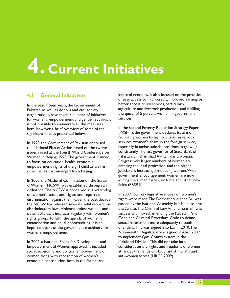# **4. Current Initiatives**

Pakistan, as well as donors and civil society equall agriculture and livestock production, and fulfilling Pakistan, and fulfilling parameters of initiatives the quota of 5 percent women in government organizations, have taken a number of initiatives the quota of 5 percent and good taken a number of initiatives for women's empowerment and gender equality. It is not possible to enumerate all the measures here; however, a brief overview of some of the limities second Poverty Reduction Strategy Paper (PRSP-II), the government declares its aim of significant ones is presented below.

In 1998, the Government of Pakistan endorsed<br>the National Plan of Action based on the twelve issues raised at the Fourth World Conference on consistently.The last governor of State Bank of issues woman.<br>Women in Beijing, 1995. The government planned Pakistan, Dr. Shamshad Akhtar, was a woman. Women in Beijing, 1995. The government planned Pakistan, Dr. Shamshad Akhtar, was a woman.<br>1995. The government planned Progressively larger numbers of women are to focus on education, health, economic<br>
ennowerment, rights of the girl child as well as entering the legal profession, and the higher empowerment, rights of the girl child as well as other issues that emerged from Beijing. judiciary is increasingly inducting women.With

of Women (NCSW) was established through an ordinance.The NCSW is conceived as a watchdog on women's status and rights, and reports on In 2009, four key legislative moves on women's<br>discrimination against them. Over the past decade rights were made. The Domestic Violence Bill was discriminatory laws, violence against women, and the Senate. The Criminal Law Amendment Bill was<br>other policies. It interacts regularly with women's successfully moved, amending the Pakistan Penal other policies. It interacts regularly with women's successfully moved, amending the Pakistan Penal<br>rights groups to fulfill the agenda of women's Code and Criminal Procedure Code to define rights groups to fulfill the agenda of women's emancipation and equal opportunities. It is an sexual harassment more adequately to punish<br>important part of the government machinery for offenders. This was signed into law in 2010. The important part of the government machinery for women's empowerment. Nizam-e-Adl Regulation was signed in April 2009

Empowerment of Women approved. It included social, economic and political empowerment of at risk at the hands of obscurantist mullahs and women along with recognition of women's anti-women forces (HRCP 2009). economic contribution, both in the formal and

**4.1 General Initiatives** informal economy. It also focused on the provision of easy access to microcredit, improved earning by In the past fifteen years, the Government of better access to livelihoods, particularly<br>Pakistan as well as donors and civil society agriculture and livestock production, and fulfilling

recruiting women to high positions in various services.Women's share in the foreign service, especially in ambassadorial positions, is growing<br>consistently. The last governor of State Bank of government encouragement, women are now In 2000, the National Commission on the Status joining the armed forces, air force and other new of Women (NCSW) was established through an fields (PRSP-II).

discrimination against them. Over the past decade rights were made. The Domestic Violence Bill was<br>the NCSW has released several useful reports on passed by the National Assembly, but failed to pass the NCSW has released several useful reports on passed by the National Assembly, but failed to pass<br>discriminatory laws, violence against women, and the Senate. The Criminal Law Amendment Bill was to implement Qazi Courts system in the In 2002, a National Policy for Development and Malakand Division. This did not take into<br>Empowerment of Women approved. It included consideration the rights and freedoms of women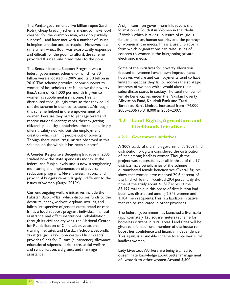The Punjab government's five billion rupee Sasti A significant non-government initiative is the Roti ("cheap bread") scheme, meant to make food formation of South Asia Women in the Media cheaper for the common man, was only partially (SAWM) which is taking up issues of religious successful, and later met with a number of issues fundamentalism, human security and the portrayal in implementation and corruption. However, at a of women in the media. This is a useful platform<br>time when wheat flour was exorbitantly expensive from which organizations can raise issues of time when wheat flour was exorbitantly expensive from which organizations can raise issues of and difficult for the poor to afford, the scheme concern to women in the burgeoning private and difficult for the poor to afford, the scheme concern to wome<br>provided flour at subsidized rates to the poor electronic media. provided flour at subsidized rates to the poor.

The Benazir Income Support Program was a Some of the initiatives for poverty alleviation<br>
federal government scheme for which Rs 70 focused on women have shown improvement; federal government scheme for which Rs 70 focused on women have shown improvement;<br>hillion were allocated in 2009 and Rs 50 billion in however, welfare and cash payments tend to have billion were allocated in 2009 and Rs 50 billion in 2010. This scheme provides income support to limited impact as they fail to address the strategic vomen of households that fall below the poverty interests of women which would alter their women of households that fall below the poverty line. A sum of Rs 1,000 per month is given to subordinate status in society. The total number of women as supplementary income. This is female beneficiaries under the Pakistan Poverty<br>distributed through legislators so that they could<br>Alleviation Fund, Khushali Bank and Zarai distributed through legislators so that they could this scheme helped in the empowerment of women, because they had to get registered and receive national identity cards, thereby getting citizenship identity, nonetheless the scheme simply offers a safety net, without the employment creation which can lift people out of poverty. Though there were irregularities observed in this scheme, on the whole it has been successful. A 2009 study of the Sindh government's 2008 land

A Gender Responsive Budgeting Initiative in 2005 of land among landless women. Though the studied how the state spends its money at the species was successful over all in three of t federal and Punjab levels, and is now strengthening<br>
districts male beneficiaries of the scheme<br>
monitoring and implementation of poverty<br>
eutpumbered female beneficiaries Overal monitoring and implementation of poverty<br>reduction programs. Nevertheless, national and<br>show that women have received 70.6 percent of provincial budgets remain largely indifferent to the the land, while men received 29.4 percent. By the issues of women (Saigol, 2010c).

Current ongoing welfare initiatives include the been was distributed among 2,845 women and Pakistan Bait-ul-Maal, which disburses funds to the 1,184 men recipients. This is a laudable initiative destitute, needy, widows, orphans, invalids, and that can be replicated in other provinces. infirm, irrespective of gender, caste, creed or race. It has a food support program, individual financial The federal government has launched a five marla<br>assistance, and offers institutional rehabilitation (approximately 125 square motors) schome for through its civil society wing, the National Center  $\overrightarrow{h}$  homeless citizens in rural areas. Land titles will be for Rehabilitation of Child Labor, vocational for Rehabilitation of Child Labor, vocational given to a female rural member of the house to<br>training institutes and Dastkari Schools. Secondly, a poost her confidence and financial independence training institutes and Dastkari Schools. Secondly, boost her confidence and financial independence.<br>This, again, is a laudable scheme to empower rural valuations represents to the confidence of the rural valuat provides funds for Guzara (subsistence) allowance, educational stipends, health care, social welfare and rehabilitation, Eid grants and marriage Lady Livestock Workers are being trained to<br>disseminate knowledge about better manage

can the scheme in their constituencies. Although Taraqqiati Bank Limited, increased from 174,000 in<br>this scheme helped in the empowerment of 2005–2006 to 318,000 in 2006–2007.

#### **4.2 Land Rights,Agriculture and Livelihoods Initiatives**

#### **4.2.1 Government Initiatives**

distribution program considered the distribution project was successful over all, in three of the 17 show that women have received 70.6 percent of time of the study about  $41,517$  acres of the 85,199 available in this phase of distribution had

(approximately 125 square meters) scheme for This, again, is a laudable scheme to empower rural landless women.

disseminate knowledge about better management of livestock to other women.Around 3,500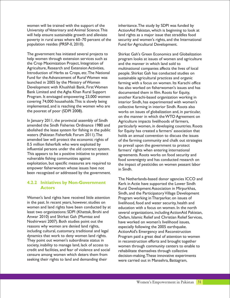University of Veterinary and Animal Science. This ActionAid Pakistan, which is beginning to look at will help ensure sustainable growth and alleviate land rights as a major issue that straddles food<br>poverty in rural areas where 60–70 percent of the security and women's rights, and the Internatio poverty in rural areas where 60–70 percent of the security and women's rights, and the International population resides (PRSP-II, 2010).<br>Fund for Agricultural Development.

the Crop Maximization Project, Integration of and the manner in which land sold to<br>Agriculture, Research and Extension Activities, multinational companies affects the liv Agriculture, Research and Extension Activities, multinational companies affects the lives of local<br>Introduction of Herbs as Crops, etc. The National people. Shirkat Gah has conducted studies on Introduction of Herbs as Crops, etc.The National people. Shirkat Gah has conducted studies on Fund for the Advancement of Rural Women was sustainable agricultural practices and organic<br>Iaunched in 2005 by the Ministry of Women farming with a focus on women. Its Karachi o Development with Khushhali Bank, First Women has also worked on fisherwomen's issues and has Bank Limited and the Agha Khan Rural Support documented them in film. Roots for Equity,<br>Program. It envisaged empowering 23,000 women another Karachi-based organization workin Program. It envisaged empowering 23,000 women another Karachi-based organization working in covering 74,000 households.This is slowly being interior Sindh, has experimented with women's<br>implemented, and is reaching the women who are incollective farming in interior Sindh, Roots also implemented, and is reaching the women who are collective farming in interior Sindh. Roots also<br>the poorest of poor (SDPI 2008).

In January 2011, the provincial assembly of Sindh<br>amended the Sindh Fisheries Ordinance 1980 and<br>particularly women in developing countries abolished the lease system for fishing in the public for Equity has created a farmers' association that waters (Pakistan Fisherfolk Forum 2011). The holds an annual convention to discuss the issues<br>amended law will protect the economic rights of  $\frac{1}{2}$  of the farming community and chalk out strategic influential persons under the old contract system.  $\frac{1}{10}$  farmers' rights when entering international This appears to be a positive initiative to protect agreements. Roots works on food security This appears to be a positive initiative to protect agreements. Roots works on food security and vulnerable fishing communities against vulnerable fishing communities against food sovereignty and has conducted research on<br>exploitation, but specific measures are required to the impact of pesticides on women peasant labor empower fisherwomen whose issues have not in Sindh. been recognized or addressed by the government.

#### **4.2.2 Initiatives by Non-Government Actors**

Women's land rights have received little attention Program working in Tharparkar, on issues of in the past. In recent years, however, studies on livelihood, food and water security, health and women and land rights have been conducted by at education with a focus on women. In the north<br>least two organizations: SDPI (Khattak, Brohi and several organizations, including ActionAid Pakist Noshirwani 2007). Both studies point out the have worked on women's livelihood issues,<br>reasons why women are denied land rights, expecially following the 2005 earthquake including cultural, customary, traditional and legal ActionAid's Emergency and Reconstruction<br>dynamics that work to deny women land rights. Program paid a great deal of attention to wo dynamics that work to deny women land rights. Program paid a great deal of attention to women<br>They point out women's subordinate status in Freconstruction efforts and brought together They point out women's subordinate status in in reconstruction efforts and brought together<br>society, inability to manage land, lack of access to some through community centers to enable 1 society, inability to manage land, lack of access to women through community centers to enable to credit and facilities, and fear of violence and social representing themselves through collective censure among women which deters them from<br>seeking their rights to land and demanding their<br>were carried out in Mansehra Battagram

women will be trained with the support of the inheritance. The study by SDPI was funded by Fund for Agricultural Development.

The government has initiated several projects to Shirkat Gah's Green Economics and Globalization help women through extension services such as program looks at issues of women and agriculture farming with a focus on women. Its Karachi office works on issues of globalization and, in particular, on the manner in which the WTO Agreement on amended the Sindh Fisheries Ordinance 1980 and particularly women, in developing countries. Roots<br>abolished the lease system for fishing in the public for Fauity has created a farmers' association that amended law will protect the economic rights of  $\frac{1}{2}$  of the farming community and chalk out strategies 0.5 million fisherfolk who were exploited by  $\frac{1}{2}$  to prevail upon the government to protect to prevail upon the government to protect the impact of pesticides on women peasant labor

The Netherlands-based donor agencies ICCO and Kerk in Actie have supported the Lower Sindh Rural Development Association in Mirpurkhas, Sindh, and the Participatory Village Development least two organizations: SDPI (Khattak, Brohi and several organizations, including ActionAid Pakistan,<br>Anwar 2010) and Shirkat Gah (Mumtaz and Saxfam, Islamic Relief and Christian Relief Services, Oxfam, Islamic Relief and Christian Relief Services, especially following the 2005 earthquake. rehabilitate themselves through collective were carried out in Mansehra, Battagram,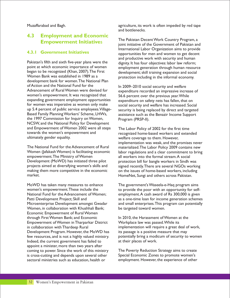#### **4.3 Employment and Economic Empowerment Initiative**s

#### **4.3.1 Government Initiatives**

Pakistan's fifth and sixth five-year plans were the dignity. It has four objectives: labor law reform;<br>point at which economic importance of women employment generation through human resour point at which economic importance of women employment generation through human resource<br>began to be recognized (Khan, 2007). The First development: skill training expansion and social began to be recognized (Khan, 2007).The First development; skill training expansion and social<br>Women Bank was established in 1989 as a subprotection including in the informal economy development bank for women. The National Plan<br>of Action and the National Fund for the of Action and the National Fund for the In 2009–2010 social security and welfare<br>Advancement of Rural Women were devised for Internativum recorded an impressive instr Advancement of Rural Women were devised for expenditure recorded an impressive increase of women's empowerment. It was recognized that  $\frac{566}{1566}$  percent over the previous vear While expanding government employment opportunities expenditure on safety nets has fallen, that on<br>for women was imperative as women only make<br>social security and welfare has increased Soci for women was imperative as women only make social security and welfare has increased. Social<br>social social up 5.4 percent of public service employees. Village-security is being replaced by direct and targeted up 5.4 percent of public service employees. Village-<br>Based Family Planning Workers' Scheme, LHWs, assistance such as the Benazir Income Support the 1997 Commission for Inquiry on Women, Program (PRSP-II). NCSW, and the National Policy for Development<br>and Empowerment of Women 2002 were all steps and Empowerment of Women 2002 were all steps The Labor Policy of 2002 for the first time<br>towards the women's empowerment and recognized home-based workers and exten towards the women's empowerment and recognized home-based workers and extended<br>ultimately gender equality. welfare coverage to them. However.

The National Fund for the Advancement of Rural materialized. The Labor Policy 2009 contains new<br>Women (Jafakash Women) is facilitating economic labor regulations and a clear commitment to bring Development (MoWD) has initiated three pilot projects aimed at diversifying women's skills and projects aimed at diversifying women's skills and signed recently. There are several NGOs working<br>making them more competitive in the economic on the issues of home-based workers, including market. HomeNet, Sungi and others across Pakistan.

MoWD has taken many measures to enhance<br>women's empowerment. These include the the to provide the poor with an opportunity for self-National Fund for the Advancement of Women; employment.A cash award of Rs 300,000 is given Women, in collaboration with Khushhali Bank; be targeted toward women. Economic Empowerment of Rural Women through First Women Bank; and Economic In 2010, the Harassment of Women at the<br>In 2010, the Harassment of Women in Tharparkar District Verkplace law was passed. While its Empowerment of Women in Tharparkar District in collaboration with Thardeep Rural implementation will require a great deal of work,<br>Development Program. However, the MoWD has its passage is a positive measure that may Development Program. However, the MoWD has Indeed, the current government has failed to at their places of work. appoint a minister, more than two years after coming to power. Since the work of this ministry The Poverty Reduction Strategy aims to create<br>is cross-cutting and depends upon several other Special Economic Zones to promote women's is cross-cutting and depends upon several other<br>sectoral ministries such as education, health or

Muzaffarabad and Bagh. All agriculture, its work is often impeded by red tape and bottlenecks.

> The Pakistan Decent Work Country Program, a joint initiative of the Government of Pakistan and International Labor Organization aims to provide opportunities for men and women to get decent and productive work with security and human protection including in the informal economy.

56.6 percent over the previous year. While assistance such as the Benazir Income Support

welfare coverage to them. However, implementation was weak, and the promises never Women (Jafakash Women) is facilitating economic labor regulations and a clear commitment to bring all workers into the formal stream.A social<br>protection bill for bangle workers in Sindh was on the issues of home-based workers, including

to provide the poor with an opportunity for self-Patti Development Project; Skill and as a one-time loan for income generation schemes Microenterprise Development amongst Gwadar and small enterprises. This program can potentially

few resources, and is not a highly valued ministry. potentially bring a modicum of security to women

employment. However, the experience of other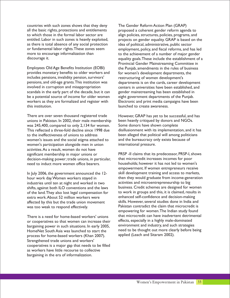countries with such zones shows that they deny The Gender Reform Action Plan (GRAP) all the basic rights, protections and entitlements proposed a coherent gender reform agenda to to which those in the formal labor sector are align policies, structures, policies, programs, and<br>entitled. Labor in such zones is heavily exploited, projects on gender equality. GRAP is based on t as there is total absence of any social protection idea of political, administrative, public sector<br>or fundamental labor rights. These zones seem employment, policy, and fiscal reforms, and ha

Employees Old Age Benefits Institution (EOBI) the Punjab, amendments in the rules of business provides monetary benefits to older workers and for women's development departments, the includes pensions, invalidity pension, survivors' restructuring of women development's pensions, and old-age grants. This institution was departments is on the cards, career development<br>involved in corruption and misappropriation centers in universities have been established, and scandals in the early part of the decade, but it can gender mainstreaming has been established in be a potential source of income for older women eight government departments of the Punjab. workers as they are formalized and register with Electronic and print media campaigns have been this institution. The contraction of the launched to create awareness.

There are over seven thousand registered trade However, GRAP has yet to be successful, and has unions in Pakistan. In 2002, their male membership been heavily critiqued by donors and NGOs. unions in Pakistan. In 2002, their male membership was 245,400, compared to only 2,134 for women. Some donors have shown complete This reflected a three-fold decline since 1998 due disillusionment with its implementation, and it has to the ineffectiveness of unions to address been alleged that political will among politicians women's issues and the social stigma attached to and the bureaucracy only exists because of women's participation alongside men in union international pressure. activities.As a result, women do not have significant membership in major unions or PRSP -II claims that its predecessor, PRSP-I, shows<br>decision-making power: trade unions. in particular. that microcredit increases incomes for poor decision-making power; trade unions, in particular, need to induct more women office bearers.

of the land. They also lost legal compensation for to work in groups and this, it is claimed, results extra work About 52 million workers were enhanced self-confidence and decision-making extra work.About 52 million workers were enhanced self-confidence and decision-making<br>affected by this but the trade union movement skills. However, several studies done in India and affected by this but the trade union movement skills. However, several studies done in India and<br>Was too weak to respond effectively example Pakistan contradict the claim that microcredit is was too weak to respond effectively.

or cooperatives so that women can increase their effects, especially in a highly male-dominated<br>hargaining power in such situations. In early 2005, environment and industry, and such strategies bargaining power in such situations. In early 2005, HomeNet South Asia was launched to start the need to be thought out more clearly before being<br>process for home-based workers (Kban 2007) applied (Leach and Sitaram 2002). process for home-based workers (Khan 2007). Strengthened trade unions and workers' cooperatives is a major gap that needs to be filled as workers have little recourse to collective bargaining in the era of informalization.

entitled. Labor in such zones is heavily exploited, projects on gender equality. GRAP is based on the as there is total absence of any social protection idea of political administrative. public sector or fundamental labor rights. These zones seem employment, policy, and fiscal reforms, and has led<br>more to encourage informalization than to the achievement of a number of maior gender to the achievement of a number of major gender discourage it. equality goals.These include the establishment of a Provincial Gender Mainstreaming Committee in centers in universities have been established, and

households; however it has not led to women's empowerment. If women entrepreneurs receive In July 2006, the government announced the 12-<br>hour work day. Women workers stayed in then they would graduate from income-generation then they would graduate from income-generation<br>activities and microentrepreneurship to big industries until ten at night and worked in two activities and microentrepreneurship to big<br>shifts against both II O conventions and the laws business. Credit schemes are designed for women shifts, against both ILO conventions and the laws business. Credit schemes are designed for women<br>of the land. They also lost legal compensation for to work in groups and this, it is claimed, results in empowering for women.The Indian study found There is a need for home-based workers' unions that microcredit can have inadvertent detrimental<br>or cooperatives so that women can increase their effects, especially in a highly male-dominated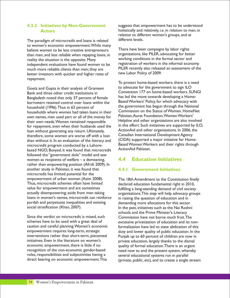#### **4.3.2 Initiatives by Non-Government Actors**

The paradigm of microcredit and loans is related different levels. to women's economic empowerment.While many believe women to be less creative entrepreneurs<br>than men and less reliable when repaving loans in organizations, like PILER, advocating for better than men, and less reliable when repaying loans, in corganizations, like PILER, advocating for better than men<br>working conditions in the formal sector and reality the situation is the opposite. Many independent evaluations have found women to be much more reliable clients than men; they are PILER recently also released an assessment of the herter investors with quicker and bigher rates of new Labor Policy of 2009. better investors with quicker and higher rates of repayment.

Bank and three other credit institutions in<br>Bangladesh noted that only 37 percent of female has led the move towards developing a Home-Bangladesh noted that only 37 percent of female has led the move towards developing a Home-<br>borrowers retained control over loans within the Based Workers' Policy, for which advocacy with borrowers retained control over loans within the the government has begun through the National<br>households whore wemen had taken loans in their<br>Commission on the Status of Women. Home Net households where women had taken loans in their<br>Own names men used part or all of the money for Pakistan, Aurat Foundation, Women Workers' own names, men used part or all of the money for their own needs. Women remained responsible Helpline and other organizations are also involved for repayment, even when their husbands used the Ioan without generating any return. Ultimately, <br>  $\frac{1}{2}$  ActionAid and other organizations. In 2006, the therefore some women are worse off with a loan Canadian International Development Agency therefore, some women are worse off with a loan Canadian International Development Agency<br>than without it In an evaluation of the literacy and (CIDA) supported a major initiative for Homethan without it. In an evaluation of the literacy and microcredit program conducted by a Lahore-<br>hased NGO Bunyad it was found that microcredit ActionAid Pakistan. based NGO, Bunyad, it was found that microcredit followed the "government dole" model and saw women as recipients of welfare – a demeaning, rather than empowering position (Afridi 2009). In another study in Pakistan, it was found that microcredit has limited potential for the empowerment of urban women (Asim 2008). The 18th Amendment to the Constitution finally<br>Thus, microcredit schemes often have limited declared education fundamental right in 2010 Thus, microcredit schemes often have limited<br>
value for empowerment and are sometimes<br>
fulfilling a long-standing demand of civil society value for empowerment and are sometimes fulfilling a long-standing demand of civil society<br>standily disempowering; aside from men taking careanizations. This step will help advocacy grou actually disempowering; aside from men taking organizations. This step will help advocacy groups<br>loans in women's names, microcredit can reinforce on praising the question of education and in loans in women's names, microcredit can reinforce in raising the question of education and in purdah and perpetuate inequalities and existing demanding more allocations for this sector.

Since the verdict on microcredit is mixed, such<br>
schemes have to be used with a great deal of excessive privatization of education and its n schemes have to be used with a great deal of excessive privatization of education and its non-<br>station and careful planning. Women's economic formalization have led to state abdication of this caution and careful planning. Women's economic formalization have led to state abdication of this<br>empowerment requires long-term, strategic duty and lower quality of public education. In the interventions rather than short-term, piecemeal punjab up to 60 percent of children are now in<br>initiatives. Even in the literature on women's private education, largely thanks to the dismal initiatives. Even in the literature on women's entitled in private education, largely thanks to the dismal economic empowerment, there is little if no anality of formal education. There is an urgent economic empowerment, there is little if no quality of formal education. There is an urgent<br>recognition of the non-economic gender-based held now to end the present system, whereby roles, responsibilities and subjectivities having a several educational systems run in parallel<br>direct bearing on economic empowerment. This (private public, etc) and to create a single

suggests that empowerment has to be understood holistically and relatively, i.e. in relation to men, in relation to different women's groups, and at

registration of workers in the informal economy.

To protect home-based workers, there is a need Goetz and Gupta in their analysis of Grameen to advocate for the government to sign ILO in this effort. Such initiatives are supported by ILO,

#### **4.4 Education Initiatives**

#### **4.4.1 Government Initiatives**

In the past, initiatives such as the Nai Roshni schools and the Prime Minister's Literacy empowerment requires long-term, strategic duty and lower quality of public education. In the interventions rather than short-term, piecemeal puniably punish on to 60 percent of children are now in need now to end the present system, whereby (private, public, etc), and to create a single stream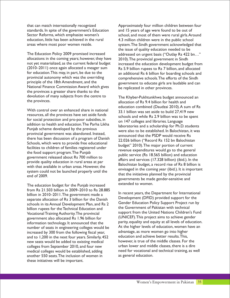standards. In spite of the government's Education and 15 years of age were found to be out of education, little has been achieved in the rural 4.3 million children were in the public school

allocations in the coming years; however, they have 2010). The provincial government in Sindh<br>not yet materialized, as the current federal budget increased the education development budget  $(2010-2011)$  once again allocated a meager sum<br>for education. This may, in part, be due to the an additional Rs 6 billion for boarding schools and for education.This may, in part, be due to the an additional Rs 6 billion for boarding schools and<br>provincial autonomy which was the overriding comprehensive schools. The efforts of the Sindh provincial autonomy which was the overriding comprehensive schools.The efforts of the Sindh<br>principle of the 18th Amendment, and the sovernment to educate girls are laudable and car National Finance Commission Award which gives be replicated in other provinces. the provinces a greater share thanks to the devolution of many subjects from the centre to<br>the Khyber-Pukhtunkhwa budget announced an<br>allocation of Rs 9.4 billion for bealth and

With control over an enhanced share in national<br>resources, all the provinces have set aside funds<br>resources, all the provinces have set aside funds for social protection and pro-poor subsidies, in<br>addition to health and education. The Parha Likha<br>laboratories and a scholarship for Ph D Punjab scheme developed by the previous provincial government was abandoned. Instead,<br>there has been discussion of a program of Danish<br>Schools, which were to provide free educational<br>facilities to children of families registered under<br>the feed supergram The Buri the food support program.The Punjab public service (Rs 18.565 billion) and education<br>government released about Rs 700 million to government released about Rs 700 million to<br>provide quality education in rural areas at par provide quality education in rural areas at par Balochistan budget, a record rise of Rs 8 billion is with that available in urban areas. However, the

extended to women. The education budget for the Punjab increased from Rs 21.503 billion in 2009–2010 to Rs 28.885 In recent years, the Department for International<br>
In recent years, the Department for International<br>
Development (DFID) provided support for the separate allocation of Rs 3 billion for the Danish<br>schools in its Annual Development Plan and Rs 2 Gender Education Policy Support Project run by schools in its Annual Development Plan, and Rs 2 Gender Education Policy Support Project run by schools in its Annual Development Plan, and Rs 2 Gender Education Policy Support Project run by schools by the Government of P billion rupees for the Technical Education and information technology. It announced that the parity, equality and equity at all levels of education<br>number of seats in engineering colleges would be At the higher levels of education, women have an number of seats in engineering colleges would be At the higher levels of education, women l<br>increased by 300 from the following fiscal year. advantage, as more women go into higher increased by 300 from the following fiscal year, and advantage, as more women go into higher<br>and to 1.200 in the next four years. Similarly 452 education and achieve better results. This, and to 1,200 in the next four years. Similarly, 452 education and achieve better results. This,<br>new seats would be added to existing medical however, is true of the middle classes. For the new seats would be added to existing medical however, is true of the middle classes. For the<br>colleges from September 2010 and four new lurban lower and middle classes, there is a dire colleges from September 2010, and four new medical colleges would be established, adding need for vocational and technical training, as well<br>another 550 seats. The inclusion of women in as general education. another 550 seats. The inclusion of women in these initiatives will be important.

that can match internationally recognized Approximately four million children between four Sector Reforms, which emphasize women's school, and most of them were rural girls.Around areas where most poor women reside. system.The Sindh government acknowledged that the issue of quality education needed to be The Education Policy 2009 promised increased addressed on urgent basis ("Outlay Rs 422 bn..." not yet materialized, as the current federal budget increased the education development budget from<br>(2010–2011) once again allocated a meager sum Rs 5.9 billion rupees to Rs 7 billion, and allocated government to educate girls are laudable and can

allocation of Rs 9.4 billion for health and education combined (Daudzai 2010).A sum of Rs schools and while Rs 2.9 billion was to be spent laboratories and a scholarship for Ph.D. students were also to be established. In Balochistan, it was envisaged in the coming year (ibid.). It is important system could not be launched properly until the that the initiatives planned by the provincial end of 2009. governments be made gender-sensitive and

Vocational Training Authority. The provincial support from the United Nations Children's Fund government also allocated  $R_s$  1.96 billion for (UNICEF). This project aims to achieve gender information technology It announced that the parity, equality and equity at all levels of education.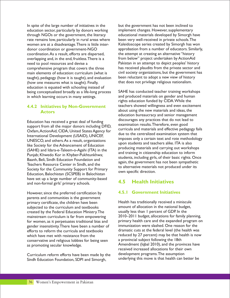In spite of the large number of initiatives in the but the government has not been inclined to education sector, particularly by donors working implement changes. However, supplementary through NGOs or the government, the literacy educational materials developed by Simorgh have<br>
rate remains low, particularly in rural areas where been very well-received in private schools. The rate remains low, particularly in rural areas where<br>women are at a disadvantage. There is little intercoordination. As a result, efforts are dispersed, the attempt at creating an alternative "history<br>overlapping and, in the end, fruitless. There is a from below" project undertaken by Action Aid overlapping and, in the end, fruitless. There is a need to pool resources and devise a<br>
end of the private program that covers the three has received plaudits from the private sector and<br>
has received plaudits from the private sector and comprehensive program that covers the three has received plaudits from the private sector and<br>main elements of education: curriculum (what is civil society organizations, but the government has main elements of education: curriculum (what is civil society organizations, but the government<br>taught), pedagogy (how it is taught), and evaluation been reluctant to adopt a new view of history taught), pedagogy (how it is taught), and evaluation been reluctant to adopt a new view of histor<br>(how one measures what is taught). Finally, that does not privilege religious nationalism. (how one measures what is taught). Finally, education is equated with schooling instead of being conceptualized broadly as a life-long process SAHE has conducted teacher training workshops<br>in which learning occurs in many settings.<br>and produced materials on gender and human in which learning occurs in many settings.

#### **4.4.2 Initiatives by Non-Government Actors**

support from all the major donors including DFID, UNESCO, and others. As a result, organizations upon students and teachers alike. ITA is also upon students and teachers alike. ITA is also like Society for the Advancement of Education upon students and teachers alike. IT SAHE) and Idara-e-Taleem-o-Agahi (ITA) in the<br>
Punjab; Khwedo Kor in Khyber-Pukhtunkhwa;<br>
Baanh, Beli, Sindh Education Foundation and<br>
Teachers Resource Center in Sindh, and the<br>
Society for the Community Support for Prima Society for the Community Support for Primary<br>Education, Balochistan (SCSPEB) in Balochistan own specific direction. have set up a large number of community-based and non-formal girls' primary schools.

However, since the preferred certification by parents and communities is the government primary certificate, the children have been Health has traditionally received a miniscule<br>subiected to the curriculum and textbooks amount of allocation in the national budget, subjected to the curriculum and textbooks amount of allocation in the national budge<br>created by the Federal Education Ministry. The usually less than I percent of GDP. In the for women, as it perpetuates traditional bias and primary health care and the expanded program<br>gender insensitivity There have been a number of immunization were slashed. One reason for the gender insensitivity. There have been a number of<br>efforts to reform the curricula and textbooks efforts to reform the curricula and textbooks dramatic cuts at the federal level (the health was which have met with resistance from the reduced by 27 percent) may be that health is now conservative and religious lobbies for being seen as promoting secular knowledge.  $\overline{\phantom{a}}$  Amendment (Iqbal 2010), and the provinces have

Sindh Education Foundation, SDPI and Simorgh,

Kaleidoscope series created by Simorgh has won donor coordination or government-NGO<br>
coordination. As a result, efforts are dispersed, 
the attempt at creating an alternative "history

rights education funded by CIDA.While the teachers showed willingness and even excitement about using the new materials and ideas, the education bureaucracy and senior management Education has received a great deal of funding discourages any practices that do not lead to examination results.Therefore, even good curricula and materials and effective pedagogy fails<br>Oxfam,ActionAid, CIDA, United States Agency for<br>International Development (USAID), UNICEF,<br>INIECCO and others Agencylia are imposes only a certain text and rote methodol

## **4.5 Health Initiatives**

#### **4.5.1 Government Initiatives**

created by the Federal Education Ministry. The usually less than 1 percent of GDP. In the<br>mainstream curriculum is far from empowering 2010–2011 budget, allocations for family planning, mainstream curriculum is far from empowering 2010–2011 budget, allocations for family planning,<br>for women as it perpetuates traditional bias and primary health care and the expanded program on reduced by 27 percent) may be that health is now<br>a provincial subject following the 18th received increased allocations for their own Curriculum reform efforts have been made by the development programs. The assumption<br>Sindh Education Foundation SDPI and Simorgh underlying this move is that health can better be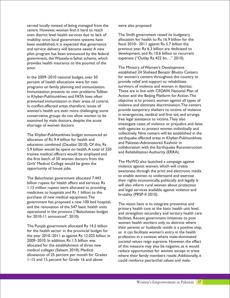served locally instead of being managed from the were also proposed. centre. However, women find it hard to reach even district level health services due to lack of The Sindh government raised its budgetary<br>mobility; once local government systems have allocation for health to Rs 16.9 billion for the mobility; once local government systems have been established, it is expected that governance fiscal 2010– 2011 against Rs 5.7 billion the and service delivery will become easier. A new previous year. Rs 6.3 billion are dedicated to pilot program has been announced by the federal development, and Rs 10.6 billion to recurrent pilot program has been announced by the federal development, and Rs 10.6 billion to recurrent, the Waseela-e-Sehat scheme, which expenses ("Outlay Rs 422 bn..." 2010). government, the Waseela-e-Sehat scheme, which provides health insurance to the poorest of the poor. The Ministry of Women's Development

percent of health allocations were for two provide relief and support to rehabilitate<br>programs on family planning and immunization survivors of violence and women in distress. programs on family planning and immunization. Survivors of violence and women in distress.<br>Immunization presents its own problems: Taliban These are in line with CEDAW. National Plan of Immunization presents its own problems: Taliban These are in line with CEDAW, National Plan of<br>in Khyber-Pukhtunkhwa and FATA have often Action and the Beijing Platform for Action. The prevented immunization in their areas of control. conservative groups do not allow women to be in emergencies, medical and first aid, and conservative groups do not allow women to be free legal assistance to victims. They also examined by male doctors, despite the acute

earthquake affected areas in Khyber-Pukhtunkhwa allocation of Rs 9.4 billion for health and earthquake affected areas in Khyber-Pukhtunkhwa education combined (Daudzai 2010). Of this, Rs<br>E.O. hillian would be against an health A testl of 350 collaboration with the Earthquake Reconstruction 5.9 billion would be spent on health.A total of 250 collaboration with the Earthquake Reconstruction 5.9 billion would be spent on health.A total of 250 collaboration Authority (ERRA). trainee medical officers would be employed and the first batch of 50 women doctors from the The MoWD also launched a campaign against Girls' Medical College would be given the violence against women, which will create opportunity of house jobs.

purchase of new medical equipment.The government has proposed a new 100 bed hospital, The vision here is to integrate preventive and and the renovation of the 547 basic health units and the renovation of the 547 basic health units primary health care at the basic health unit level, operational in the province ("Balochistan budget and strengthen secondary and terriory health can operational in the province ("Balochistan budget" and strengthen secondary and tertiary health care<br>for 2010-11 announced" 2010).

the year 2010–2011 as against Rs 12.025 billion in<br>
profession in a context where male-dominated<br>
societal values reign supreme. However the effectively allocated for the establishment of three new of this measure may also be negative, as it would<br>medical colleges (Saleem 2010). Medical reduce opportunities for women except in areas medical colleges (Saleem 2010). Medical reduce opportunities for women except in areas<br>allowances of 25 percent per month for Grades relations where their family members reside Additionally in

established 24 Shaheed Benazir Bhutto Centers In the 2009–2010 national budget, over 50 for women's centers throughout the country to<br>percent of health allocations were for two provide relief and support to rehabilitate in Khyber-Pukhtunkhwa and FATA have often in and the Beijing Platform for Action. The in Khyber-Pukhtunkhwa and FATA have often in Action. The in their areas of control. And objective is to protect women against all types in conflict-affected areas, therefore, issues of violence and eliminate discrimination. The centers women's health are even more challenging; some provide temporary shelters to victims of violence<br>conservative groups do not allow women to be in emergencies, medical and first aid, and arrange investigate cases of violence or prejudice and liaise shortage of women doctors. with agencies to protect women individually and The Khyber-Pukhtunkhwa budget announced an collectively. Nine centers will be established in the

awareness through the print and electronic media The Balochistan government allocated 7.443<br>
billion rupees for health affairs and services. Rs<br>
1.13 million rupees were allocated to providing<br>
medicines to hospitals and Rs 1 billion to the<br>
medicines of hospitals and Rs

facilities. Recent government initiatives to post women health workers only to districts where The Punjab government allocated Rs 14.5 billion<br>for the health sector in the provincial budget for as it can facilitate women's entry in the health as it can facilitate women's entry in the health 2009–2010. In addition, Rs 1.5 billion was societal values reign supreme. However, the effect 2009–2010. In addition, Rs 1.5 billion was societal values reign supreme. However, the effect allowances of 25 percent per month for Grades where their family members reside.Additionally, it<br>I–I5 and 15 percent for Grade 16 and above could reinforce patriarchal values and malecould reinforce patriarchal values and male-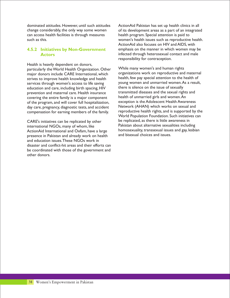dominated attitudes. However, until such attitudes ActionAid Pakistan has set up health clinics in all can access health facilities is through measures health program. Special attention is paid to

#### **4.5.2 Initiatives by Non-Government Actors**

Health is heavily dependent on donors, par ticularly the World Health Organization. Other While many women's and human rights<br>major donors include CARE International which organizations work on reproductive and maternal major donors include CARE International, which organizations work on reproductive and maternal maternal strives to improve health knowledge and health  $\frac{1}{\sqrt{2}}$  health, few pay special attention to the health of strives to improve health knowledge and health lealth, few pay special attention to the health of<br>services through women's access to life saving young women and unmarried women. As a result, services through women's access to life saving young women and unmarried women. As a result of sexually education and care, including birth spacing, HIV there is silence on the issue of sexually<br>prevention and maternal care. Health insurance transmitted diseases and the sexual rights and prevention and maternal care. Health insurance transmitted diseases and the sexual right:<br>covering the entire family is a major component health of unmarried girls and women. An covering the entire family is a major component health of unmarried girls and women.An<br>of the program and will cover full hospitalization exception is the Adolescent Health Awareness of the program, and will cover full hospitalization, exception is the Adolescent Health Awareness<br>day care, pregnancy diagnostic tests and accident Network (AHAN) which works on sexual and day care, pregnancy, diagnostic tests, and accident Metwork (AHAN) which works on sexual and

international NGOs, many of whom, like **Pakistan about alternative sexualities including** ActionAid International and Oxfam, have a large homosexuality, transsexual issues and gay, lesbian have a large have a large have a large have a large have a large have a large have a large have a large have and sisues. presence in Pakistan and already work on health and education issues.These NGOs work in disaster and conflict-hit areas and their efforts can be coordinated with those of the government and other donors.

change considerably, the only way some women of its development areas as a part of an integrated such as this. women's health issues such as reproductive health. ActionAid also focuses on HIV and AIDS, with emphasis on the manner in which women may be infected through heterosexual contact and male responsibility for contraception.

compensation for earning members of the family. Feproductive health rights, and is supported by the World Population Foundation. Such initiatives can CARE's initiatives can be replicated by other be replicated, as there is little awareness in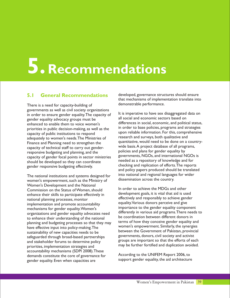# **5. Recommendations**

demonstrable performance. There is a need for capacity-building of governments as well as civil society organizations It is imperative to have sex disaggregated data on<br>in order to ensure gender equality. The capacity of all social and economic sectors based on gender equality advocacy groups must be all social and economic sectors based on<br>capacoed to enable them to voice women's differences in social, economic, and political status, enhanced to enable them to voice women's priorities in public decision-making, as well as the helt of order to base policies, programs and strategies ended to the contract meaning, and the meaning the capacity of public institutions to respond<br>adequately to women's needs. The Ministries of research and surveys, both qualitative and adequately to women's needs. The Ministries of Fresearch and surveys, both qualitative and<br>Finance and Planning need to strengthen the guantitative, would need to be done on a country-Finance and Planning need to strengthen the quantitative, would need to be done on a count can<br>Finance and Planning staff to carry out gender. Wide basis. A project database of all programs, capacity of technical staff to carry out gender-<br>responsive budgeting and planning and the policies and plans for gender equality by responsive budgeting and planning, and the policies and plans for gender equality by<br>capacity of gender focal points in sector ministries governments, NGOs, and international NGOs is capacity of gender focal points in sector ministries governments, NGOs, and international NGOs<br>should be developed so they can coordinate needed as a repository of knowledge and for should be developed so they can coordinate checking and replication of efforts.The reports gender responsive budgeting effectively.

women's empowerment, such as the Ministry of Women's Development and the National Commission on the Status of Women, should<br> **Example 2** In order to achieve the MDGs and other<br> **Example 2** one of their skills to participate effectively in development goals, it is vital that aid is used enhance their skills to participate effectively in national planning processes, monitor<br>
implementation and promote accountability equality. Various donors perceive and give implementation and promote accountability equality. Various donors perceive and give<br>mechanisms for gender equality Women's importance to the gender equality component mechanisms for gender equality. Women's<br>
organizations and gender equality advocates need differently in various aid programs. There needs to organizations and gender equality advocates need<br>to ophance their understanding of the pational be coordination between different donors in to enhance their understanding of the national between between different donors in<br>planning and budgeting processes so that they may terms of how they conceive gender equality and planning and budgeting processes so that they may the solid planning and planning and budgeting processes so that they may the women's empowerment. Similarly, the synergies have effective input into policy-making. The between the Government of Pakistan, provincial<br>sustainability of new capacities needs to be between the Governments of Pakistan, provincial<br>governments, donors, civil society and activist safeguarded through broad-based partnerships and stakeholder forums to determine policy<br>
priorities implementation strategies and may be further fortified and duplication avoided. priorities, implementation strategies and accountability mechanisms (SDPI 2008).These demands constitute the core of governance for<br>
Support gender equality, the aid architecture<br>
According to the UNIFEM Report 2006, to<br>
support gender equality, the aid architecture gender equality. Even when capacities are

**5.1 General Recommendations** developed, governance structures should ensure that mechanisms of implementation translate into

and policy papers produced should be translated The national institutions and systems designed for  $\frac{1}{100}$  into national and regional languages for wider women's empowerment such as the Ministry of dissemination across the country.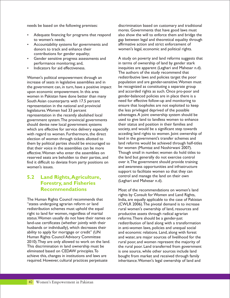- 
- Accountability systems for governments and donors to track and enhance their women's legal, economic and political rights. contributions for gender equality;
- 
- 

increase of seats in legislative assemblies and in population and are gender-sensitive. Women must be recognized as constituting a separate group the government can, in turn, have a positive impact be recognized as constituting a separate group<br>upon economic empowerment. In this area and accorded rights as such. Once pro-poor and upon economic empowerment. In this area and accorded rights as such. Once pro-poor an<br>women in Pakistan have done better than many gender-balanced policies are in place there is a women in Pakistan have done better than many South Asian counterparts with 17.5 percent need for effective follow-up and monitoring to representation in the national and provincial ensure that loopholes are not exploited to keep legislatures. Women had 33 percent the less privileged deprived of the possible<br>
representation in the recently abolished local advantages. A joint ownership system should be representation in the recently abolished local advantages.A joint ownership system should be<br>government system.The provincial governments used to give land to landless women to enhance government system.The provincial governments used to give land to landless women to enhan<br>should devise new local government systems their status and position in their families and should devise new local government systems their status and position in their families and<br>which are effective for service delivery especially society, and would be a significant step towards which are effective for service delivery especially with regard to women. Furthermore, the direct acceding land rights to women. Joint ownership of election of women through tickets allotted to land in the government's transfer schemes and election of women through tickets allotted to land in the government's transfer schemes and<br>them by political parties should be encouraged so land reforms would be achieved through half-titles them by political parties should be encouraged so land reforms would be achieved through half-<br>that their voice in the assemblies can be more for women (Mumtaz and Noshirwani 2007). that their voice in the assemblies can be more effective. Women who enter the assemblies on Though small in number, women do hold titles to reserved seats are beholden to their parties, and the land but generally do not exercise control reserved seats are beholden to their parties, and the land but generally do not exercise control find it difficult to deviate from party positions on women's issues. and awareness opportunities and infrastructure

## **5.2 Land Rights,Agriculture, Forestry, and Fisheries Recommendations**

The Human Rights Council recommends that India, are equally applicable to the case of Pakistan "states undergoing agrarian reform or land (CWLR 2006).The pivotal demand is to increase right to land for women, regardless of marital productive assets through radical agrarian status. Women usually do not have their names on reforms. There should be a gender-just land-use certificates (whether jointly with their redistribution of land along with a trans husbands or individually), which decreases their in anti-women laws, policies and unequal social<br>ability to apply for mortgage or credit" (UN and economic relations. Land, along with forest ability to apply for mortgage or credit" (UN and economic relations. Land, along with forest<br>Human Rights Council Advisory Committee and water, are major sources of livelihood for th 2010). They are only allowed to work on the land. rural poor, and women represent the majority of This discrimination in land ownership must be the rural poor. Land transferred from government<br>
eliminated based on CEDAW principles. To some source, while other sources include land achieve this, changes in institutions and laws are bought from market and received through family<br>required. However, cultural practices perpetuate inheritance. Women's legal ownership of land and

needs be based on the following premises: discrimination based on customary and traditional mores. Governments that have good laws must<br>• Adequate financing for programs that respond also show the will to enforce them and bridge the to women's needs;<br>
Accountability systems for governments and affirmative action and strict enforcement of

Gender sensitive progress assessments and A study on poverty and land reforms suggests that performance monitoring; and, in terms of ownership of land by gender stark Indicators for aid effectiveness. in equities are apparent (Leghari and Mahesar n.d). The authors of the study recommend that Women's political empowerment through an redistributive laws and policies target the poor<br>
increase of seats in legislative assemblies and in population and are gender-sensitive. Women must support to facilitate women so that they can control and manage the land on their own (Leghari and Mahesar n.d).

> Most of the recommendations on women's land rights by Consult for Women and Land Rights, rural women's ownership of land, resources and redistribution of land along with a transformation and water, are major sources of livelihood for the is one source, while other sources include land inheritance. Women's legal ownership of land and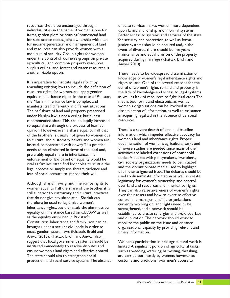individual titles in the name of women alone for upon family and kinship and informal systems. for subsistence needs. Joint ownership with men for security and protection, as well as formal<br>for income generation and management of land iustice systems should be ensured and, in the for income generation and management of land justice systems should be ensured and, in the and resources can also provide women with a event of divorce, there should be five years and resources can also provide women with a event of divorce, there should be five years<br>modicum of security. Group rights for women maintenance and equal division of the prope modicum of security. Group rights for women maintenance and equal division of the property<br>under the control of women's groups on private acquired during marriage (Khattak Brohi and agricultural land, common property resources, Anwar 2010). surplus ceiling land, forest and water resources is another viable option. There needs to be widespread dissemination of

It is imperative to institute legal reform by rights to land. One of the several reasons for the amending existing laws to include the definition of denial of women's rights to land and property is amending existing laws to include the definition of denial of women's rights to land and property is<br>resource rights for women, and apply gender<br>the lack of knowledge and access to legal system resource rights for women, and apply gender the lack of knowledge and access to legal systems<br>equity in inheritance rights. In the case of Pakistan, as well as lack of resources to fight legal cases. The manifests itself differently in different situations. The half share of land and property prescribed dissemination of information, as well as assistance<br>under Muslim law is not a ceiling, but a least in acquiring legal aid in the absence of personal under Muslim law is not a ceiling, but a least in acquiring recommended share. This can be legally increased resources. recommended share. This can be legally increased to equal share through the process of learned opinion. However, even a share equal to half that There is a severe dearth of data and baseline<br>
of the brothers is usually not given to women due information which impedes effective advocacy for of the brothers is usually not given to women due information which impedes effective advocacy<br>to cultural and customary beliefs and women are vomen's land and inheritance rights. Proper to cultural and customary beliefs, and women are, women's land and inheritance rights. Proper<br>instead compensated with dowry This practice documentation of women's agricultural tasks and instead, compensated with dowry. This practice documentation of women's agricultural tasks and instead, compensated with dowry. This practice discussed in the local and time-use studies are needed since many of their needs to be eliminated in favor of the legal and,<br>activities are labeled extensions of household preferably, equal share in inheritance. The activities are labeled extensions of household preferably, equal share in inheritance. The duties. A debate with policymakers, lawmakers, enforcement of law based on equality would be duties.A debate with policymakers, lawmakers, enforcement of law based on equality would be duties.A debate with policymakers, lawmakers,

women equal to half the share of the brother, it is<br>still superior to customary and cultural practices over their assets and how to exercise effective that do not give any share at all. Shariah can<br>control and management. The organizations<br>currently working on land rights need to be therefore be used to legitimize women's<br>inheritance rights, but ultimately the aim must be express the propertioned and a notwork should be inheritance rights, but ultimately the aim must be  $\frac{1}{100}$  strengthened, and a network should be equality of inheritance based on CEDAW as well  $\frac{1}{100}$  established to create synergies and avoid equality of inheritance based on CEDAVV as well established to create synergies and avoid overlaps<br>as the equality enshrined in Pakistan's<br>and duplication The network should work to as the equality enshrined in Pakistan's and duplication. The network should work to<br>Constitution. Inheritance and family laws can be a mobilize the public on the issue and enhance Constitution. Inheritance and family laws can be entity inconsitive the public on the issue and enhance<br>brought under a secular civil code in order to entity organizational capacity by providing relevant a enact gender-neutral laws (Khattak, Brohi and timely information. Anwar 2010). Khattak, Brohi and Anwar also suggest that local government systems should be <br>
Women's participation in paid agricultural work is<br>
limited. A significant portion of agricultural tasks, ensure women's land rights and effective control. The state should aim to strengthen social are carried out mostly by women; however as protection and social service systems.The absence customs and traditions favor men's access to

resources should be encouraged through of state services makes women more dependent farms, garden plots or housing/ homestead land Better access to systems and services of the state acquired during marriage (Khattak, Brohi and

knowledge of women's legal inheritance rights and equity in inheritance rights. In the case of Pakistan, as well as lack of resources to fight legal cases. The the Muslim inheritance law is complex and media, both print and electronic, as well as media, both print and electronic, as well as<br>women's organizations can be involved in the

vital as families often find loopholes to scuttle the<br>legal process or simply use threats, violence and<br>fear of social censure to impose their will.<br>legal of disseminate information as well as create legitimacy for women's ownership and control Although Shariah laws grant inheritance rights to over land and resources and inheritance rights. organizational capacity by providing relevant and

limited.A significant portion of agricultural tasks, such as weeding, watering, harvesting, threshing,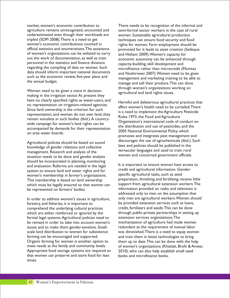agriculture remains unrecognized, uncounted and semi-formal sector workers in the case of rural underestimated even though their workloads are women. Sustainable agricultural production tripled (SDPI 2008). There is a need to get the elemiques can ensure food security and food<br>women's economic contributions counted in the rights for women Farm employment should be women's economic contributions counted in rights for women. Farm employment should be<br>official statistics and enumerations. The assistance represent for it leads to asset creation (Sadegu of women's organizations can be enlisted to carry and Hisham 2009). Women's capacity for out the work of documentation, as well as train personnel in the statistics and finance divisions capacity-building, skill development and regarding the compiling of data on women. Such microfinance rather than microcredit (N data should inform important national documents and Noshirwani 2007). Women need to be given<br>such as the economic review, five-year plans and management and marketing training to be able to such as the economic review, five-year plans and management and marketing training to be able to the annual budget.

through women's organizations working on Women need to be given a voice in decision- agricultural and land rights issues. making in the irrigation sector.At present they have no clearly specified rights as water-users, and<br>no representation on irrigation-related agencies.<br> $\mu$ no representation on irrigation-related agencies.<br>Since land ownership is the criterion for such is a need to implement the Agriculture Pesticide representation, and women do not own land, they<br>remain voiceless in such bodies (ibid.). A country-Fernant vertectess in such boards (bld.). Counter<br>wide campaign for women's land rights can be<br>accompanied by demands for their representation<br>2005 National Environmental Policy which on area water boards.

knowledge of gender relations and collective vernacular languages and used to train rural<br>management. Research and analysis of the vernacular languages and used to train rural<br>women and concerned government officials. situation needs to be done and gender analysis should be incorporated in planning, monitoring and evaluation. Reforms are needed in the legal  $\frac{1}{2}$  lt is important to ensure women have access to system to ensure land and water rights and for w specific agricultural tasks, such as seed<br>This membership is based on land ownership experience preparation, threshing and fertilizing, receive little This membership is based on land ownership preparation, threshing and fertilizing, receive little<br>which must be legally ensured so that women can support from agricultural extension workers. The which must be legally ensured so that women can be represented on farmers' bodies. information provided on radio and television is

forestry, and fisheries, it is important to be provided extension services such as loans, forestry, and fisheries such as loans, for the underlying cultural practices such as loans, comprehend the underlying cultural practices which are either reinforced or ignored by the through public-private partnerships in setting up<br>formal legal systems. Agricultural policies need to extension services organizations. The formal legal systems. Agricultural policies need to extension services organizations. The<br>be revised in order to take into account women's mechanization of agriculture had made women be revised in order to take into account women's issues and to make them gender-sensitive. Small- redundant as the requirement of manual labor scale land distribution to women for subsistence was diminished.There is a need to equip women farming can be encouraged and supported. and train them in latest technologies to bring Organic farming for women is another option to them up to date. This can be done with the help meet needs at the family and community levels. of women's organizations (Khattak, Brohi & Anw Appropriate food storage systems are required so 2010), who can also help estab<br>that women can preserve and store food for lean banks and microfinance banks that women can preserve and store food for lean times.

market, women's economic contribution to There needs to be recognition of the informal and promoted for it leads to asset creation (Sadeque economic autonomy can be enhanced through microfinance rather than microcredit (Mumtaz manage and sell their produce. This can done

promotes and integrates pest management and Agricultural policies should be based on sound<br>laws and policies should be published in the<br>laws and policies should be published in the

credit and agricultural information. Genderaddressed only to men on the assumption that In order to address women's issues in agriculture, only men are agricultural workers. Women should of women's organizations (Khattak, Brohi & Anwar, 2010), who can also help establish small seed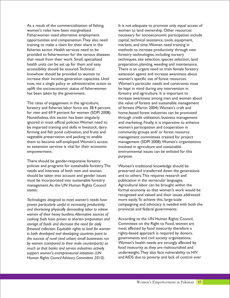As a result of the commercialization of fishing, It is not adequate to promote only equal access of women's roles have been marginalized. women to land ownership. Other resources opportunities and compensation.They also need capital, technical assistance, tools, equipment, training to make a claim for their share in the markets, and time.Women need training in fisheries sector. Health services need to be methods to increase productivity through new provided to fisherwomen for the various diseases forestry technologies, including nursery that result from their work. Small, specialized techniques, site selection, species selection, land health units can be set up for them and easy preparation, planting, weeding and maintenance. accessibility should be ensured.Technical There is an urgent need to train female forestry knowhow should be provided to women to extension agents and increase awareness about increase their income-generation capacities. Until women's specific use of forest resources. now, not a single policy or administrative action to Women's particular needs and constraints must uplift the socioeconomic status of fisherwomen be kept in mind during any intervention in has been taken by the government. forestry and agriculture. It is important to

The rates of engagement in the agriculture, the value of forests and sustainable management forestry and fisheries labor force are 38.4 percent of forests (Martin 2004).Women's craft and for men and 69.9 percent for women (SDPI 2008). home-based forest industries can be promoted Nonetheless, this sector has been singularly through credit utilization, business management ignored in most official policies. Women need to and marketing. Finally, it is imperative to enhance be imparted training and skills in livestock, dairy women's participation and cooperation in farming and fish pond cultivation, and fruits and community groups and/ or forest resource vegetable preservation and packing to enable management committees created for project them to become self-employed.Women's access management (SDPI 2008).Women's organizations to extension services is vital for their economic involved in agriculture and sustainable empowerment. environmental issues can be enlisted for this

There should be gender-responsive forestry policies and programs for sustainable forestry.The Women's traditional knowledge should be needs and interests of both men and women preserved and transferred down the generations should be taken into account and gender issues and to others.This requires research and must be incorporated into sustainable forestry publication in the vernacular languages. management.As the UN Human Rights Council Agricultural labor can be brought within the states: formal economy so that women's work would be

*Technologies designed to meet women's needs have* more easily.To achieve this, large-scale *and shortening physically demanding labor to relieve* provincial and federal governments. *women of their heavy burdens.Alternative sources of cooking fuels have proven to shorten preparation and* According to the UN Human Rights Council, *storage of foods and decrease the need for daily* Committee on the Right to Food, women are firewood collection. Equitable rights to land for women most affected by food insecurity therefore a *firewood collection. Equitable rights to land for women* most affected by food insecurity therefore a in both developed and developing countries point to rights-based approach is required by donors<br>the success of rural (and urban) small businesses run governments and civil society organizations. *the success of rural (and urban) small businesses run* governments and civil society organizations. *by women (compared to their male counterparts)* so <sup>Women's</sup> health needs are strongly affected b<br>much so that banks and service industries actively food insecurity as they are malnourished and *much so that banks and service industries actively support women's entrepreneurial initiatives (UN* anderweight.They also face vulnerability to HIV<br>*Human Rights Council Advisory Committee 2010* and AIDS due to poverty and lack of control over *Human Rights Council Advisory Committee 2010).* 

Fisherwomen need alternative employment necessary for socioeconomic participation include increase awareness among men and women about purpose.

recognized and valued and their issues addressed *proven particularly useful in increasing productivity* campaigning and advocacy is needed with both the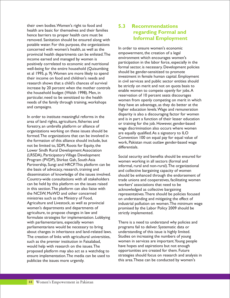their own bodies.Women's right to food and health are basic for themselves and their families hence barriers to proper health care must be removed. Sanitation should be ensured along with potable water. For this purpose, the organizations In order to ensure women's economic<br>
In order to ensure women's economic<br>
provincial health departments can be enlisted The empowerment, the creation of a legal provincial health departments can be enlisted. The empowerment, the creation of a legal<br>income earned and managed by women is environment which encourages women's income earned and managed by women is<br>matricipation in the labor force, especially in the nositively correlated to economic and nutritional participation in the labor force, especially in the positively correlated to economic and nutritional participation in the labor force, especially in the positively correlated to economic and nutritional participation in the labor force, especially in the policies well-being for the entire household (Quisumbing<br>of al 1995, p. 9) Wemen are more likely to spond should be gender-sensitized to promote et al 1995, p. 9). Women are more likely to spend Investment in female human capital. Employment<br>their income on food and children's needs and in civil services and public sector entities should in civil services and public sector entities should research shows that a child's chances of survival be strictly on merit and not on quota basis to increase by 20 percent when the mother controls be strictly on merit and not on quota basis to the household budget (Walsh 1998). Men, in particular, need to be sensitized to the health

area of land rights, agriculture, fisheries and or training for the job. However, gender-based forestry, an umbrella platform or alliance of wage discrimination also occurs where women organizations working on these issues should be are equally qualified. As a signatory to ILO<br>formed. The organizations that can be involved in Convention 100 on a supline for a sucker formed. The organizations that can be involved in Convention 100 on equal pay for equal value of the formation of this alliance should include, but not be limited to, SDPI, Roots for Equity, the differentials. Lower Sindh Rural Development Association (LRSDA), Participatory Village Development<br>Program (PVDP), Shirkat Gah, South Asia<br>women working in all sectors (formal and Program (PVDP), Shirkat Gah, South Asia extending women working in all sectors (formal and<br>Partnership, Sungi and HRCP. This platform can be expressed informal rural and non-rural). The organiza Partnership, Sungi and HRCP. I his platform can be informal, rural and non-rural). The organizational the basis of advocacy, research, training and  $\frac{1}{2}$  and collective bargaining capacity of women the basis of advocacy, research, training and and collective bargaining capacity of women<br>dissemination of knowledge of the issues involved. A should be enhanced through the endorseme dissemination of knowledge of the issues involved. Should be enhanced through the endorsement of dountry-wide consultations with all stakeholders and represent of connectives facilitating women can be held by this platform on the issues raised workers' associations that need to be in this section. The platform can also liaise with acknowledged as collective bargaining<br>the NCSW. MoWD and other concerned representatives There should be policing the NCSW, MoWD and other concerned representatives. There should be policies focused<br>ministries such as the Ministry of Food, and provident and mitigating the effect of ministries such as the Ministry of Food, on understanding and mitigating the effect of<br>Agriculture and Livestock, as well as provincial industrial pollution on women. The minimum Agriculture and Livestock, as well as provincial industrial pollution on women.The minimum wage<br>women's departments and departments of promised by the Labor Policy 2009 should be agriculture, to propose changes in law and strictly implemented. formulate strategies for implementation. Lobbying with parliamentarians, especially women There is a need to understand why policies and parliamentarians would be necessary to bring programs fail to deliver. Systematic data or about changes in inheritance and land-related laws. understanding of this issue is highly limited. The creation of links with agricultural universities, Studies on increasing the numbers of young such as the premier institution in Faisalabad, women in services are important. Young people<br>would help with research on the issues. The have hopes and aspirations but not enough would help with research on the issues. The have hopes and aspirations but not enough<br>proposed platform may also act as a watchdog to opportunities are created for them. Future proposed platform may also act as a watchdog to opportunities are created for them. Future<br>ensure implementation. The media can be used to strategies should focus on research and analysis in ensure implementation. The media can be used to publicize the issues more urgently. This area.These can be conducted by women's

#### **5.3 Recommendations regarding Formal and Informal Employment**

reservation of 10 percent seats discourages particular, need to be sensitized to the heath needs of the family through training, workshops they have an advantage, as they do better at the higher education levels. Wage and remuneration higher education levels. Wage a In order to institute meaningful reforms in the disparity is also a discouraging factor for women<br>area of land rights, agriculture, fisheries and and is in part a function of their lesser education<br>area of land rights, agr work, Pakistan must outlaw gender-based wage

> trade unions and cooperatives, facilitating women promised by the Labor Policy 2009 should be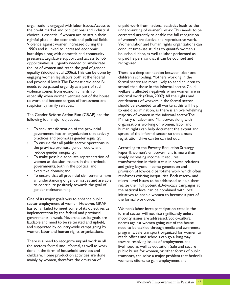the credit market and occupational and industrial undercounting of women's work.This needs to be choices is essential if women are to attain their corrected urgently to enable the full recognition<br>rightful place in the economic and political fields. of women's productive and reproductive work. rightful place in the economic and political fields. Violence against women increased during the Women, labor and human rights organizations can 1990s and is linked to increased economic<br>
hardships along with domestic and community household labor, as well as labor performed as hardships along with domestic and community pressures. Legislative support and access to job unpaid helpers, so that it can be counted and opportunities is urgently needed to ameliorate recognized. the lot of women and reach the goal of gender equality (Siddiqui et al 2006a). This can be done by There is a deep connection between labor and<br>engaging women legislators both at the federal children's schooling. Mothers working in the and provincial levels.The Domestic Violence Bill formal sector are more likely to send children to needs to be passed urgently, as a part of such<br>violence comes from economic hardship,<br>welfare is affected negatively when women are especially when women venture out of the house informal work (Khan, 2007). All the rights and to work and become targets of harassment and entitlements of workers in the formal sector suspicion by family relatives. Should be extended to all workers; this will help

The Gender Reform Action Plan (GRAP) had the majority of women in the informal sector.The following four major objectives: Ministry of Labor and Manpower, along with

- government into an organization that actively spread of the informal sector so that a mass
- practices and promotes gender equality; example registration drive can be carried out.<br>
 To ensure that all public sector operations in the province promote gender equity and According to the Poverty Reduction Strategy
- To make possible adequate representation of women as decision-makers in the provincial governments, both in the political and and and going beyond income-generation and<br>executive domain: and. executive domain: and and going brovision of low-paid part-time work whi
- 

One of its major goals was to enhance public the formal workforce. sector employment of women. However, GRAP has so far failed to meet some of its objectives as Women's labor force participation rates in the implementation by the federal and provincial formal sector will not rise significantly unless implementation by the federal and provincial formal sector will not rise significantly unless<br>governments is weak. Nevertheless, its goals are mobility issues are addressed. Socio-cultural governments is weak. Nevertheless, its goals are an mobility issues are addressed. Socio-cultural got all and need to be reiterated and upheld, and norms against women going out of the house laudable and need to be reiterated and upheld, horms against women going out of the house<br>and supported by country-wide campaigning by heed to be tackled through media and awaren

There is a need to recognize unpaid work in all toward resolving issues of employment and<br>the sectors formal and informal as well as work livelihood as well as education. Safe and sect the sectors, formal and informal, as well as work livelihood as well as education. Safe and secure<br>done in the form of household services and livelihood as well as education. Safe and secure mainly by women, therefore the omission of women's efforts to gain employment and

organizations engaged with labor issues.Access to unpaid work from national statistics leads to the

children's schooling. Mothers working in the welfare is affected negatively when women are in to end discrimination, as there is an overwhelming organizations working on women, labor and<br>To seek transformation of the provincial human rights can help document the extent and

reduce gender inequality; Paper-II, women's empowerment is more than<br>To make possible adequate representation of simply increasing income. It requires transformation in their status in power relations ?executive domain; and, provision of low-paid part-time work which often To ensure that all provincial civil servants have reinforces existing inequalities. Both macro- and an understanding of gender issues and are able micro-level issues to be addressed to help them<br>to contribute positively towards the goal of realize their full potential. Advocacy campaigns at to contribute positively towards the goal of realize their full potential.Advocacy campaigns at the national level can be combined with local initiatives to enable women to become a part of

and supported by country-wide campaigning by need to be tackled through media and awareness<br>women, labor and human rights organizations. programs. Safe transport organized for women to programs. Safe transport organized for women to reach offices and schools can go a long way done in the form of household services and public buses for women, or other forms of public<br>childcare. Home production activities are done transport, can solve a major problem that bedevils transport, can solve a major problem that bedevils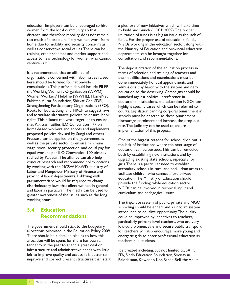education. Employers can be encouraged to hire a plethora of new initiatives which will take time women from the local community so that to build and launch (HRCP 2009). The proper distance, and therefore mobility, does not remain utilization of funds is as big an issue as the lack of too much of a problem. Many women work from funds. For the proper use of educational funds, too much of a problem. Many women work from training, credit schemes and market support and departments, can be brought together for access to new technology for women who cannot consultation and recommendations. venture out.

organizations concerned with labor issues raised their qualifications and examinations must be here should be formed for nationwide<br>
consultations. This platform should include PILER, admissions play havoc with the system and de consultations.This platform should include PILER, admissions play havoc with the system and deny Women Workers' Helpline (WWHL), HomeNet launched against political interference in<br>Pakistan, Aurat Foundation, Shirkat Gah, SDPI, educational institutions, and education N Strengthening Participatory Organizations (SPO), highlight specific cases which can be referred to<br>Roots for Equity, Sungi and HRCP to suggest laws courts Legislation banning corporal punishment and formulate alternative policies to ensure labor schools must be enacted, as these punishment<br>rights. This alliance can work together to ensure discourage enrolment and increase the drop of rights. This alliance can work together to ensure discourage enrolment and increase the drop out that Pakistan ratifies ILO Convention 177 on home-based workers and adopts and implements implementation of this proposal. proposed policies devised by Sungi and others. Pressure can be applied on the government as One of the biggest reasons for school drop out is<br>well as the private sector to ensure minimum<br>the lask of institutions where the nove stage of well as the private sector to ensure minimum<br>wage, social security protection, and equal pay for a solution can be pursued. This can be remodiate wage, social security protection, and equal pay for education can be pursued. This can be remedied equal work as per ILO Convention 100, already equal work as per ILO Convention 100, already both by establishing new institutions and by ratified by Pakistan. The alliance can also help expansion and by ratified by Pakistan. The alliance can also help ratified by Pakistan. The alliance can also help upgrading existing state schools, especially for conduct research and recommend policy options  $\frac{1}{\pi}$  into Thomas is a particular need to establish provincial labor departments. Lobbying with education. The Ministry of Education should<br>parliamentarians would be required to change<br>provide the funding, while education sector discriminatory laws that affect women in general and labor in particular. The media can be used for NGOs can be involved in technical input and and labor in particular. The media can be used for greater awareness of the issues such as the long working hours. The tripartite system of public, private and NGO

### **5.4 Education Recommendations**

The government should stick to the budgetary low-paid women. Safe and secure public transport allocations promised in the Education Policy 2009. for teachers will also encourage more young and<br>There should be a detailed plan as to how this energetic girls to enter professional education as allocation will be spent, for there has been a teachers and students. tendency in the past to spend a great deal on infrastructure and administrative needs with little be created including, but not limited to, SAHE,<br>left to improve quality and access. It is better to ITA, Sindh Education Foundation, Society in left to improve quality and access. It is better to improve and correct present structures than start Balochistan, Khwendo Kor, Baanh Beli, the Adult

home due to mobility and security concerns as NGOs working in the education sector, along with well as conservative social values. There can be the Ministry of Education and provincial education

The depoliticization of the education process in It is recommended that an alliance of the terms of selection and training of teachers and education to the deserving. Campaigns should be educational institutions, and education NGOs can Roots for Equity, Sungi and HRCP to suggest laws courts. Legislation banning corporal punishment in<br>and formulate alternative policies to ensure labor chools must be enacted as these punishment rate. The judiciary can be used to ensure

Exercise and Tecommend policy options<br>by working with the NCSW, MoWD, Ministry of<br>Labor and Manpower, Ministry of Finance and<br>provincial labor departments. Lobbying with<br> $\frac{1}{2}$ curriculum and pedagogical issues.

> schooling should be ended, and a uniform system introduced to equalize opportunity.The quality could be improved by incentives to teachers, particularly primary level teachers, who are very energetic girls to enter professional education as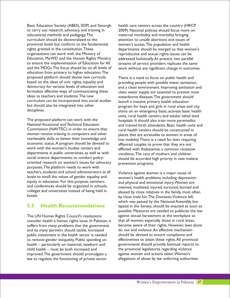to carry out research, advocacy, and training in 2009). National policies should focus more on educational methods and pedagogy. The maternal morbidity and mortality, bringing<br>curriculum should be decentralized to the attention to unsafe abortions and issues of provincial levels but conform to the fundamental women's access. The population and health<br>rights granted in the constitution. These departments should be merged so that wor organizations can work with the Ministry of reproductive and sexual rights issues can be<br>Education, MoWD and the Human Rights Ministry addressed holistically At present, two paralle Education, MoWD and the Human Rights Ministry addressed holistically. At present, two parallel<br>to ensure the implementation of Education for All streams of service providers replicate the sam to ensure the implementation of Education for All streams of service providers replicate the same<br>and the MDGs. The focus should be on all levels of work without any significant change in outcome education from primary to higher education.The proposed platform should devise new curricula There is a need to focus on public health and<br>based on the ideas of civic rights, equality and providing people with potable water sanitation based on the ideas of civic rights, equality and providing people with potable water, sanitation,<br>democracy for various levels of education and and a clean environment. Improving sanitation an democracy for various levels of education and and a clean environment. Improving sanitation and discreption and<br>formulate effective ways of communicating these discreption water supply are essential to prevent most formulate effective ways of communicating these clean water supply are essential to prevent most<br>ideas to teachers and students. The new waterborne diseases The government should curriculum can be incorporated into social studies launch a massive primary health education<br>but should also be integrated into other program for boys and girls in rural areas and but should also be integrated into other program for boys and girls in rural areas and city<br>disciplines.

The proposed platform can work with the hospitals. It should also train more paramedics<br>National Vocational and Technical Education and trained birth attendants Basic health units women receive training in computers and other places that are accessible to women in areas of marketable skills to better their knowledge and low mobility There is a need for laws requiring marketable skills to better their knowledge and low mobility. There is a need for laws requiring economic status. A program should be devised to a affianced couples to prove that they are not economic status.A program should be devised to affianced couples to prove that they are not<br>work with the women's studies centers and afflicted with thalassemia a common recessive departments in public universities, as well as with condition. The care of mothers and children<br>social science departments, to conduct policy-<br>should be accorded high priority in new mal oriented research on women's issues for advocacy prevention programs. purposes.The platform needs to work with teachers, students and school administrators at all Violence against women is a major cause of levels to instill the values of gender equality and vomen's health problems including depressive levels to instill the values of gender equality and women's health problems including depression equity in education. For this purpose, seminars and physical and emotional injury. Women are<br>and conferences should be organized in schools, and physical and emotional injured, fortured, burned and and conferences should be organized in schools, and maimed, mutilated, injured, tortured, burned and colleges and universities instead of being held in a bursed by close relatives in the family most ofter colleges and universities instead of being held in abused by close relatives in the family, most often<br>hotels.

#### **5.5 Health Recommendations**

The UN Human Rights Council's resolutions against sexual harassment at the workplace so consider health a human rights issue. In Pakistan, it that all women, especially those in rural areas, suffers from many problems that the government become aware of their rights. However, laws alone<br>and its many partners should tackle. Increased do not end violence. An effective mechanism and its many partners should tackle. Increased public investment in the health sector is needed should be devised to ensure compliance and to remove gender inequality. Public spending on effectiveness to attain these rights.All provincial health – particularly on maternal, newborn and governments should provide biannual reports to child health – must be both increased and the provincial legislatures regarding violence improved.The government should promulgate a against women and actions taken. Women's<br>law to regulate the functioning of private sector allegations of abuse by law enforcing authorities law to regulate the functioning of private sector

Basic Education Society (ABES), SDPI, and Simorgh health care centers across the country (HRCP attention to unsafe abortions and issues of departments should be merged so that women's work without any significant change in outcomes.

waterborne diseases.The government should slums on an emergency basis; activate basic health units, rural health centers; and taluka/ tehsil level National Vocational and Iechnical Education and trained birth attendants. Basic health units and<br>Commission (NAVTEC) in order to ensure that a series health conters should be constructed in rural health centers should be constructed in afflicted with thalassemia, a common recessive should be accorded high priority in new malaria

> by close male kin. The Domestic Violence bill, which was passed by the National Assembly but lapsed in the Senate, should be enacted as soon as possible. Measures are needed to publicize the law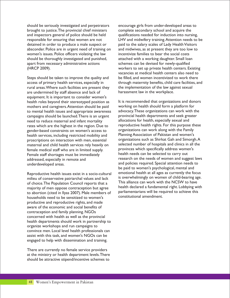should be seriously investigated and perpetrators encourage girls from under-developed areas to brought to justice.The provincial chief ministers complete secondary school and acquire the and inspectors general of police should be held qualifications needed for induction into nursing, absconder. Police are in urgent need of training on and midwives, as at present they are too low to women's issues. Police officers violating the law incentivize families to bear the social costs should be thoroughly investigated and punished, attached with a working daughter. Small loan apart from necessary administrative actions schemes can be devised for newly-qualified (HRCP 2009). workers to set up private health centers. Existing

rural areas.Where such facilities are present they the implementation of the law against sexual are undermined by staff absence and lack of harassment law in the workplace. equipment. It is important to consider women's health roles beyond their stereotyped position as It is recommended that organizations and donors<br>mothers and caregivers. Attention should be paid working on health should form a platform for mothers and caregivers.Attention should be paid working on health should form a platform for to mental health issues and appropriate awareness advocacy. These organizations can work with the campaigns should be launched. There is an urgent provincial health departments and seek greater campaigns should be launched.There is an urgent provincial health departments and seek gre<br>need to reduce maternal and infant mortality allocations for health, especially sexual and need to reduce maternal and infant mortality allocations for health, especially sexual and<br>rates which are the highest in the region. Due to reproductive health rights. For this purpose these rates which are the highest in the region. Due to reproductive health rights. For this purpose the<br>gender-based constraints on women's access to organizations can work along with the Family gender-based constraints on women's access to corganizations can work along with the Family<br>-bealth services, including restricted mobility and complanning Association of Pakistan and women's health services, including restricted mobility and Flanning Association of Pakistan and women's incorrection with men essential critical prosections such as Shirkat Gah and Simorgh. A proscriptions on interaction with men, essential organizations such as Shirkat Gah and Simorgh.A<br>maternal and child health services rely heavily on selected number of hospitals and clinics in all the maternal and child health services rely heavily on selected number of hospitals and clinics in all<br>female medical staff who are in limited supply provinces which specifically address women's female medical staff who are in limited supply. The provinces which specifically address wome<br>Female staff shortages must be immediately health needs can be selected to carry out Female staff shortages must be immediately addressed, especially in remote and and the needs of women and suggest laws and policies required. Special attention needs to underdeveloped areas.

milieu of conservative patriarchal values and lack is overwhelmingly on women of child-bearing age.<br>
of choice The Population Council reports that a This alliance can work with the NCSW to have of choice. The Population Council reports that a limit alliance can work with the NCSW to have<br>majority of men oppose contracention but agree lealth declared a fundamental right. Lobbying with majority of men oppose contraception but agree health declared a fundamental right. Lobbying with enabority of the abortion (cited in Ilvas 2007). Male members of parliamentarians will be required to achieve this to abortion (cited in Ilyas 2007). Male members of parliamentarians will be required to abortion to be required to a constitutional amendment. households need to be sensitized to women's productive and reproductive rights, and made aware of the economic and social benefits of contraception and family planning. NGOs concerned with health as well as the provincial health departments should work in partnership to organize workshops and run campaigns to convince men. Local level health professionals can assist with this task, and women's NGOs can be engaged to help with dissemination and training.

There are currently no female service providers at the ministry or health department levels.There should be attractive stipend/incentive schemes to

responsible for ensuring that women are not<br>detained in order to produce a male suspect or paid to the salary scales of Lady Health Visitors paid to the salary scales of Lady Health Visitors vacancies at medical health centers also need to Steps should be taken to improve the quality and be filled, and women incentivized to work there access of primary health services, especially in through maternity benefits, child care facilities, and

be paid to women's psychological, mental and Reproductive health issues exist in a socio-cultural emotional health at all ages as currently the focus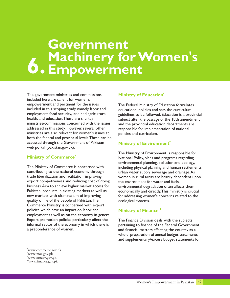## **6. Government Machinery for Women's Empowerment**

The government ministries and commissions included here are salient for women's empowerment and pertinent for the issues<br>
included in this scoping study, namely labor and<br>
educational policies and sets the curriculum included in this scoping study, namely labor and educational policies and sets the curriculum<br>employment, food security, land and agriculture, equidelines to be followed. Education is a prov employment, food security, land and agriculture, guidelines to be followed. Education is a provincial health, and education. These are the key subject after the passage of the 18th amendment<br>ministries/commissions concerned with the issues and the provincial education departments are ministries/commissions concerned with the issues and the provincial education departments are addressed in this study. However, several other responsible for implementation of national ministries are also relevant for women's issues at policies and curriculum. both the federal and provincial levels.These can be accessed through the Government of Pakistan web portal (pakistan.gov.pk).

#### **<sup>7</sup> Ministry of Commerce**

The Ministry of Commerce is concerned with including physical planning and human settlements,<br>
contributing to the national economy through urban water supply sewerage and drainage. As contributing to the national economy through urban water supply sewerage and drainage.As export competiveness and reducing cost of doing the environment for water and fuels, business. Aim to achieve higher market access for environmental degradation often affects them<br>Pakistani products in existing markets as well as economically and directly. This ministry is cruc new markets with ultimate aim of improving for addressing women's concerns related to the quality of life of the people of Pakistan. The ecological systems. Commerce Ministry is concerned with export policies which have an impact on labor and employment as well as on the economy in general. Export promotion policies particularly affect the The Finance Division deals with the subjects informal sector of the economy in which there is pertaining to finance of the Federal Governn informal sector of the economy in which there is pertaining to finance of the Federal Government<br>a preponderance of women.<br>and financial matters affecting the country as a

#### **<sup>8</sup> Ministry of Education**

responsible for implementation of national

#### **<sup>9</sup> Ministry of Environment**

The Ministry of Environment is responsible for National Policy, plans and programs regarding environmental planning, pollution and ecology, women in rural areas are heavily dependent upon economically and directly. This ministry is crucial

#### **<sup>10</sup> Ministry of Finance**

and financial matters affecting the country as a whole, preparation of annual budget statements and supplementary/excess budget statements for

<sup>7</sup>www.commerce.gov.pk

<sup>8</sup>www.moe.gov.pk

<sup>9</sup>www.moenv.gov.pk

<sup>10</sup>www.finance.gov.pk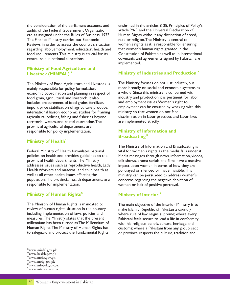the consideration of the parliament accounts and enshrined in the articles 8-28, Principles of Policy's audits of the Federal Government Organization article 29-E, and the Universal Declaration of etc. as assigned under the Rules of Business, 1973. Human Rights without any distinction of creed, The Finance Ministry carries out Economic race or religion.The Ministry is central to<br>Reviews in order to assess the country's situation women's rights as it is responsible for ensuring Reviews in order to assess the country's situation women's rights as it is responsible for ensurfied responsible for ensuring labor, employment, education, health and that women's human rights granted in the regarding labor, employment, education, health and that women's human rights granted in the<br>food requirements. This ministry is crucial for its Constitution of Pakistan as well as in international food requirements. This ministry is crucial for its central role in national allocations. covenants and agreements signed by Pakistan are

## **Ministry of Food Agriculture and**

mainly responsible for policy formulation,<br>economic coordination and planning in respect of a whole. Since this ministry is concerned with economic coordination and planning in respect of food grain, agricultural and livestock. It also industry and production it is pertinent for labor includes procurement of food grains, fertilizer, and employment issues. Women's right to includes procurement of food grains, fertilizer, and employment issues. Women's right to includes includes in<br>import price stabilization of agriculture produce, and employment can be ensured by working with this import price stabilization of agriculture produce, employment can be ensured by worl<br>international liaison, economic studies for framing ministry so that women do not face international liaison, economic studies for framing ministry so that women do not face agricultural policies, fishing and fisheries beyond discrimination in labor pr<br>territorial waters, and animal quarantine. The are implemented strictly. territorial waters, and animal quarantine. The provincial agricultural departments are responsible for policy implementation.

#### **<sup>12</sup> Ministry of Health**

provincial health departments. The Ministry talk shows, drama serials and films have a massive<br>addresses issues such as reproductive health, Lady impact upon women in terms of how they are Health Workers and maternal and child health as portrayed or silenced or made invisible. This<br>well as all other health issues affecting the ministry can be persuaded to address women population. The provincial health departments are concerns regarding the negative depiction of responsible for implementation.

#### **Ministr <sup>13</sup> <sup>16</sup> y of Human Rights Ministry of Interior**

The Ministry of Human Rights is mandated to The main objective of the Interior Ministry is to review of human rights situation in the country<br>
including implementation of laws, policies and<br>
where rule of law reigns supreme: where eve including implementation of laws, policies and where rule of law reigns supreme; where every measures.The Ministry states that the present Pakistani feels secure to lead a life in conformity<br>millennium has been turned as The Millennium of with his religious beliefs, culture, heritage and millennium has been turned as The Millennium of with his religious beliefs, culture, heritage and<br>Human Rights. The Ministry of Human Rights has entit customs: where a Pakistani from any group, se to safeguard and protect the Fundamental Rights or province respects the culture, tradition and

implemented.

#### **14 Livestock (MINFAL)**<sup>11</sup> **Ministry of Industries and Production**<sup>14</sup>

The Ministry of Food,Agriculture and Livestock is The Ministry focuses on not just industry, but

#### **Ministry of Information and <sup>15</sup> Broadcasting**

The Ministry of Information and Broadcasting is Federal Ministry of Health formulates national vital for women's rights as the media falls under it. policies on health and provides guidelines to the Media messages through news, information, videos, impact upon women in terms of how they are ministry can be persuaded to address women's women or lack of positive portrayal.

customs; where a Pakistani from any group, sect

<sup>11</sup>www.minfal.gov.pk

<sup>12</sup>www.health.gov.pk <sup>13</sup>www.mohr.gov.pk

<sup>14</sup>www.moip.gov.pk

<sup>15</sup>www.infopak.gov.pk

<sup>16</sup>www.interior.gov.pk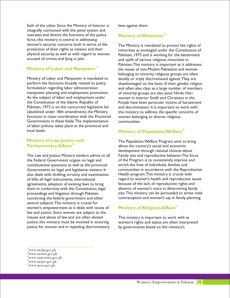faith of the other. Since the Ministry of Interior is laws against them. integrally connected with the penal system and oversees and directs the functions of the police force, this ministry is central in addressing women's security concerns both in terms of the The Ministry is mandated to protect the rights of protection of their rights as citizens and their<br>minorities as envisaged under the Constitution of physical security, as well as with regard to women pakistan, 1973 and is working for the betterment accused of crimes and lying in jails.

#### **<sup>17</sup> Ministry of Labor and Manpower**

Ministry of Labor and Manpower is mandated to doubly or triply discriminated against. They are<br>perform the functions broadly related to policy disadvantaged on the basis of their gender relig manpower planning and employment promotion. As the subject of labor and employment under women in interior Sindh and Christians in the Pakistan, 1973 is on the concurrent legislative list and discrimination. It is important to work with (abolished under 18th amendment), the Ministry this ministry to address the specific concerns of functions in close coordination with the Provincial vomen belonging to diverse religious Governments in these fields.The implementation communities. of labor policies takes place at the provincial and local levels.

#### **Ministry of Law, Justice and <sup>18</sup> Parliamentary Affairs**

The Law and Justice Ministry tenders advice to all Family size and reproductive behavior.The focus the Federal Government organs on legal and of the Program is to consistently improve and constitutional questions as well as the provincial enrich the lives of individuals, families and also deals with drafting, scrutiny and examination Health program.This ministry is crucial with of bills, all legal instruments, international regard to women's health and reproductive issues agreements, adoption of existing laws to bring because of the lack of reproductive rights and<br>them in conformity with the Constitution, legal absence of women's voice in determining family them in conformity with the Constitution, legal concerning the federal government and other contraception and women's say in family planning. several subjects.This ministry is crucial for women's empowerment as it deals with issues of law and justice. Since women are subject to the misuse and abuse of law and are often denied This ministry is important to work with as justice, this ministry must be involved in ensuring women's rights and status are often interpreted justice for women and in repealing discriminatory by governments based on the ministry's

#### **<sup>19</sup> Ministry of Minorities**

protection of their rights as citizens and their minorities as envisaged under the Constitution of<br>physical security, as well as with regard to women pakistan 1973 and is working for the betterment and uplift of various religious minorities in Pakistan.This ministry is important as it addresses the issues of non-Muslim Pakistanis and women belonging to minority religious groups are often perform the functions broadly related to policy disadvantaged on the basis of their gender, religion<br>formulation regarding labor administration and often also class as a large number of members and often also class as a large number of members<br>of minority groups are also poor. Hindu Hari the Constitution of the Islamic Republic of Punjab have been particular victims of harassment

#### **<sup>20</sup> Ministry of Population Welfare**

The Population Welfare Program aims to bring about the country's social and economic development through rational choices about Governments on legal and legislative matters. It communities in accordance with the Reproductive proceedings and litigation through Pakistan size. This ministry can be persuaded to stress male

#### **<sup>21</sup> Ministry of Religious Affairs**

<sup>17</sup>www.molm.gov.pk

<sup>18</sup>www.molaw.gov.pk

<sup>19</sup>www.minorities.gov.pk

<sup>20</sup>www.mopw.gov.pk

 $21$ www.mora.gov.pk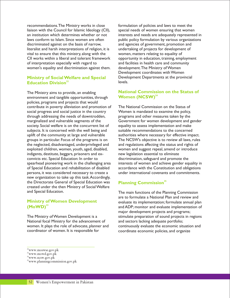recommendations.The Ministry works in close formulation of policies and laws to meet the liaison with the Council for Islamic Ideology (CII), special needs of women ensuring that women an institution which determines whether or not interests and needs are adequately represented in laws conform to Islam. Since women are often public policy formulation by various organizations discriminated against on the basis of narrow, and agencies of government, promotion and literalist and harsh interpretations of religion, it is undertaking of projects for development of vital to ensure that this ministry, along with the women, matters relating to equality of CII works within a liberal and tolerant framework opportunity in education, training, employment of interpretation especially with regard to and facilities in health care and community<br>women's equality and discrimination against them. development. The Ministry of Women women's equality and discrimination against them.

#### **Ministry of Social Welfare and Special <sup>22</sup> Education Division**

The Ministry aims to provide, an enabling environment and tangible opportunities, through policies, programs and projects that would contribute in poverty alleviation and promotion of The National Commission on the Status of social progress and social justice in the country Women is mandated to examine the policy, social progress and social justice in the country through addressing the needs of downtrodden, programs and other measures taken by the marginalized and vulnerable segments of the Government for women development and gender society. Social welfare is on the concurrent list of equality to assess implementation and make subjects. It is concerned with the well being and suitable recommendations to the concerned uplift of the community at large and vulnerable authorities where necessary for effective impact. groups in particular. Focus of the programs is on The NCSW's objective is to review all laws, rules the neglected, disadvantaged, underprivileged and and regulations affecting the status and rights of exploited children, women, youth, aged, disabled, women and suggest repeal, amend or introduce indigents, destitute, beggars, prisoners and ex- new legislation essential to eliminate convicts etc. Special Education: In order to discrimination, safeguard and promote the spearhead pioneering work in the challenging area interests of women and achieve gender equality in of Special Education and rehabilitation of disabled accordance with the Constitution and obligations persons, it was considered necessary to create a under international covenants and commitments. new organization to take up this task.Accordingly, the Directorate General of Special Education was created under the then Ministry of Social Welfare and Special Education. The main functions of the Planning Commission

#### **Ministry of Women Development <sup>23</sup> (MoWD)**

National focal Ministry for the advancement of and sectors lacking adequate portfolio; coordinator of women. It is responsible for coordinate economic policies, and organize

Development coordinates with Women Development Departments at the provincial levels.

#### **National Commission on the Status of Women (NCSW)**<sup>24</sup>

#### **<sup>25</sup> Planning Commission**

are to formulate a National Plan and review and evaluate its implementation; formulate annual plan and ADP; monitor and evaluate implementation of major development projects and programs; The Ministry of Women Development is a stimulate preparation of sound projects in regions women. It plays the role of advocate, planner and continuously evaluate the economic situation and

<sup>22</sup>www.moswse.gov.pk

 $\real^{23}$ www.mowd.gov.pk

 $24$ www.ncsw.gov.p $\mathbf{\hat{k}}$ 

<sup>25</sup>www.planningcommission.gov.pk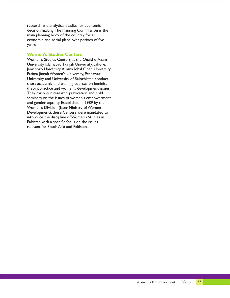research and analytical studies for economic decision making.The Planning Commission is the main planning body of the country for all economic and social plans over periods of five years.

#### **Women's Studies Centers**

Women's Studies Centers at the Quaid-e-Azam University, Islamabad, Punjab University, Lahore, Jamshoro University,Allama Iqbal Open University, Fatima Jinnah Women's University, Peshawar University and University of Balochistan conduct short academic and training courses on feminist theory, practice and women's development issues. They carry out research, publication and hold seminars on the issues of women's empowerment and gender equality. Established in 1989 by the Women's Division (later Ministry of Women Development), these Centers were mandated to introduce the discipline of Women's Studies in Pakistan with a specific focus on the issues relevant for South Asia and Pakistan.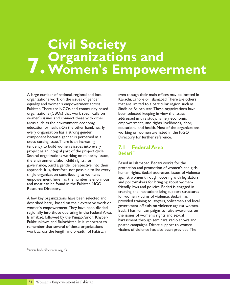# **7. Civil Society Organizations and Women's Empowerment**

A large number of national, regional and local even though their main offices may be located in organizations work on the issues of gender Karachi, Lahore or Islamabad. There are others equality and women's empowerment across that are limited to a particular region such as Pakistan. There are NGOs and community based Sindh or Balochistan. These organizations have organizations (CBOs) that work specifically on been selected keeping in view the issues women's issues and connect these with other addressed in this study, namely economic areas such as the environment, economy, empowerment, land rights, livelihoods, labor, education or health. On the other hand, nearly education, and health. Most of the organizations every organization has a strong gender working on women are listed in the NGO component because gender is perceived as a Directory for further reference. cross-cutting issue.There is an increasing tendency to build women's issues into every project as an integral part of the project cycle. Several organizations working on minority issues, the environment, labor, child rights, or Based in Islamabad, Bedari works for the governance, build a gender perspective into their approach. It is, therefore, not possible to list every and protection and promotion or women's and given single organization contributing to women's empowerment here, as the number is enormous,<br>and policymakers for bringing about women-<br>friendly laws and policies. Bedari is engaged in<br>Resource Directory.

described here, based on their extensive work on women's empowerment.They have been divided Bedari has run campaigns to raise awareness on<br>regionally into those operating in the Federal Area,<br>the issues of women's rights and sexual Islamabad, followed by the Punjab, Sindh, Khyber-<br>Bukhtunkhun and Paleshistan It is important to harassment through seminars, radio shows and Pukhtunkhwa and Balochistan. It is important to marassment through seminars, radio shows and Pukhtunkhwa and Balochistan. It is important to messure poster campaigns. Direct support to women poster campaigns. Direct support to women<br>work across the langth and broadth of Pakistan victims of violence has also been provided. The work across the length and breadth of Pakistan

#### **7.1 Federal Area <sup>26</sup> Bedari**

protection and promotion of women's and girls' against women through lobbying with legislators creating and institutionalizing support structures A few key organizations have been selected and<br>A few key organizations have been selected and<br>provided training to lawyers, policemen and local government officials on violence against women.

<sup>26</sup>www.bedariforevaw.org.pk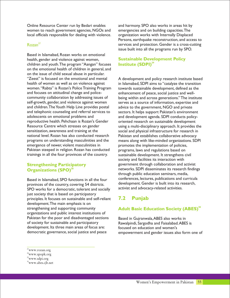Online Resource Center run by Bedari enables and harmony. SPO also works in areas hit by women to reach government agencies, NGOs and emergencies and on building capacities. The local officials responsible for dealing with violence. organization works with Internally Displaced

#### $Rozan^{27}$

Based in Islamabad, Rozan works on emotional health, gender and violence against women, children and youth.The program "Aangan" focuses on the emotional health of children in general, and on the issue of child sexual abuse in particular. "Zeest" is focused on the emotional and mental A development and policy research institute based<br>health of women as well as on violence against in Islamabad. SDPI aims to "catalyze the transition women. "Rabta" is Rozan's Police Training Program towards sustainable development, defined as the and focuses on attitudinal change and police-<br>enhancement of peace, social justice and welland focuses on attitudinal change and police-<br>
enhancement of peace, social justice and well-<br>
community collaboration by addressing issues of being within and across generations." The insti self-growth, gender, and violence against women serves as a source of information, expertise and and children. The Youth Help Line provides postal advice to the government, NGO and private and children. The Youth Help Line provides postal and telephonic counseling and referral services to sectors. It helps support Pakistan's environment<br>adolescents on emotional problems and sand development agenda. SDPI conducts policyreproductive health. Pehchaan is Rozan's Gender oriented research on sustainable development<br>Resource Centre which stresses on gender using a multi-disciplinary approach. It provides t Resource Centre which stresses on gender using a multi-disciplinary approach. It provides the<br>
sensitization, awareness and training at the social and physical infrastructure for research in national level. Rozan has also conducted research Pakistan and establishes collaborative advocacy programs on understanding masculinities and the means along with like-minded organizations. SDPI emergence of newer, violent masculinities in promotes the implementation of policies, Pakistan steeped in religion. Rozan has conducted programs, laws and regulations based on trainings in all the four provinces of the country. sustainable development. It strengthens civil

#### **Strengthening Participatory <sup>28</sup> Organizations (SPO)**

provinces of the country, covering 54 districts.<br>SPO works for a democratic tolerant and socially activist and advocacy-related activities. SPO works for a democratic, tolerant and socially just society that is based on participatory principles. It focuses on sustainable and self-reliant development.The main emphasis is on strengthening and supporting community organizations and public interest institutions of Pakistan for the poor and disadvantaged sections Based in Gujranwala, ABES also works in<br>of society for sustainable and participatory Rawalpindi. Sargodha and Faisalabad. ABES development. Its three main areas of focus are:<br>democratic governance, social justice and peace

<sup>27</sup>www.rozan.org

Persons, earthquake reconstruction, and access to services and protection. Gender is a cross-cutting issue built into all the programs run by SPO.

#### **Sustainable Development Policy <sup>29</sup> Institute (SDPI)**

in Islamabad, SDPI aims to "catalyze the transition being within and across generations." The institute and development agenda. SDPI conducts policysocial and physical infrastructure for research in society and facilities its interaction with government through collaboration and activist networks. SDPI disseminates its research findings through public education seminars, media, Based in Islamabad, SPO functions in all the four<br>
provinces of the country covering 54 districts development. Gender is built into its research,

#### **7.2 Punjab**

#### **<sup>30</sup> Adult Basic Education Society (ABES)**

Rawalpindi, Sargodha and Faisalabad. ABES is<br>focused on education and women's empowerment and gender issues also form one of

<sup>28</sup>www.spopk.org

<sup>29</sup>www.sdpi.org

<sup>30</sup>www.abes.cjb.net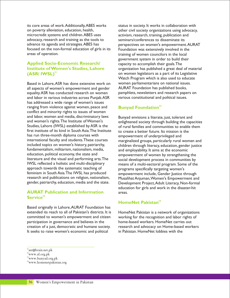its core areas of work.Additionally,ABES works status in society. It works in collaboration with on poverty alleviation, education, health, other civil society organizations using advocacy, microcredit systems and children. ABES uses activism, research, training, publication and advocacy, research and training as the tools to seminars/conferences to disseminate its<br>advance its agenda and strategies. ABES has perspectives on women's empowerment focused on the non-formal education of girls in its Foundation was extensively involved in the

#### **Applied Socio-Economic Research/ Institute of Women's Studies, Lahore <sup>31</sup> (ASR/ IWSL)**

Based in Lahore, ASR has done extensive work on women parliamentarians on national issues.<br>
all aspects of women's empowerment and gender AURAT Foundation has published books, all aspects of women's empowerment and gender AURAT Foundation has published books,<br>equality.ASR has conducted research on women pamphlets, newsletters and research papers on equality. ASR has conducted research on women and labor in various industries across Punjab.ASR various constitutional and political issues. has addressed a wide range of women's issues ranging from violence against women, peace and conflict and minority rights to issues of women and labor, women and media, discriminatory laws<br>and women's rights. The Institute of Women's<br>enlightened society through building the capa and women's rights. The Institute of Women's enlightened society through building the capacities<br>Studies, Lahore (IWSL) established by ASR is the  $\frac{1}{2}$  of rural families and communities to enable them first institute of its kind in South Asia. The Institute  $\frac{1}{10}$  to create a better future. Its mission is the has run three-month diploma courses with  $\frac{1}{10}$  empowerment of underprivileged and has run three-month diploma courses with empowerment of underprivileged and<br>international faculty and students. These courses and marginalized groups, particularly rural international faculty and students.These courses marginalized groups, particularly rural women and included topics on women's history, patriarchy, children through literacy, education, gender justice fundamentalism, militarism, nationalism, media, and employability. It aims at the economic education, political economy, the state and empowerment of women by strengthening the<br>literature and the visual and performing arts. The social development process in communities by literature and the visual and performing arts.The social development process in communities by<br>IWSL reflected a holistic and multi-disciplinary means of a multi-sectoral program. Some of the IWSL reflected a holistic and multi-disciplinary means of a multi-sectoral program. Some of the approach towards the systematic teaching of programs specifically targeting women's approach towards the systematic teaching of programs specifically targeting women's<br>feminism in South Asia.The IWSL has produced empowerment include. Gender lustice t feminism in South Asia.The IWSL has produced empowerment include, Gender Justice through<br>1991 research and publications on religion, nationalism, Musalihat Aniuman.Women's Empowerment an research and publications on religion, nationalism, Musalihat Anjuman,Women's Empowerment and

#### **AURAT Publication and Information <sup>32</sup> Service**

Based originally in Lahore,AURAT Foundation has extended its reach to all of Pakistan's districts. It is HomeNet Pakistan is a network of organizations committed to women's empowerment and citizen working for the recognition and labor rights of participation in governance and believes in the home-based workers. HomeNet carries out creation of a just, democratic and humane society. research and advocacy on Home-based workers It seeks to raise women's economic and political in Pakistan. HomeNet lobbies with the

perspectives on women's empowerment.AURAT training of women councilors in the local government system in order to build their capacity to accomplish their goals.The organization has published a great deal of material on women legislators as a part of its Legislative Watch Program which is also used to educate

#### **<sup>33</sup> Bunyad Foundation**

of rural families and communities to enable them Development Project, Adult Literacy, Non-formal education for girls and work in the disaster-hit areas.

#### **<sup>34</sup> HomeNet Pakistan**

<sup>&</sup>lt;sup>31</sup>asr@brain.net.pk

<sup>32</sup>www.af.org.pk

<sup>33</sup>www.bunyad.org.pk

<sup>34</sup>www.homenetpakistan.org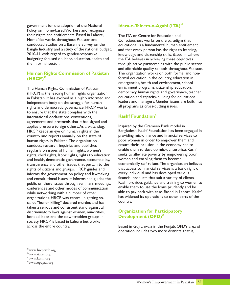government for the adoption of the National Policy on Home-based Workers and recognize their rights and entitlements. Based in Lahore, The ITA or Centre for Education and<br>HomeNet works throughout Pakistan and Consciousness works on the paradign HomeNet works throughout Pakistan and Forth Consciousness works on the paradigm that conducted studies on a Baseline Survey on the Fortherizational is a fundamental human entitlem conducted studies on a Baseline Survey on the educational is a fundamental human entitlement<br>Bangle Industry, and a study of the national budget, and that every person has the right to learning. Bangle Industry, and a study of the national budget, and that every person has the right to learning,<br>2010-11 with regard to gender-responsive knowledge and citizenship skills. Based in Lahore 2010-11 with regard to gender-responsive knowledge and citizenship skills. Based in Lahore<br>budgeting focused on labor, education, health and the ITA believes in achieving these objectives budgeting focused on labor, education, health and the ITA believes in achieving these objectives<br>the informal sector.

#### **Human Rights Commission of Pakistan <sup>35</sup> (HRCP)**

(HRCP) is the leading human rights organization democracy, human rights and governance, teach<br>in Pakistan It has evolved as a highly informed and education and capacity-building for educational in Pakistan. It has evolved as a highly informed and rights and democratic governance. HRCP works to ensure that the state complies with the international declarations, conventions, agreements and protocols that it has signed and applies pressure to sign others. As a watchdog, linspired by the Grameen Bank model in<br>HRCP keeps an eve on human rights in the Bangladesh, Kashf Foundation has been engaged in HRCP keeps an eye on human rights in the Bangladesh, Kashf Foundation has been engaged<br>Country and reports annually on the state of providing microfinance and financial services to country and reports annually on the state of providing microfinance and financial services to the basic both c<br>human rights in Pakistan.The organization boor women in order to empower them and human rights in Pakistan. The organization **poor women in order to empower them and**<br>conducts research, inquiries and publishes ensure their inclusion in the economy and to conducts research, inquiries and publishes ensure their inclusion in the economy and to<br>regularly on issues of human rights, women's enable them to develop microenterprise. Kashf regularly on issues of human rights, women's renable them to develop microenterprise. Kashf rights, rights, rights to education refeks to alleviate poverty by empowering poor rights, child rights, labor rights, rights to education seeks to alleviate poverty by empower<br>and health, democratic governance, accountability. Women and enabling them to become and health, democratic governance, accountability, women and enabling them to become<br>transparency and other issues that pertain to the economically self-reliant. The organization believes transparency and other issues that pertain to the economically self-reliant. The organization believe<br>transparency and arouns HRCP quides and that access to financial services is a basic right of rights of citizens and groups. HRCP guides and that access to financial services is a basic right<br>informs the government on policy and lawmaking every individual and has developed various informs the government on policy and lawmaking every individual and has developed various<br>and constitutional issues It informs and guides the financial products that suit a variety of clients. public on these issues through seminars, meetings, Kashf provides guidance and training to women<br>conferences and other modes of communication enable them to use the loans prudently and be conferences and other modes of communication while networking with a number of other<br>
organizations HRCP was central in getting so-<br>
has widened its operations to other parts of the organizations. HRCP was central in getting so-<br>called "bonor killing" declared murder and bas country. called "honor killing" declared murder, and has taken a serious and consistent stand against all discriminatory laws against women, minorities, bonded labor and the downtrodden groups in society. HRCP is based in Lahore but works across the entire country. Based in Gujranwala in the Punjab, OPD's area of

#### **<sup>36</sup> Idara-e-Taleem-o-Agahi (ITA)**

through active partnerships with the public sector and affordable quality schools throughout Pakistan. The organization works on both formal and nonformal education in the country, education in emergencies, health and environment, school The Human Rights Commission of Pakistan enrichment programs, citizenship education,<br>(HRCP) is the leading human rights organization democracy, human rights and governance, teacher independent body on the struggle for human<br>rights and democratic governance. HRCP works all programs as cross-cutting issues.

#### **<sup>37</sup> Kashf Foundation**

and constitutional issues. It informs and guides the financial products that suit a variety of clients.<br>public on these issues through seminars meetings Kashf provides guidance and training to women to

#### **Organization for Participatory <sup>38</sup> Development (OPD)**

operation includes two more districts, that is,

<sup>35</sup>www.hrcp-web.org

<sup>36</sup>www.itacec.org

<sup>37</sup>www.kashf.org

<sup>38</sup>www.opdpak.org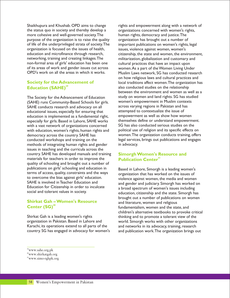the status quo in society and thereby develop a organizations concerned with women's rights, more cohesive and well-governed society. The human rights, democracy and justice. The purpose of the organization is to raise the quality organization has brought out a number of of life of the underprivileged strata of society. The important publications on women's rights, of life of the underprivileged strata of society. The important publications on women's rights, legal organization is focused on the issues of health, issues, violence against women, women's non-formal area of girls' education has been one cultural practices that have an impact upon<br>of its areas of work and gender issues cut across women. As a part of the Women Living Und of its areas of work and gender issues cut across women. As a part of the Women Living Under<br>OPD's work on all the areas in which it works. Muslim Laws network. SG has conducted reses

#### **Society for the Advancement of <sup>39</sup> Education (SAHE)**

(SAHE) runs Community-Based Schools for girls. Women's empowerment in Muslim contex<br>SAHE conducts research and advocacy on all sacross varying regions in Pakistan and has SAHE conducts research and advocacy on all across varying regions in Pakistan and has<br>educational issues, especially for ensuring that attempted to contextualize the issue of educational issues, especially for ensuring that attempted to contextualize the issue of<br>education is implemented as a fundamental right. empowerment as well as show how women education is implemented as a fundamental right, empowerment as well as show how women<br>especially for girls. Based in Lahore, SAHE works themselves define or understand empowerment. especially for girls. Based in Lahore, SAHE works themselves define or understand empowerme<br>with a vast network of organizations concerned SG has also conducted serious studies on the with a vast network of organizations concerned SG has also conducted serious studies on the<br>with education, women's rights, human rights and political use of religion and its specific effects on with education, women's rights, human rights and democracy across the country. SAHE has women. The organization conducts training, offers conducted workshops and training on the legal services, brings out publications and engages methods of integrating human rights and gender in advocacy. issues in teaching and the curricula across the country. SAHE has developed manuals and training materials for teachers in order to improve the quality of schooling and brought out a number of publications on girls' schooling and education in Based in Lahore, Simorgh is a leading women's<br>terms of access, quality, constraints and the ways examization that has worked on the issues of terms of access, quality, constraints and the ways organization that has worked on the issues of to overcome the bias against girls' education. to overcome the bias against girls' education.<br>SAHE is involved in Teacher Education and which and sonder and judiciary Simorsh has worked o SAHE is involved in Teacher Education and and gender and judiciary. Simorgh has worked on<br>Education for Citizenship in order to inculcate a head spectrum of women's issues including Education for Citizenship in order to inculcate a broad spectrum of women's issues including<br>social and tolerant values in society.

#### **Shirkat Gah – Women's Resource <sup>40</sup> Center (SG)**

Shirkat Gah is a leading women's rights thinking and to promote a tolerant view of the organization in Pakistan. Based in Lahore and world. Simorgh works with other organizations<br>Karachi, its operations extend to all parts of the and networks in its advocacy, training, research country. SG has engaged in advocacy for women's and publication work.The organization brings out

Shaikhupura and Khushab. OPD aims to change rights and empowerment along with a network of issues, violence against women, women's education and microfinance through research, exitizenship, the state and women, the environment, networking, training and creating linkages. The militarization, globalization and customary and militarization, globalization and customary and Muslim Laws network. SG has conducted research on how religious laws and cultural practices and local traditions affect women.The organization has also conducted studies on the relationship between the environment and women as well as a The Society for the Advancement of Education study on women and land rights. SG has studied<br>(SAHE) runs Community-Based Schools for girls. women's empowerment in Muslim contexts

#### **Simorgh Women's Resource and <sup>41</sup> Publication Center**

education, citizenship and the state. Simorgh has brought out a number of publications on women and literature, women and religious fundamentalism, women and the state, and children's alternative textbooks to provoke critical and networks in its advocacy, training, research

<sup>39</sup>www.sahe.org.pk

<sup>40</sup>www.shirkatgah.org

<sup>41</sup>www.simo-rghpk.org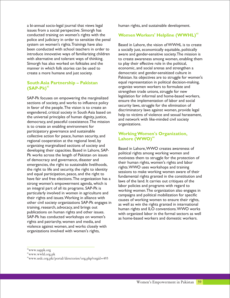a bi-annual socio-legal journal that views legal human rights, and sustainable development. issues from a social perspective. Simorgh has conducted training on women's rights with the police and judiciary in order to sensitize the penal system on women's rights.Trainings have also Based in Lahore, the vision of WWHL is to create<br>been conducted with school teachers in order to a socially just, economically equitable, politically been conducted with school teachers in order to a socially just, economically equitable, politically introduce innovative ways of familiarizing children aware and gender-sensitive society. The mission Simorgh has also worked on folktales and the to play their effective role in the political, manner in which folk stories can be used to economic, and social arenas and strengthen a create a more humane and just society. democratic and gender-sensitized culture in

#### **South Asia Partnership – Pakistan <sup>42</sup> (SAP-Pk)**

Example of the sections of society, and works to influence policy<br>in favor of the people. The vision is to create an<br>engendered, critical society in South Asia based on<br>the universal principles of human dignity, justice,<br>t the universal principles of human dignity, justice,<br>democracy, and peaceful coexistence. The mission<br>is to create an enabling environment for<br>formulations. participatory governance and sustainable collective action for peace, human security, and regional cooperation at the regional level, by organizing marginalized sections of society and Based in Lahore, WWO creates awareness of<br>Based in Lahore, SAP-<br>Bis works across the length of Pokistan on issues political rights among working women and Pk works across the length of Pakistan on issues<br>of democracy and governance, disaster and<br>emergencies, the right to sustainable livelihoods,<br>the right to life and security, the right to identity<br>and equal participation, p strong women's empowerment agenda, which is<br>an integral part of all its programs. SAP-Pk is<br>an integral part of all its programs. SAP-Pk is particularly involved in women in agriculture and<br>their rights and issues. Working in alliance with<br>other civil society organizations SAP-Pk engages in<br>training, research, advocacy, and brings out training, research, advocacy, and brings out human rights and ILO conventions. WWO works<br>publications on human rights and other issues. The examined labor in the farmel sectors as well publications on human rights and other issues.<br>SAP-Pk has conducted workshops on women's essay head workers and demostic workers rights and patriarchy, women and media, and violence against women, and works closely with organizations involved with women's rights,

#### **W <sup>43</sup> omen Workers' Helpline (WWHL)**

aware and gender-sensitive society. The mission is with alternative and tolerant ways of thinking. The ocreate awareness among women, enabling them Pakistan. Its objectives are to struggle for women's equal representation in political decision-making, organize women workers to formulate and strengthen trade unions, struggle for new SAP-Pk focuses on empowering the marginalized legislation for informal and home-based workers,<br>ensure the implementation of labor and social

#### **Working Women's Organization, <sup>44</sup> Lahore (WWO)**

working women.The organization also engages in as home-based workers and domestic workers.

<sup>42</sup>www.sappk.org

<sup>43</sup>www.wwhl.org.pk

<sup>44</sup>www.sedc.org.pk/portal/directories/org.php?orgid=493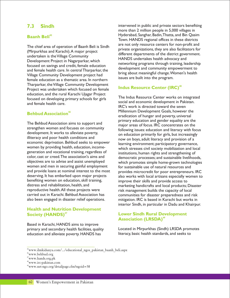#### **7.3 Sindh**

#### **<sup>45</sup> Baanh Beli**

Focused on savings and credit, female education<br>and female health care. In central Tharparkar, the<br>Village Community Development project had<br>sissues are built into the program. female education as a thematic area. In northern Tharparkar, the Village Community Development Project was undertaken which focused on female education, and the rural Karachi Ujagar Project The Indus Resource Center works on integrated focused on developing primary schools for girls social and economic development in Pakistan. and female health care.

#### **<sup>46</sup> Behbud Association**

The Behbud Association aims to support and<br>strengthen women and focuses on community<br>following issues: education and literacy with for strengthen women and focuses on community<br>development. It works to alleviate poverty,<br>on education primarily for girls but increasingly development. It works to alleviate poverty,<br>illiteracy and poor health conditions and<br>now on hove adult literacy and provision of a economic deprivation. Behbud seeks to empower<br>women by providing health, education, income-<br>which strosses civil society mobilization and local women by providing health, education, income-<br>generation and vocational training, regardless of exactivations human rights and strengthening of generation and vocational training, regardless of institutions, human rights and strengthening of color, cast or creed. The association's aims and democratic processes; and sustainable liveliboo color, cast or creed. The association's aims and democratic processes; and sustainable livelihoods,<br>objectives are to advise and assist unemployed which promotes simple home-grown technologies women and men in securing gainful employment<br>and provide loans at nominal interest to the most<br>provides microcredit for poor entrepreneur benefiting women on education, skill training, improve their skills and provide access to<br>distress and rehabilitation, health, and improve their pandicrafts and local products: reproductive health. All these projects were risk management builds the capacity of local<br>carried out in Karachi. Behbud Association has communities for disaster preparedness and r also been engaged in disaster relief operations. mitigation. IRC is based in Karachi but works in

#### **Health and Nutrition Development 47 Society (HANDS)**<sup>47</sup> **Lower Sindh Rural Development**

Based in Karachi, HANDS aims to improve education and alleviate poverty. HANDS has

intervened in public and private sectors benefiting more than 2 million people in 5,000 villages in Hyderabad, Sanghar, Badin,Thatta, and Bin Qasim Town. HANDS regional offices in these districts The chief area of operation of Baanh Beli is Sindh are not only resource centers for non-profit and<br>
Inivate organizations, they are also facilitators for (Mirpurkhas and Karachi). A major project<br>
undertaken is the Village Community<br>
Development Project in Nagarparkar, which<br>
found the strip and the district of the district government.<br>
HANDS undertakes health advocacy and<br>

#### **<sup>48</sup> Indus Resource Center (IRC)**

IRC's work is directed toward the seven Millennium Development Goals, however the eradication of hunger and poverty, universal primary education and gender equality are the now on boys, adult literacy and provision of a which promotes simple home-grown technologies and provide loans at nominal interest to the most provides microcredit for poor entrepreneurs. IRC<br>deserving. It has embarked upon major projects also works with local artisans especially women to deserving. It has embarked upon major projects also works with local artisans especially women to<br>benefiting women on education, skill training, and improve their skills and provide access to distress and rehabilitation, health, and marketing handicrafts and local products; Disaster<br>reproductive health. All these projects were risk management builds the capacity of local communities for disaster preparedness and risk interior Sindh, in particular in Dadu and Khairpur.

## **<sup>49</sup> Association (LRSDA)**

primary and secondary health facilities, quality<br>
education and alleviate poverty. HANDS has literacy, basic health standards, and seeks to

<sup>45</sup>www.ilmkidunya.com/.../educational\_ngos\_pakistan\_baanh\_beli.aspx

<sup>46</sup>www.behbud.org

<sup>47</sup>www.hands.org.pk

<sup>48</sup>www.irc-pakistan.com

<sup>49</sup>www.net-ngo.org/detailpage.cfm?ngoid=58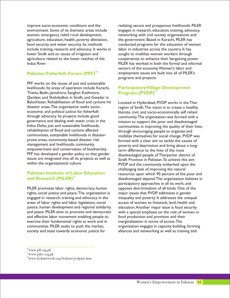improve socio-economic conditions and the realizing secure and prosperous livelihoods. PILER environment. Some of its thematic areas include engages in research, education, training, advocacy, women, emergency relief, rural development, networking with civil society organizations and agriculture, education, health, poverty alleviation, the government. Based in Karachi, PILER has food security and water security. Its methods conducted programs for the education of women include training, research and advocacy. It works in labor in industries across the country. It has lower Sindh and on issues of irrigation and sought to mobilize women workers through agriculture related to the lower reaches of the cooperatives to enhance their bargaining power. Indus River. PILER has worked in both the formal and informal

#### **<sup>50</sup> Pakistan Fisherfolk Forum (PFF)**

PFF works on the issues of just and sustainable livelihoods. Its areas of operation include Karachi, Thatta, Badin, Jamshoro, Sanghar, Kashmore, Qambar, and Shahdadkot in Sindh, and Gwadar in Balochistan. Rehabilitation of flood and cyclone hit Located in Hyderabad, PVDP works in the Thar<br>disaster areas. The organization seeks socio-<br>region of Sindh. The vision is to create a healthy. disaster areas.The organization seeks socio- region of Sindh.The vision is to create a healthy, economic and political justice for fisherfolk literate, civic and socio-economically self reliant<br>through advocacy. Its projects include good community The organization was formed with a through advocacy. Its projects include good community. The organization was formed with a<br>governance and dealing with water crisis in the mission to support the poor and disadvantaged governance and dealing with water crisis in the mission to support the poor and disadvantaged<br>Indus Delta, just and sustainable livelihoods, and all communities in improving the quality of their liv rehabilitation of flood and cyclone affected through encouraging people to organize and<br>communities, sustainable livelihoods in disaster- and mobilize themselves for social change PVDP communities, sustainable livelihoods in disaster- mobilize themselves for social change. PVDP was prone areas, community-based disaster risk formed with a clear aim to tackle the causes of<br>management and livelihoods, community powerty and deprivation and bring about a longempowerment and conservation of biodiversity. PFF has developed a gender policy so that gender disadvantaged people of Tharparkar district of issues are integrated into all its projects as well as Sindh Province in Pakistan. To achieve this aim<br>within the organizational culture.

#### **Pakistan Institute of Labor Education <sup>51</sup> and Research (PILER)**

rights, social justice and peace.The organization is major issues that PVDP addresses is gender engaged in research, training and advocacy in the inequality and poverty. It addresses the unequal areas of labor rights and labor legislation, social access of women to livestock, land, health and justice, human development and regional solidarity education.Another major issue is food security and peace. PILER aims to promote and democratic with a special emphasis on the role of women in and effective labor movement enabling people to food production and provision and their exercise their fundamental rights at work and in marginalization in terms of access.The communities. PILER seeks to push the market, organization engages in capacity-building, forming society and state towards economic justice for alliances and networking as well as training and

sectors of the economy.Women's labor and employment issues are built into all of PILER's programs and projects.

#### **Participatory Village Development <sup>52</sup> Program (PVDP)**

Indus Delta, just and sustainable livelihoods, communities in improving the quality of their lives, rehabilitation of flood and cyclone affected the procurs encouraging people to organize and poverty and deprivation and bring about a longterm difference to the lives of the most PVDP and the community embarked upon the challenging task of improving the natural resources upon which 90 percent of the poor and disadvantaged depend.The organization believes in participatory approaches in all its work, and PILER promotes labor rights, democracy, human opposes discrimination of all kinds. One of the

<sup>50</sup>www.pff.org.pk

<sup>51</sup>www.piler.org.pk

<sup>52</sup>www.fiohnetwork.org/fiohnet/pvdpnet.htm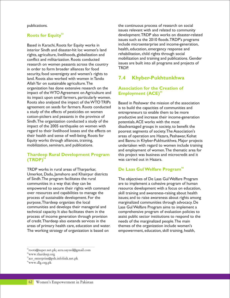#### **<sup>53</sup> Roots for Equity**

interior Sindh and disaster-hit loc women's land health, education, emergency response a<br>rights agriculture livelihoods globalization and rehabilitation, child rights through social rights, agriculture, livelihoods, globalization and conflict and militarization. Roots conducted<br>research on women peasants across the country issues are built into all programs and projects of research on women peasants across the country in order to form broader alliances for food security, food sovereignty and women's rights to land. Roots also worked with women in Tando Allah Yar on sustainable agriculture.The organization has done extensive research on the impact of the WTO Agreement on Agriculture and its impact upon small farmers, particularly women. Roots also analyzed the impact of the WTO TRIPs Based in Peshawar the mission of the association agreement on seeds for farmers. Roots conducted is to build the capacities of communities and<br>a study of the effects of pesticides on women entrepreneurs to enable them to be more a study of the effects of pesticides on women entrepreneurs to enable them to be more<br>cotton-pickers and peasants in the province of encoductive and increase their income-gene Sindh. The organization conducted a study of the potentials. ACE works with the most impact of the 2005 earthquake on women with disadvantaged groups in society, to benefit the regard to their livelihood losses and the effects on poorest segments of society. The Association's regard to their livelihood losses and the effects on poorest segments of society.The Association's their health and sense of well-being. Roots for areas of operation are Hazara, Peshawar, Kohat<br>Equity works through alliances, training, Equilibution and Bannu in Khyber-Pukhtunkhwa. Major proje

#### **Thardeep Rural Development Program <sup>54</sup> (TRDP)**

TRDP works in rural areas of Tharparkar, Umerkot, Dadu, Jamshoro and Khairpur districts<br>of Sindh. The program facilitates the rural communities in a way that they can be are to implement a cohesive program of human<br>empowered to secure their rights with command resource development with a focus on education over resources and capabilities to manage the skill training and awareness-raising about health process of sustainable development. For the issues; and to raise awareness about rights among purpose, Thardeep organizes the local marginalized communities through advocacy. De<br>communities and develops their managerial and Laas Gul Welfare Program aims to implement a technical capacity. It also facilitates them in the comprehensive program of evaluation policies to process of income generation through provision assist public sector institutions to respond to the of credit. Thardeep also extends services in the needs of the marginalized people. The main areas of primary health care, education and water. themes of the organization include women's The working strategy of organization is based on empowerment, education, skill training, health,

publications. the continuous process of research on social issues relevant with and related to community development.TRDP also works on disaster-related issues such as the 2010 floods.TRDP's programs Based in Karachi, Roots for Equity works in include microenterprise and income-generation,<br>interior Sindh and disaster-hit loc women's land health, education, emergency response and TRDP.

#### **7.4 Khyber-Pukhtunkhwa**

#### **Association for the Creation of <sup>55</sup> Employment (ACE)**

productive and increase their income-generation and Bannu in Khyber-Pukhtunkhwa. Major projects mobilization, seminars, and publications. undertaken with regard to women include training and employment of women.The thematic area for this project was business and microcredit and it was carried out in Hazara.

#### **<sup>56</sup> De Laas Gul Welfare Program**

The objectives of De Laas Gul Welfare Program resource development with a focus on education, Laas Gul Welfare Program aims to implement a

<sup>53</sup>roots@super.net.pk; azra.sayeed@gmail.com

<sup>54</sup>www.thardeep.org

<sup>55</sup>ace\_enterprise@psh.infolink.net.pk

<sup>56</sup>www.dlg.org.pk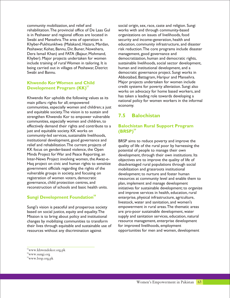community mobilization, and relief and social origin, sex, race, caste and religion. Sungi rehabilitation.The provincial office of De Laas Gul works with and through community-based is in Peshawar and regional offices are located in organizations on issues of livelihoods, food<br>Swabi and Mansehra. The area of operation is security and income-generation, health and Swabi and Mansehra. The area of operation is Khyber-Pukhtunkhwa (Malakand, Hazara, Mardan, education, community infrastructure, and disaster Dera Ismail Khan) and FATA (Bajaur, Mohmand, include training of rural Women in tailoring. It is being carried out in villages of Peshawar, District human and institutional development, and a Swabi and Bannu. **Example 20 and States and Swabi and Bannu.** democratic governance project. Sungi works in

#### **Khwendo Kor Women and Child <sup>57</sup> Development Program (KK)**

communities, especially women and children; a just and equitable society.The vision is to sustain and strengthen Khwendo Kor to empower vulnerable communities, especially women and children, to effectively demand their rights and contribute to a just and equitable society. KK works on community-led services, sustainable livelihoods, institutional development, good governance and BRSP aims to reduce poverty and improve the relief and rehabilitation. The current projects of auality of life of the rural poor by harnessing the KK focus on gender-based violence, the Open<br>Minds Project for War and Peace Reporting, an development, through their own institution Minds Project for War and Peace Reporting, an development, through their own institutions. Its<br>Inter-News Project involving women, the Awaz-e-objectives are to improve the quality of life of Inter-News Project involving women, the Awaz-e-<br>Hag project on civic and human rights to sensitize disadvantaged rural populations through social government officials regarding the rights of the mobilization and grassroots institutional vulnerable groups in society, and focusing on development; to nurture and foster human<br>registration of women voters, democratic resources at community level and enable th registration of women voters, democratic resources at community level and enable them to<br>governance, child protection centres, and some plan, implement and manage development governance, child protection centres, and plan, implement and manage development<br>reconstruction of schools and basic health units. printiatives for sustainable development: to

#### **<sup>58</sup> Sungi Development Foundation**

Sungi's vision is peaceful and prosperous society empowerment in rural areas. The thematic areas<br>based on social iustice, equity and equality. The exameter pro-poor sustainable development, water based on social justice, equity and equality. The Mission is to bring about policy and institutional supply and sanitation services, education, natural changes by mobilizing communities to transform resource management, enterprise development<br>their lives through equitable and sustainable use of for improved livelihoods, employment their lives through equitable and sustainable use of resources without any discrimination against opportunities for men and women, development

Peshawar, Kohat, Bannu, Dir, Buner, Nowshera, risk reduction. The core programs include disaster<br>Dera Ismail Khan) and FATA (Bajaur, Mohmand, management, good governance and Khyber). Major projects undertaken for women democratization, human and democratic rights,<br>
include training of rural Women in tailoring. It is sustainable livelihoods, social sector development, Abbotabad, Battagram, Haripur and Mansehra. Major projects undertaken for women include credit systems for poverty alleviation. Sungi also works on advocacy for home based workers, and Khwendo Kor upholds the following values as its has taken a leading role towards developing a national policy for women workers in the informal main pillars: rights for all; empowered economy.

### **7.5 Balochistan**

#### **Balochistan Rural Support Program <sup>59</sup> (BRSP)**

quality of life of the rural poor by harnessing the disadvantaged rural populations through social initiatives for sustainable development; to organize and improve services in health, education, rural enterprise, physical infrastructure, agriculture, livestock, water and sanitation, and women's

<sup>57</sup>www.khwendokor.org.pk

<sup>58</sup>www.sungi.org

<sup>59</sup>www.brsp.org.pk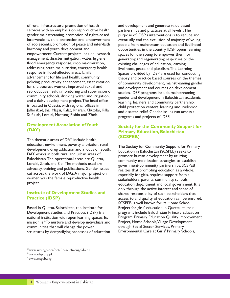of rural infrastructure, promotion of health and development and generate value based services with an emphasis on reproductive health, partnerships and practices at all levels".The gender mainstreaming, promotion of rights-based purpose of IDSP's interventions is to reduce and interventions, child protection and empowerment eventually end the exclusion of maiority of young interventions, child protection and empowerment eventually end the exclusion of majority of young<br>of adolescents, promotion of peace and inter-faith people from mainstream education and livelihood of adolescents, promotion of peace and inter-faith people from mainstream education and livelihood empowerment. Current projects include livestock spaces for the young to empower them for<br>management, disaster mitigation, water, hygiene. entity content and regenerating responses to the flood emergency response, crop maximization, existing challenges of education, learning, addressing acute malnutrition, emergency health livelihood, peace and pluralism. The Learning<br>response in flood-affected areas, family spaces provided by IDSP are used for conduction response in flood-affected areas, family spaces provided by IDSP are used for conducting<br>advancement for life and health, community and provided by IDSP are used courses on the themes advancement for life and health, community<br>
policing, productivity enhancement, asset creation<br>
of community development mainstreaming gender policing, productivity enhancement, asset creation of community development, mainstreaming gender<br>for the poorest women, improved sexual and and development and courses on development for the poorest women, improved sexual and and development and courses on development<br>reproductive health, monitoring and supervision of studies IDSP programs include mainstreaming reproductive health, monitoring and supervision of studies. IDSP programs include mainstreaming<br>community schools, drinking water and irrigation, sonder and development in Balochistan acader and a dairy development project. The head office learning, learners and community partnership, is located in Quetta, with regional offices in is located in Quetta, with regional offices in child protection centers, learning and livelihood<br>Jafferabad, Jhal Magsi, Kalat, Kharan, Khuzdar, Killa Land diseasen polief Canden issues win agnese all Saifullah, Loralai, Mastung, Pishin and Zhob.

The thematic areas of DAY include health, education, environment, poverty alleviation, rural<br>development, drug addiction and a focus on youth.<br>DAY works in both rural and urban areas of<br>example burned burned development by utilizing DAT WORKS IN DOUT FURAT and urban areas of promote human development by utilizing<br>Balochistan. The operational areas are Quetta, example is approximately mobilization attaction to other Balochistan. The operational areas are Quetta, community mobilization strategies to establish<br>Loralai, Zhob, and Sibi. The methods used are express community partnerships SCSPEP Loralai, Zhob, and Sibi. The methods used are government-community partnerships. SCSPEB<br>Loralisty, training and publications. Gender issues and realizes that promoting education as a whole advocacy, training and publications. Gender issues realizes that promoting education as a whole,<br>cut across the work of DAY. A major project on represent from a personially for girls requires support from all cut across the work of DAT.A major project on especially for girls, requires support from all<br>women was the female reproductive health<br>experience the especially for girls, requires support from all women was the female reproductive health stakeholders: parents, community, schools,<br>project.

#### **Institute of Development Studies and Practice (IDSP)**

Based in Quetta, Balochistan, the Institute for Project for girls' education in Quetta. Its main Development Studies and Practices (IDSP) is a programs include Balochistan Primary Education mission is "To nurture and develop individuals and Project, Home Schools,Village Development communities that will change the power through Social Sector Services, Primary<br>structures by demystifying processes of education Environmental Care at Girls' Primary Schools, structures by demystifying processes of education

opportunities in the country. IDSP opens learning generating and regenerating responses to the gender and development in Balochistan, academic and disaster relief. Gender issues run across all programs and projects of IDSP.

#### **Development Association of Youth** Society for the Community Support for (DAY) **Primary Education, Balochistan (SCSPEB)**

education department and local government. It is only through the active interest and sense of shared responsibility of such stakeholders that access to and quality of education can be ensured. SCSPEB is well known for its Home School national institution with open learning spaces. Its Program, Primary Education Quality Improvement

<sup>60</sup>www.net-ngo.org/detailpage.cfm?ngoid=31

<sup>61</sup>www.idsp.org.pk

<sup>62</sup>www.scspeb.org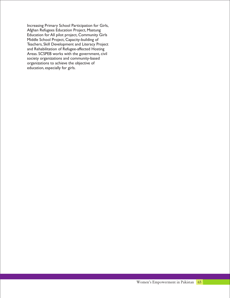Increasing Primary School Participation for Girls, Afghan Refugees Education Project, Mastung Education for All pilot project, Community Girls Middle School Project, Capacity-building of Teachers, Skill Development and Literacy Project and Rehabilitation of Refugee-affected Hosting Areas. SCSPEB works with the government, civil society organizations and community-based organizations to achieve the objective of education, especially for girls.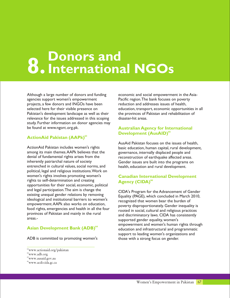## **8. Donors and International NGOs**

Although a large number of donors and funding economic and social empowerment in the Asiaagencies support women's empowerment Pacific region.The bank focuses on poverty projects, a few donors and INGOs have been reduction and addresses issues of health, Pakistan's development landscape as well as their the provinces of Pakistan and rehabilitation of relevance for the issues addressed in this scoping disaster-hit areas. study. Further information on donor agencies may be found at www.ngorc.org.pk.

#### **<sup>63</sup> ActionAid Pakistan (AAPk)**

among its main themes. AAPk believes that the governance, internally displaced people and denial of fundamental rights arises from the reconstruction of earthquake affected areas denial of fundamental rights arises from the reconstruction of earthquake affected areas.<br>
inherently patriarchal nature of society<br>
Gender issues are built into the programs or inherently patriarchal nature of society Gender issues are built into the programs on<br>entrenched in cultural values, social norms, and health, education and rural development political, legal and religious institutions.Work on women's rights involves promoting women's rights to self-determination and creating opportunities for their social, economic, political and legal participation. The aim is change the CIDA's Program for the Advancement of Gender<br>existing unequal gender relations by removing Equality (PACE) which concluded in March 2010 ideological and institutional barriers to women's<br>
recognized that women bear the burden of<br>
recognized that women bear the burden of empowerment.AAPK also works on education, end overty disproportionately. Gender inequality is food rights, emergencies and health in all the four encoted in social cultural and religious practices food rights, emergencies and health in all the four rooted in social, cultural and religious practices<br>provinces of Pakistan and mainly in the rural read discriminatory laws CIDA has consistently provinces of Pakistan and mainly in the rural and discriminatory laws. CIDA has consistently areas.

#### **<sup>64</sup> Asian Development Bank (ADB)**

ADB is committed to promoting women's those with a strong focus on gender.

selected here for their visible presence on education, transport, economic opportunities in all

#### **Australian Agency for International <sup>65</sup> Development (AusAID)**

AusAid Pakistan focuses on the issues of health, ActionAid Pakistan includes women's rights<br>among its main themes.AAPk believes that the povernance, internally displaced people and health, education and rural development.

#### **Canadian International Development <sup>66</sup> Agency (CIDA)**

Equality (PAGE), which concluded in March 2010, supported gender equality, women's empowerment and women's human rights through education and infrastructural and programmatic support to leading women's organizations and

<sup>63</sup>www.actionaid.org/pakistan

<sup>64</sup>www.adb.org

<sup>65</sup>www.ausaid.gov.au

<sup>66</sup>www.acdi-cida.gc.ca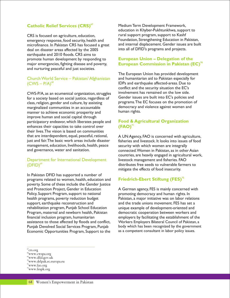#### **<sup>67</sup> Catholic Relief Services (CRS)**

microfinance. In Pakistan CRS has focused a great and internal displacement. Gender issues<br>deal on disaster areas affected by the 2005 into all of DFID's programs and projects. deal on disaster areas affected by the 2005 earthquake and 2010 floods. CRS aims to promote human development by responding to major emergencies, fighting disease and poverty, and nurturing peaceful and just societies.

#### Church World Service – Pakistan/ Afghanistan  $(CWS - P/A)^{68}$

CWS-P/A, as an ecumenical organization, struggles involvement has remained on the low side. for a society based on social justice, regardless of Gender issues are built into EC's policies and class religion gender and culture by assisting programs. The EC focuses on the promotion of class, religion, gender and culture, by assisting class on the promotion of class, religion, gender and culture, by assisting class of control of class, religion, gender and control of class of class of class of class of c marginalized communities in an accountable democracy and violence against manner to achieve economic prosperity and manner to achieve economic prosperity and improve human and social capital through participatory endeavor, which liberates people and enhances their capacities to take control over their lives.The vision is based on communities that are interdependent, equal, peaceful, rational, A UN Agency, FAO is concerned with agriculture, just and fair. The basic work areas include disaster fisheries and livestock. It looks into issues of food management, education, livelihoods, health, peace security with which women are integrally management, education, livelihoods, health, peace and governance, water and sanitation. connected.Women in Pakistan, as in other Asian

#### Department for International Development  $(DFID)$ <sup>69</sup>

In Pakistan DFID has supported a number of programs related to women, health, education and poverty. Some of these include the Gender Justice and Protection Project, Gender in Education A German agency, FES is mainly concerned with Policy, Support Program, support to national promoting democracy and human rights. In<br>health programs, poverty reduction budget Pakistan, a major initiative was on labor rela support, earthquake reconstruction and and the trade unions movement. FES has set a rehabilitation program, Punjab School Education unique example of development-oriented and Program, maternal and newborn health, Pakistan democratic cooperation between workers and financial inclusion program, humanitarian employers by facilitating the establishment of the assistance to those affected by floods and conflict, Workers Employers Bilateral Council of Pakistan, a Punjab Devolved Social Services Program, Punjab body which has been recognized by the government Economic Opportunities Program, Support to the as a competent consultant in labor policy issues.

Medium Term Development Framework, education in Khyber-Pukhtunkhwa, support to CRS is focused on agriculture, education,<br>
emergency response food security health and Foundation, Strengthening Education in Pakistan, emergency response, food security, health and Foundation, Strengthening Education in Pakistan,<br>microfinance. In Pakistan CRS has focused a great and internal displacement. Gender issues are built

#### **European Union – Delegation of the <sup>70</sup> European Commission in Pakistan (EC)**

The European Union has provided development and humanitarian aid to Pakistan especially for IDPs and earthquake affected-areas. Due to conflict and the security situation the EC's

#### **Food & Agricultural Organization <sup>71</sup> (FAO)**

countries, are heavily engaged in agricultural work, livestock management and fisheries. FAO distributes free seeds to vulnerable farmers to mitigate the effects of food insecurity.

#### **<sup>72</sup>Friedrich-Ebert Stiftung (FES)**

Pakistan, a major initiative was on labor relations

<sup>67</sup> crs.org

<sup>68</sup>www.cwspa.org

<sup>69</sup>www.dfid.gov.uk

<sup>70</sup>www.delpak.ec.europa.eu

<sup>71</sup>www.fao.org

<sup>72</sup>www.fespk.org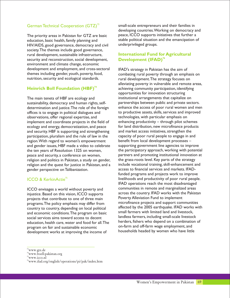#### German Technical Cooperation (GTZ)<sup>73</sup>

education, basic health, family planning and stable political situation and the emancipation of <br>HIV/AIDS, good governance, democracy and civil underprivileged groups. HIV/AIDS, good governance, democracy and civil society.The themes include good governance, rural development, sustainable infrastructure, security and reconstruction, social development, environment and climate change, economic development and employment, and cross-sectoral IFAD's strategy in Pakistan has the aim of themes including gender, youth, poverty, food, combating rural poverty through an emph themes including gender, youth, poverty, food,<br>
nutrition, security and ecological standards.<br>
rural development. The strategy focuses on

#### **<sup>74</sup> Heinrich Boll Foundation (HBF)**

The main tenets of HBF are ecology and **institutional arrangements that capitalize on** determination and justice. The role of the foreign enhance the access of poor rural women and mer<br>offices is to engage in political dialogues and to productive assets, skills, services and improved offices is to engage in political dialogues and to productive assets, skills, services and in<br>observations, offer regional expertise, and technologies, with particular emphasis on observations, offer regional expertise, and implement and coordinate projects in the field of enhancing productivity – through pilot schemes ecology and energy, democratization, and peace for land distribution, new microfinance products and security. HBF is supporting and strengthening and market access initiatives, strengthen the participation, pluralism and the rule of law in the capacity of poor rural people to engage in and<br>region. With regard to women's empowerment benefit from local development processes – region. With regard to women's empowerment benefit from local development processes –<br>and gender issues. HBF made a video to celebrate supporting government line agencies to improve and gender issues, HBF made a video to celebrate religion and politics in Pakistan, a study on gender, the grass-roots level. Key parts of the strategy<br>religion and the quest for justice in Pakistan, and a include vocational training, skill-enhancement and religion and the quest for justice in Pakistan, and a include vocational training, skill-enhancement and markets. IFAD-<br>The perspective on Talibanization access to financial services and markets. IFADgender perspective on Talibanization.

#### ICCO & KerkinActie<sup>75</sup>

injustice. Based on this vision, ICCO supports across the country. IFAD works with the Pakistan injustice. Based on this vision, ICCO supports examplement of the Poverty Alleviation Fund to implement projects that contribute to one of three main country to country, depending on local political affected by the 2005 earthquake. IFAD works<br>and economic conditions The program on basic small farmers with limited land and livestock, and economic conditions. The program on basic and farmers with limited land and livestock,<br>social services aims toward access to decent landless farmers, including small-scale livestock social services aims toward access to decent program on fair and sustainable economic<br>development works at improving the income of households headed by women who have little development works at improving the income of

small-scale entrepreneurs and their families in developing countries.Working on democracy and The priority areas in Pakistan for GTZ are basic peace, ICCO supports initiatives that further a

#### **International Fund for Agricultural <sup>76</sup> Development (IFAD)**

rural development. The strategy focuses on alleviating poverty in vulnerable and remote areas, achieving community participation, identifying opportunities for innovation structuring sustainability, democracy and human rights, self-<br>determination and justice. The role of the foreign enhance the access of poor rural women and men the ten years of Resolution 1325 on women, the participatory approach, working with potential peace and security, a conference on women, partners and promoting institutional innovation at funded programs and projects work to improve livelihoods and productivity of poor rural people. IFAD operations reach the most disadvantaged ICCO envisages a world without poverty and<br>
injustice Based on this vision ICCO supports across the country. IFAD works with the Pakistan programs. The policy emphasis may differ from microfinance projects and support communities<br>country to country depending on local political affected by the 2005 earthquake. IFAD works with education, health care, water and food for all. The herders, fishers who depend on a combination of

<sup>73</sup>www.gtz.de

<sup>74</sup>www.boell-pakistan.org

<sup>75</sup>www.icco.nl

<sup>76</sup>www.ifad.org/english/operations/pi/pak/index.htm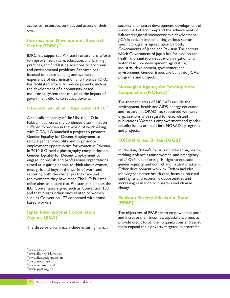#### **International Development Research <sup>78</sup> Center (IDRC)**

practices, and find lasting solutions to economic<br>and environmental problems. Research has<br>industrial development, governance, and<br>industrial development, governance, and environment. Gender issues are built into JICA's<br>focused on peace-building and women's<br>programs and projects. experience of discrimination and violence. IDRC has facilitated efforts to reduce poverty, such as the development of a community-based monitoring system that can track the impact of government efforts to reduce poverty.

#### **<sup>78</sup> International Labour Organization (ILO)**

Pakistan addresses the continued discrimination equality issues are built into NORAD's programs<br>with CIDA II O launched a project to promote and projects. with CIDA, ILO launched a project to promote Gender Equality for Decent Employment to reduce gender inequality and to promote employment opportunities for women in Pakistan. In 2010, ILO held a photography competition on In Pakistan, Oxfam's focus is on education, health,<br>In 2010, ILO held a photography competition on tackling violence against women, and emergency Gender Equality for Decent Employment to tackling violence against women, and emergenc<br>engage individuals and professional organizations relief. Oxfam supports girls' right to education, engage individuals and professional organizations aimed at inspiring people to think about women, gender equality, and conflict and natural disasters.<br>men, girls and boys in the world of work, and Other development work by Oxfam includes men, girls and boys in the world of work, and capturing both the challenges they face and lobbying for better health care, focusing on rural<br>achievements they have made. The ILO Pakistan land rights and economic opportunities and achievements they have made. The ILO Pakistan land rights and economic opportunities and<br>office aims to ensure that Pakistan implements the lincreasing resilience to disasters and climate office aims to ensure that Pakistan implements the increasing increasing residing residing residing  $\Box$  change. ILO Conventions signed such as Convention 100 and that it signs other ones related to women such as Convention 177 concerned with homebased workers.

#### **Japan International Cooperation <sup>79</sup> Agency (JICA)**

access to resources, services and assets of their security and human development; development of own. sound market economy and the achievement of balanced regional socioeconomic development. JICA is actively implementing various sector specific programs agreed upon by both, Governments of Japan and Pakistan.The sectors IDRC has supported Pakistani researchers' efforts which Government of Japan has focused on are to improve health care, education, and farming thealth and sanitation, education, irrigation and water resource development, agriculture,

#### **Norwegian Agency for Development <sup>80</sup> Cooperation (NORAD)**

The thematic areas of NORAD include the environment, health and AIDS, energy, education and research. NORAD has supported women's A specialized agency of the UN, the ILO in<br>  $\begin{array}{c}\n\text{D}\n\text{D}\n\text{D}\n\text{D}\n\text{D}\n\text{D}\n\text{D}\n\text{D}\n\text{D}\n\text{D}\n\text{D}\n\text{D}\n\text{D}\n\text{D}\n\text{D}\n\text{D}\n\text{D}\n\text{D}\n\text{D}\n\text{D}\n\text{D}\n\text{D}\n\text{D}\n\text{D}\n\text{D}\n\text{D}\n\text{D}\n\text{D}\n\$ 

#### **<sup>81</sup> OXFAM Great Britain (OGB)**

#### **Pakistan Poverty Alleviation Fund <sup>82</sup> (PPAF)**

The objectives of PPAF are to empower the poor and increase their incomes, especially women; to provide credit to partner organizations and assist The three priority areas include ensuring human them expand their poverty targeted microcredit

<sup>77</sup>www.idrc.ca

<sup>78</sup>www.ilo.org/islamabad

<sup>79</sup>www.jica.go.jp/pakistan

<sup>80</sup>www.norad.no

<sup>81</sup>www.oxfam.org.uk

<sup>82</sup>www.ppaf.org.pk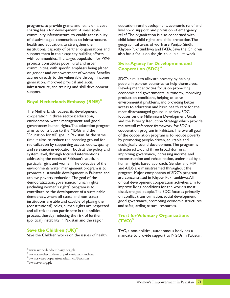sharing basis for development of small scale livelihood support, and provision of emergency community infrastructure; to enable accessibility relief.The organization is also concerned with of disadvantaged communities to infrastructure, child labor, child rights and child protection.The health and education; to strengthen the geographical areas of work are Punjab, Sindh, support them in their capacity building efforts also has a focus on the girl child in all its work. with communities.The target population for PPAF projects constitutes poor rural and urban communities, with specific emphasis being placed on gender and empowerment of women. Benefits accrue directly to the vulnerable through income<br>generation, improved physical and social<br>people in partner countries to belp themsel infrastructure, and training and skill development<br>support. Development activities focus on promoting<br>economic and governmental autonomy impu

#### **<sup>83</sup> Royal Netherlands Embassy (RNE)**

The Netherlands focuses its development most disadvantaged groups in society. SDC cooperation in three sectors: education, focuses on the Millennium Development Goals governance/ human rights. The education program the overall reference framework for SDC's<br>aims to contribute to the MDGs and the cooperation program in Pakistan. The overa `Education for All` goal in Pakistan. At the same of the cooperation program is to reduce poverty time it aims to reduce the breeding ground for by promoting people-driven, equitable and radicalization by supporting access, equity, quality ecologically sound development.The program is and relevance in education, both at the policy and structured around three broad domains: system level, through focused interventions improving governance, increasing income, and addressing the needs of Pakistan's youth, in reconstruction and rehabilitation, underlined by a particular girls and women. The objective of the human rights based approach. Gender and HIV environment/ water management program is to and AIDS are mainstreamed throughout the promote sustainable development in Pakistan and program. Major components of SDC's program achieve poverty reduction. The goal of the are concentrated in Khyber-Pukhtunkhwa. All democratization, governance, human rights official development cooperation activities ain (including women's rights) program is to improve living conditions for the world's most contribute to the development of a sustainable disadvantaged people.The SDC focuses primarily institutions are able and capable of playing their (constitutional) roles, human rights are respected and safeguarding natural resources. and all citizens can participate in the political process, thereby reducing the risk of further (political) instability in Pakistan and the region.

#### **<sup>84</sup> Save the Children (UK)**

programs; to provide grants and loans on a cost- education, rural development, economic relief and institutional capacity of partner organizations and Khyber-Pukhtunkhwa and FATA. Save the Children

#### **Swiss Agency for Development and <sup>85</sup> Cooperation (SDC)**

people in partner countries to help themselves. economic and governmental autonomy, improving production conditions, helping to solve environmental problems, and providing better access to education and basic health care for the environment/ water management, and good and the Poverty Reduction Strategy which provide cooperation program in Pakistan. The overall goal official development cooperation activities aim to democracy, where all (state and non-state) on conflict transformation, social development,<br>
institutions are able and capable of playing their good governance, promoting economic structures

#### **Trust for Voluntary Organizations <sup>86</sup> (TVO)**

TVO, a non-political, autonomous body has a Save the Children works on the issues of health, mandate to provide support to NGOs in Pakistan.

<sup>83</sup>www.netherlandsembassy.org.pk

<sup>84</sup>www.savethechildren.org.uk/en/pakistan.htm

<sup>85</sup>www.swiss-cooperation.admin.ch/Pakistan

<sup>86</sup>www.tvo.org.pk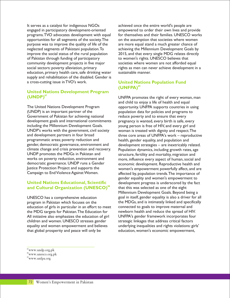It serves as a catalyst for indigenous NGOs achieved once the entire world's people are engaged in participatory development-oriented empowered to order their own lives and provide programs.TVO advocates development with equal for themselves and their families. UNESCO works opportunities for all segments of the society.The on the assumption that societies where women purpose was to improve the quality of life of the are more equal stand a much greater chance of neglected segments of Pakistani population.To achieving the Millennium Development Goals by improve the social status of the rural population 2015, and that every single MDG relates directly of Pakistan through funding of participatory to women's rights. UNESCO believes that community development projects in five major societies where women are not afforded equal social sectors: poverty alleviation, primary rights as men can never achieve development in a education, primary health care, safe drinking water sustainable manner. supply and rehabilitation of the disabled. Gender is a cross-cutting issue in TVO's work.

#### **United Nations Development Program <sup>87</sup> (UNDP)**

The United Nations Development Program opportunity. UNFPA supports countries in using (UNDP) is an important partner of the population data for policies and programs to Government of Pakistan for achieving national reduce poverty and to ensure that every development goals and international commitments pregnancy is wanted, every birth is safe, every including the Millennium Development Goals. young person is free of HIV, and every girl and UNDP's works with the government, civil society woman is treated with dignity and respect.The and development partners in four broad three core areas of UNFPA's work – reproductive programmatic areas; poverty reduction and<br>
gender, democratic governance, environment and<br>
development strategies – are inextricably r climate change and crisis prevention and recovery. Population dynamics, including growth rates, age UNDP promotes the MDGs in Pakistan and<br>works on poverty reduction, environment and more, influence every aspect of human, social a works on poverty reduction, environment and more, influence every aspect of human, social and democratic governance. UNDP runs a Gender democratic governance. UNDP runs a Gender economic development. Reproductive health and<br>Justice Protection Project and supports the subsement's empowerment powerfully affect, and are Justice Protection Project and supports the women's empowerment powerfully affect, and are<br>Campaign to End Violence Against Women. The affected by population trends. The importance of

#### **United Nations Educational, Scientific <sup>88</sup> and Cultural Organization (UNESCO)**

program in Pakistan which focuses on the the MDGs, and is intimately linked and specifically<br>education of girls in particular in an effort to meet connected to goals to improve maternal and education of girls in particular in an effort to meet connected to goals to improve maternal and<br>the MDG targets for Pakistan. The Education for newborn health and reduce the spread of HIV. the MDG targets for Pakistan. The Education for All initiative also emphasizes the education of girl UNFPA's gender framework incorporates four children and women. UNESCO stresses gender strategic linkages that address critical factors equality and women empowerment and believes underlying inequalities and rights violations: girls' that global prosperity and peace will only be education, women's economic empowerment,

#### **United Nations Population Fund <sup>89</sup> (UNFPA)**

UNFPA promotes the right of every woman, man and child to enjoy a life of health and equal development strategies – are inextricably related. affected by, population trends. The importance of gender equality and women's empowerment to development progress is underscored by the fact that this was selected as one of the eight Millennium Development Goals. Beyond being a UNESCO has a comprehensive education goal in itself, gender equality is also a driver for all

<sup>87</sup>www.undp.org.pk

<sup>88</sup>www.unesco.org.pk

<sup>89</sup>www.unfpa.org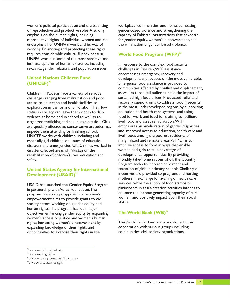of reproductive and productive roles.A strong gender-based violence and strengthening the emphasis on the human rights, including capacity of Pakistani organizations that advocate reproductive rights, of individual women and men for gender equity, women's empowerment, and<br>underpins all of UNFPA's work and its way of the elimination of gender-based violence. underpins all of UNFPA's work and its way of working. Promoting and protecting these rights requires considerable cultural fluency because UNFPA works in some of the most sensitive and intimate spheres of human existence, including In response to the complex food security sexuality, gender relations and population issues. challenges in Pakistan, WFP assistance

#### **United Nations Children Fund <sup>90</sup> (UNICEF)**

Children in Pakistan face a variety of serious as well as those still suffering amid the impact of challenges ranging from malnutrition and poor sustained high food prices. Protracted relief and challenges ranging from malnutrition and poor access to education and health facilities to recovery support aims to address food insecurity status in society can leave them victim to daily education and health care systems, and using violence at home and in school as well as to food-for-work and food-for-training to<br>facilitation well asset rehabilitation. WFP (presented variation) well asset rehabilitation. WFP (presented va organized trafficking and sexual exploitation. Girls livelihood and asset rehabilitation. WFP<br>are specially affected as conservative attitudes may emphasizes an amelioration of gender disparities impede them attending or finishing school. and improved access to education, health care and improved access to education, health care and inveliboods among the poorest residents of UNICEF works with children, including and livelihoods among the poorest residents of especially girl children, on issues of education, marginalized and remote areas. WFP aims to especially girl children, on issues of education, marginalized and remote areas. WFP aims to<br>disasters and emergencies. UNICEF has worked in improve access to food in ways that enable disasters and emergencies. UNICEF has worked in disaster-affected areas of Pakistan on the women and girls to take advantage of rehabilitation of children's lives, education and developmental opportunities. By providing safety. monthly take-home rations of oil, the Country

#### **United States Agency for International <sup>91</sup> Development (USAID)**

participants in asset-creation activities intends to in partnership with Aurat Foundation. The participants in asset-creation activities intends to enhance the income-generating capacity of rural<br>program is a strategic approach to women's enhance the income-generating capacity of rural<br>women, and positively impact upon their social empowerment aims to provide grants to civil <sup>women</sup><br>accident at the providence of providence and status. society actors working on gender equity and human rights.The program has four major objectives: enhancing gender equity by expanding women's access to justice and women's human rights; increasing women's empowerment by The World Bank does not work alone, but in expanding knowledge of their rights and<br>
opportunities to exercise their rights in the communities, civil society organizations, opportunities to exercise their rights in the

women's political participation and the balancing workplace, communities, and home; combating

#### **World Food Program (WFP)**<sup>92</sup>

encompasses emergency, recovery and development, and focuses on the most vulnerable. Emergency food assistance is provided to communities affected by conflict and displacement, exploitation in the form of child labor. Their low in the most underdeveloped regions by supporting<br>status in society can leave them victim to daily education and health care systems, and using are specially affected as conservative attitudes may emphasizes an amelioration of gender disparities<br>impede them attending or finishing school.<br>and improved access to education, health care and Program seeks to increase enrolment and retention of girls in primary-schools. Similarly, oil incentives are provided to pregnant and nursing mothers in exchange for availing of health care USAID has launched the Gender Equity Program services; while the supply of food stamps to

#### **<sup>93</sup> The World Bank (WB)**

<sup>92</sup>www.wfp.org/countries/Pakistan -

<sup>90</sup>www.unicef.org/pakistan

<sup>91</sup>www.usaid.gov/pk

<sup>93</sup>www.worldbank.org.pk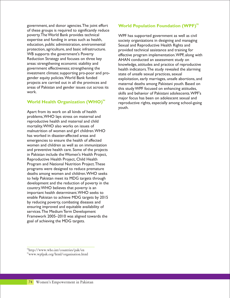government, and donor agencies.The joint effort of these groups is required to significantly reduce poverty.The World Bank provides technical WPF has supported government as well as civil<br>expertise and funding in areas such as health, servicity organizations in designing and managing expertise and funding in areas such as health, society organizations in designing and managing<br>education, public administration, environmental sexual and Reproductive Health Rights and protection, agriculture, and basic infrastructure. provided technical assistance and training for<br>WB supports the government's Poverty<br>effective program implementation WPE along Reduction Strategy and focuses on three key and AHAN conducted an assessment study on<br>AHAN conducted an assessment study on areas: strengthening economic stability and  $\frac{1}{2}$  knowledge attitudes and practice of reproc areas: strengthening economic stability and knowledge, attitudes and practice of reproductive<br>government effectiveness; strengthening the health indicators. The study revealed the alarming investment climate; supporting pro-poor and pro-<br>gender equity policies. World Bank funded<br>exploitation early marriages unsafe ab projects are carried out in all the provinces and maternal deaths among Pakistani youth. Based on<br>areas of Pakistan and gender issues cut across its<br>this study WPF focused on enhancing attitudes areas of Pakistan and gender issues cut across its this study WPF focused on enhancing attitudes,<br>work. Shills and behavior of Pakistani adelescents MPI

#### **World Health Organization (WHO)**<sup>94</sup>

Apart from its work on all kinds of health problems,WHO lays stress on maternal and reproductive health and maternal and child mortality.WHO also works on issues of malnutrition of women and girl children.WHO has worked in disaster-affected areas and emergencies to ensure the health of affected women and children as well as on immunization and preventive health care. Some of the projects in Pakistan include the Women's Health Project, Reproductive Health Project, Child Health Program and National Nutrition Project.These programs were designed to reduce premature deaths among women and children.WHO seeks to help Pakistan meet its MDG targets through development and the reduction of poverty in the country.WHO believes that poverty is an important health determinant.WHO seeks to enable Pakistan to achieve MDG targets by 2015 by reducing poverty, combating diseases and ensuring improved and equitable availability of services.The Medium Term Development Framework 2005–2010 was aligned towards the goal of achieving the MDG targets.

#### **World Population Foundation (WPF)**<sup>95</sup>

Sexual and Reproductive Health Rights and WB supports the government's Poverty<br>Reduction Strategy and focuses on three key extends and conducted an assessment study on health indicators. The study revealed the alarming gender equity policies. World Bank funded exploitation, early marriages, unsafe abortions, and<br>projects are carried out in all the provinces and exploitation, early marriages, unsafe abortions, and skills and behavior of Pakistani adolescents. WPF's major focus has been on adolescent sexual and reproductive rights, especially among school-going youth.

<sup>94</sup>http://www.who.int/countries/pak/en

<sup>95</sup>www.wpfpak.org/html/organisation.html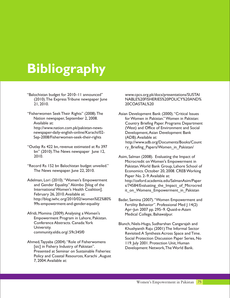# **Bibliography**

- "Balochistan budget for 2010–11 announced" www.cpcs.org.pk/docs/presentations/SUSTAI 21, 2010. 20COASTAL%20
- "Fisherwomen Seek Their Rights" (2008). The Asian Development Bank (2000). "Critical Issues
- "Outlay Rs 422 bn, revenue estimated at Rs 397 ry Briefing Papers/Women\_in\_Pakistan/ bn" (2010). The News newspaper June 12,
- -
- Adelman, Lori (2010). "Women's Empowerment http://oxford.academia.edu/SalmanAsim/Paper<br>and Gender Equality." Akimbo [blog of the s/74584/Evaluating the Impact of Microcred February 26, 2010.Available at: http://blog.iwhc.org/2010/02/women%E2%80% Badar, Samina (2007). "Women Empowerment and<br>99s-empowerment-and-gender-equality Ferrility Behavior" Professional Med L14(2)
- Afridi, Momina (2009). Analysing a Women's Medical College, Bahawalpur. Empowerment Program in Lahore, Pakistan. Conference Abstracts. Canada: York Blunch, Niels-Hugo, Sudharshan Cangarajah and<br>Khushyanth Raju (2001) The Informal Sector
- Ahmed, Tayyaba (2004). "Role of Fisherwomens 119. July 2001. Protection Unit, Human [sic] in Fishery Industry of Pakistan". Presented at Seminar on Sustainable Fisheries: Policy and Coastal Resources, Karachi ,August 7, 2004.Available at:

(2010).The Express Tribune newspaper June NABLE%20FISHERIES%20POLICY%20AND%

Nation newspaper, September 2, 2008. for Women in Pakistan." Women in Pakistan: Available at: Country Briefing Paper. Programs Department http://www.nation.com.pk/pakistan-news- (West) and Office of Environment and Social newspaper-daily-english-online/Karachi/02- Development,Asian Development Bank Sep-2008/Fisherwomen-seek-their-rights (ADB).Available at: http://www.adb.org/Documents/Books/Count

2010. Asim, Salman (2008). Evaluating the Impact of Microcredit on Women's Empowerment in "Record Rs 152 bn Balochistan budget unveiled." Pakistan.World Bank Group, Lahore School of Economics. October 20, 2008. CREB Working Paper No. 2-9. Available at: and Gender Equality." Akimbo [blog of the s/74584/Evaluating\_the\_Impact\_of\_Microcred<br>International Women's Health Coalition]. The same only Womens Empowerment in Pakistan it on Womens Empowerment in Pakistan

> Fertility Behavior". Professional Med J 14(2) Apr–Jun 2007 pp. 295–9. Quaid-e-Azam

University. Khushyanth Raju (2001) The Informal Sector Revisited:A Synthesis Across Space and Time. Social Protection Discussion Paper Series, No Development Network, The World Bank.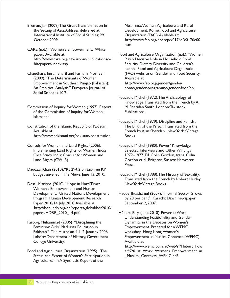Breman, Jan (2009) The Great Transformation in Near East: Women, Agriculture and Rural the Setting of Asia.Address delivered at Development. Rome: Food and Agriculture International Institute of Social Studies; 29 **Organization (FAO).** Available at:

CARE (n.d.)."Women's Empowerment." White http://www.care.org/newsroom/publications/w Play a Decisive Role in Household Food hitepapers/index.asp **Security, Dietary Diversity and Children's** Security, Dietary Diversity and Children's

(2009). "The Determinants of Women Available at: Empowerment in Southern Punjab (Pakistan): http://www.fao.org/gender/gender-An Empirical Analysis." European Journal of home/gender-programme/gender-food/en. Social Sciences 10.2.

Commission of Inquiry for Women (1997). Report of the Commission of Inquiry for Women. Publications. Islamabad.

Constitution of the Islamic Republic of Pakistan. http://www.pakistani.org/pakistan/constitution. Books.

Consult for Women and Land Rights (2006). Foucault, Michel (1980). Power/ Knowledge:

Daudzai, Khan (2010)."Rs 294.2 bn tax-free KP

Desai, Manisha (2010). "Hope in Hard Times: New York: Vintage Books. Women's Empowerment and Human<br>Development." United Nations Development Paper 2010/14, July 2010. Available at: September 2, 2007. http://hdr.undp.org/en/reports/global/hdr2010/ papers/HDRP\_2010\_14.pdf. Hébert, Billy (June 2010). Power at Work:

Farooq, Muhammad (2006) "Disciplining the Feminism: Girls' Madrassa Education in Empowerment. Prepared for a WEMC<br>Pakistan." The Historian 4.1–2, January 2006. workshop. Hong Kong: Women's Pakistan." The Historian 4.1–2, January 2006. College University. The college of the College Available at:

Status and Extent of Women's Participation in \_Muslim\_Contexts\_WEMC.pdf. Agriculture." In A Synthesis Report of the

October 2009. http://www.fao.org/docrep/x0176e/x0176e00. htm

paper. Available at: Food and Agriculture Organization (n.d.)."Women health.' Food and Agriculture Organization Chaudhary, Imran Sharif and Farhana Nosheen (FAO) website on Gender and Food Security.

> Foucault, Michel (1972).The Archaeology of Knowledge. Translated from the French by A.<br>M. Sheridan Smith. London: Tavistock

Foucault, Michel (1979). Discipline and Punish : Available at: French by Alan Sheridan. New York :Vintage in the Sheridan. New York :Vintage

Implementing Land Rights for Women: India Selected Interviews and Other Writings<br>Case Study, India: Consult for Women and 1972–1977. Ed. Colin Gordon, trans. Col 1972–1977. Ed. Colin Gordon, trans. Colin Land Rights (CWLR). Gordon et al. Brighton, Sussex: Harvester Press.

> Foucault, Michel (1988). The History of Sexuality. Translated from the French by Robert Hurley.

Haque, Ihtashamul (2007). 'Informal Sector Grows Program Human Development Research by 20 per cent'. Karachi: Dawn newspaper

Understanding Positionality and Gender Lahore: Department of History, Government Empowerment in Muslim Contexts (WEMC). http://www.wemc.com.hk/web/rf/Hebert\_Pow Food and Agriculture Organization (1995)."The er%20\_at\_Work\_Womens\_Empowerment\_in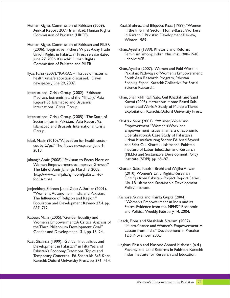Human Rights Commission of Pakistan (2009). Kazi, Shahnaz and Bilquees Raza (1989)."Women Commission of Pakistan (HRCP). in Karachi." Pakistan Development Review,

- Human Rights Commission of Pakistan and PILER (2006). "Legislative Trickery Wipes Away Trade Khan, Ayesha (1999). Rhetoric and Reform: June 27, 2006. Karachi: Human Rights Lahore:ASR. Commission of Pakistan and PILER.
- health, unsafe abortion discussed." Dawn South Asia Research Program, Pakistan
- International Crisis Group (2002)."Pakistan:
- International Crisis Group (2005)."The State of Sectarianism in Pakistan." Asia Report 95. Khattak, Saba (2001). "Women, Work and<br>Islamabad and Brussels: International Crisis Empowerment." Women's Work and Islamabad and Brussels: International Crisis
- cut by 27pc." The News newspaper June 6,
- Iahangir,Amir (2008). "Pakistan to Focus More on Justitute (SDPI). pp. 65–87. Women Empowerment to Improve Growth." The Life of Amir Jahangir Khattak, Saba, Nazish Brohi and Wajiha Anwar , March 8, 2008. http://www.amirjahangir.com/pakistan-to-
- Jeejeebhoy, Shireen J. and Zeba A. Sathar (2001). "Women's Autonomy in India and Pakistan: The Influence of Religion and Region."<br>Population and Development Review 27.4 np "Women's Empowerment in India and its Population and Development Review 27.4. pp.<br>687–712
- Kabeer, Naila (2005)."Gender Equality and Gender and Development 13.1, pp. 13–24.
- Kazi, Shahnaz (1999)."Gender Inequalities and Temporary Concerns. Ed. Shahrukh Rafi Khan. Karachi: Oxford University Press. pp. 376–414.
- Annual Report 2009. Islamabad: Human Rights in the Informal Sector: Home-Based Workers Winter, 1989.
- Union Rights in Pakistan". Press release dated Feminism among Indian Muslims: 1900–1940.
- Khan,Ayesha (2007). Women and Paid Work in Ilyas, Faiza (2007). "KARACHI: Issues of maternal Pakistan: Pathways of Women's Empowerment. newspaper, June 29, 2007. The same state of Scoping Paper. Karachi: Collective for Social Science Research.
	- Madrasa, Extremism and the Military." Asia Khan, Shahrukh Rafi, Saba Gul Khattak and Sajid Report 36. Islamabad and Brussels: Kazmi (2005). Hazardous Home Based Sub-International Crisis Group. The Contracted Work:A Study of Multiple Tiered Exploitation. Karachi: Oxford University Press.
- Group. Empowerment Issues in an Era of Economic Liberalization:A Case Study of Pakistan's Iqbal, Nasir (2010). "Allocation for health sector Urban Manufacturing Sector. Ed. Asad Sayeed<br>
Cut by 27pc "The News newspaper lune 6. and Saba Gul Khattak. Islamabad: Pakistan 2010. Institute of Labor Education and Research (PILER) and Sustainable Development Policy
	- Findings from Pakistan. Project Report Series, focus-more No. 18. Islamabad: Sustainable Development Policy Institute.
		- States: Evidence from the NFHS." Economic and Political Weekly, February 14, 2004.
	- Women's Empowerment:A Critical Analysis of Leach, Fiona and Shashikala Sitaram. (2002).<br>the Third Millennium Development Goal" "Micro-finance and Women's Empowerment:A the Third Millennium Development Goal." "Micro-finance and Women's Empowerment:<br>Gender and Development 13 L pp. 13–24 Lesson from India." Development in Practice 12.5. November 2002.
	- Development in Pakistan." in Fifty Years of Leghari, Ehsan and Masood Ahmed Mahesar, (n.d.)<br>Pakistan.'s Economy: Traditional Topics and Poverty and Land Reforms in Pakistan. Karachi: Pakistan's Economy: Traditional Topics and **Provecty and Land Reforms in Pakistan. Kara**<br>Temperamy Cancerna, Ed Shebmula Befi Khan July Indus Institute for Research and Education.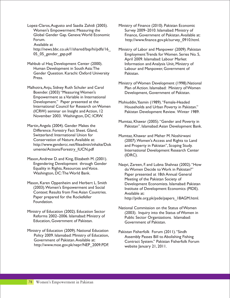Lopez-Claros,Augusto and Saadia Zahidi (2005). Ministry of Finance (2010). Pakistan Economic Women's Empowerment: Measuring the Survey 2009–2010. Islamabad: Ministry of Available at

Mahbub ul Haq Development Center (2000). Information and Analysis Unit, Ministry of<br>Human Development in South Asia: The Labour and Manpower. Government of Gender Question. Karachi: Oxford University Pakistan. Press.

Malhotra,Anju, Sidney Ruth Schuler and Carol Plan of Action. Islamabad: Ministry of Women Boender. (2003) "Measuring Women's Development, Government of Pakistan. Empowerment as a Variable in International<br>Development." Paper presented at the Development." Paper presented at the Mohiuddin,Yasmin (1989)."Female-Headed<br>International Council for Research on Women Households and Urban Poverty in November 2003. Washington, DC: ICRW.

- Martin, Angela (2004). Gender Makes the Pakistan". Islamabad: Asian Development Bank. Difference. Forestry Fact Sheet. Gland, Switzerland: International Union for Mumtaz, Khawar and Meher M. Noshirwani<br>Conservation of Nature. Available at: (2007) Women's Access and Rights to La http://www.gendercc.net/fileadmin/inhalte/Dok and Property in Pakistan'', Scoping Study.<br>umente/Actions/Forestry\_IUCN.pdf International Development Research Cer
- Mason,Andrew D. and King, Elizabeth M. (2001).
- Context: Results from Five Asian Countries.<br>Paper prepared for the Rockefeller http://pide.org Foundation.
- Education, Government of Pakistan.
- Ministry of Education (2009). National Education pakistan Fisherfolk Forum (2011). "Sindh<br>Policy 2009. Islamabad: Ministry of Education, Assembly Passes Bill to Abolishing Fish Policy 2009. Islamabad: Ministry of Education, Assembly Passes Bill to Abolishing Fishing<br>Government of Pakistan. Available at: Andreas Contract System " Pakistan Fisherfoll: For http://www.moe.gov.pk/nepr/NEP\_2009.PDF.
- Global Gender Gap. Geneva: World Economic Finance, Government of Pakistan. Available at: Forum. http://www.finance.gov.pk/survey\_0910.html.
- http://news.bbc.co.uk/1/shared/bsp/hi/pdfs/16\_ Ministry of Labor and Manpower (2009). Pakistan 05 05 gender gap.pdf entitled the Employment Trends for Women. Series No. 5, April 2009. Islamabad: Labour Market Labour and Manpower, Government of
	- Ministry of Women Development (1998).National
- International Council for Research on Women Households and Urban Poverty in Pakistan." Pakistan Development Review. Winter 1989.
	- Mumtaz, Khawar (2005)."Gender and Poverty in
- Conservation of Nature.Available at: (2007). Women's Access and Rights to Land<br>http://www.gendercc.net/fileadmin/inhalte/Dok and Property in Pakistan''. Scoping Study International Development Research Center (IDRC).
- Engendering Development through Gender Naqvi, Zareen, F. and Lubna Shahnaz (2002). "How<br>Equality in Rights, Resources and Voice. The Momen Decide to Work in Pakistan?" Equality in Rights, Resources and Voice. do Women Decide to Work in Pakistan?" Paper presented at 18th Annual General Meeting of the Pakistan Society of Mason, Karen Oppenheim and Herbert L. Smith<br>(2003). Women's Empowerment and Social lightlying of Development Economics (PIDE) Institute of Development Economics (PIDE). http://pide.org.pk/psde/papers\_18AGM.html.
- National Commission on the Status of Women Ministry of Education (2002). Education Sector (2003). Inquiry into the Status of Women in<br>Reforms 2002–2006. Islamabad: Ministry of Public Sector Organizations, Islamabad: Public Sector Organizations. Islamabad:<br>Government of Pakistan.
	- Contract System." Pakistan Fisherfolk Forum<br>website |anuary 21, 2011.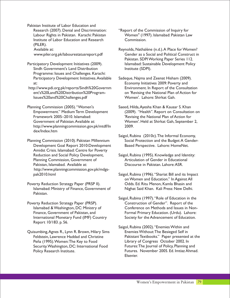Pakistan Institute of Labor Education and Research (2007). Denial and Discrimination: "Report of the Commission of Inquiry for Institute of Labor Education and Research Commission. (PILER).

- Participatory Development Initiatives (2009). Islamabad: Sustainable Development Policy Sindh Government's Land Distribution Institute (SDPI). Programme: Issues and Challenges. Karachi: Participatory Development Initiatives.Available Sadeque, Najma and Zeenat Hisham (2009). at: Economy Initiatives 2009: Poverty and
- Issues%20and%20Challenges.pdf Women'. Lahore: Shirkat Gah.
- Planning Commission (2005). "Women's Saeed, Hilda, Ayesha Khan & Kausar S. Khan Framework 2005–2010. Islamabad: 'Revising the National Plan of Action for http://www.planningcommission.gov.pk/mtdf/In 2009. dex/Index.htm
- Development Goal Report 2010:Development Based Perspective. Lahore: HomeNet. Amidst Crisis. Islamabad: Centre for Poverty<br>Reduction and Social Policy Development, Planning Commission, Government of Articulation of Gender in Educatior<br>Pakistan, Islamabad. Available at: Discourse in Pakistan, Lahore: ASR. Pakistan, Islamabad. Available at: http://www.planningcommission.gov.pk/mdgs-
- Poverty Reduction Strategy Paper (PRSP II). Odds. Ed. Ritu Menon, Kamla Bhasin and Islamabad: Ministry of Finance, Government of Nighat Said Khan. Kali Press: New Delhi. Pakistan.
- Poverty Reduction Strategy Paper (PRSP). Report 10/183. p. 56.
- Quisumbing, Agnes R., Lynn R. Brown, Hilary Sims Security. Washington, DC: International Food
- Labour Rights in Pakistan. Karachi: Pakistan Women" (1997). Islamabad: Pakistan Law
- Available at:  $\blacksquare$  Reynolds, Nathalène (n.d.). A Place for Women? www.piler.org.pk/labourestatusreport.pdf Gender as a Social and Political Construct in Pakistan. SDPI Working Paper Series 112.
- http://www.pdi.org.pk/reports/Sindh%20Governm Environment. In Report of the Consultation ent's%20Land%20Distribution%20Program- on 'Revising the National Plan of Action for
	- Empowerment." Medium Term Development (2009). "Health". Report on Consultation on Government of Pakistan.Available at: Women'. Held at Shirkat Gah, September 2,
- Saigol, Rubina (2010c).The Informal Economy, Planning Commission (2010). Pakistan Millennium Social Protection and the Budget: A Gender-
	- Saigol, Rubina (1995). Knowledge and Identity:<br>Articulation of Gender in Educational
	- pak2010.html Saigol, Rubina (1996). "Shariat Bill and its Impact on Women and Education." In Against All
	- Saigol, Rubina (1997). "Role of Education in the<br>Construction of Gender". Report of the Islamabad & Washington, DC: Ministry of Conference on Methods and Issues in Non-Finance, Government of Pakistan, and Formal Primary Education. (Urdu). Lahore: International Monetary Fund (IMF) Country Society for the Advancement of Education.
	- Saigol, Rubina (2002)."Enemies Within and Feldstein, Lawrence Haddad and Christine Pakistani Textbooks." Paper presented at the Peña (1995). Women: The Key to Food Library of Congress October 2002. In<br>Security. Washington, DC: International Food Futures: The Journal of Policy, Planning and Policy Research Institute. The Second Putures. November 2005. Ed. Imtiaz Ahmad. Elsevier.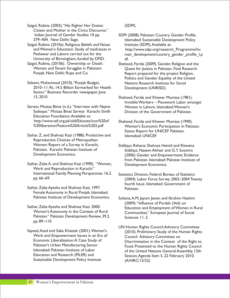Saigol, Rubina (2003)."His Rights/ Her Duties: (SDPI). Citizen and Mother in the Civics Discourse."

Saigol, Rubina (2010a). Religious Beliefs and Values Institute (SDPI). Available at: University of Birmingham, funded by DFID. df.

- 
- Saleem, Muhammad (2010). "Punjab Budget, Nations Research Institute for Social 2010–11: Rs. 14.5 Billion Earmarked for Health Development (UNRISD). Sector." Business Recorder newspaper, June 15, 2010. Shaheed, Farida and Khawar Mumtaz (1981).
- Sarwar, Moizza Binat (n.d.). "Interview with Najma Women in Lahore. Islamabad: Women's Sadeque." Moizza Binat Sarwar. Karachi: Sindh Division of the Government of Pakistan Education Foundation.Available at: http://www.sef.org.pk/old/Educate/icon%20of Shaheed, Farida and Khawar Mumtaz (1990).<br>%20liberation/Feature%20Article%202.pdf Women's Economic Participation in Pakis

Sathar, Z. and Shahnaz Kazi (1988). Productive and Islamabad: UNICEF. Reproductive Choices of Metropolitan Women: Report of a Survey in Karachi, Siddiqui, Rehana; Shahnaz Hamid and Rizwana<br>Pakistan, Karachi: Pakistan Institute of Siddiqui, Naeem Akhtar and G.Y Soomro Pakistan. Karachi: Pakistan Institute of Siddiqui, Naeem Akhtar and G.Y. Soomro

- Sathar, Zeba A. and Shahnaz Kazi (1990). "Women, Development Economics. Work and Reproduction in Karachi." International Family Planning Perspectives 16.2. Statistics Division, Federal Bureau of Statistics
- Sathar, Zeba Ayesha and Shahnaz Kazi, 1997. Pakistan. Female Autonomy in Rural Punjab. Islamabad. Pakistan Institute of Development Economics. Sultana, A.M, Jayum Jawan and Ibrahim Hashim
- Pakistan." Pakistan Development Review, 39.2. Sciences 11.2. pp. 89–110.

Work and Empowerment Issues in an Era of  $\overline{C}$  Council Advisory Committee on Economic Liberalization: A Case Study of Discrimination in the Context of Sustainable Development Policy Institute (A/HRC/13/32)

Indian Journal of Gender Studies 10 pp. SDPI (2008). Pakistan: Country Gender Profile. 379–404. New Delhi: Sage. In the Sage of the Islamabad: Sustainable Development Policy and Women's Education. Study of madrassas in http://www.sdpi.org/research\_Programme/hu<br>Peshawar and Lahore carried out for the man development/country gender profile I. man development/country gender profile l.p

- Saigol, Rubina, (2010b). Ownership or Death: Shaheed, Farida (2009). Gender, Religion and the<br>Women and Tenant Struggles in Pakistani Quest for Justice in Pakistan. Final Research Women and Tenant Struggles in Pakistani Quest for Justice in Pakistan. Final Research<br>Punjab. New Delhi: Rupa and Co. Report prepared for the project Religion. Report prepared for the project Religion, Politics and Gender Equality of the United
	- Invisible Workers Piecework Labor amongst
	- Women's Economic Participation in Pakistan. Status Report for UNICEF Pakistan.
	- (2006) Gender and Empowerment: Evidence from Pakistan. Islamabad: Pakistan Institute of
	- (2004). Labor Force Survey 2003–2004 Twenty fourth Issue. Islamabad: Government of
- (2009)."Influence of Purdah (Veil) on Sathar, Zeba Ayesha and Shahnaz Kazi. 2000.<br>Women's Autonomy in the Context of Rural Communities'' European Journal of Social Communities." European Journal of Social
- UN Human Rights Council Advisory Committee Sayeed, Asad and Saba Khattak (2001). Women's (2010). Preliminary Study of the Human Rights Economic Liberalization:A Case Study of Figure 1 Discrimination in the Context of the Right to Pakistan's Urban Manufacturing Sector. Pakistan's Urban Manufacturing Sector. Food. Presented to the Human Rights Council<br>Islamabad: Pakistan Institute of Labor Formation of the United Nations General Assembly 13th Islamabad: Pakistan Institute of Labor of the United Nations General Assembly, 13th<br>Education and Research (PILER) and session Assemblation 5, 22 February 2010 Session, Agenda Item 5. 22 February 2010.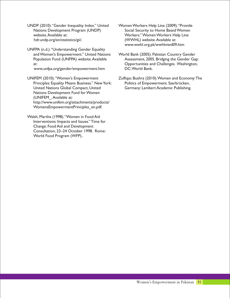UNDP (2010)."Gender Inequality Index." United Women Workers Help Line (2009)."Provide Nations Development Program (UNDP) Social Security to Home Based Women website.Available at: Workers." Women Workers Help Line hdr.undp.org/en/statistics/gii/. (WWHL) website.Available at:

UNFPA (n.d.). "Understanding Gender Equality<br>and Women's Empowerment." United Nations

www.unfpa.org/gender/empowerment.htm

Principles: Equality Means Business." New York: Politics of Empowerment. Saarbrücken, United Nations Global Compact, United Germany: Lambert Academic Publishing. Nations Development Fund for Women (UNIFEM\_.Available at: http://www.unifem.org/attachments/products/ WomensEmpowermentPrinciples\_en.pdf.

Walsh, Martha (1998)."Women in Food Aid Interventions: Impacts and Issues." Time for Change: Food Aid and Development Consultation, 23–24 October 1998. Rome: World Food Program (WFP)..

- www.wwhl.org.pk/wwhlniwd09.htm
- World Bank (2005). Pakistan Country Gender Population Fund (UNFPA) website. Available Assessment, 2005. Bridging the Gender Gap: at:<br>
Opportunities and Challenges. Washington,<br>
Www.unfpa.org/gender/empowerment.htm<br>
DC:World Bank.
- UNIFEM (2010)."Women's Empowerment Zulfiqar, Bushra (2010).Women and Economy:The